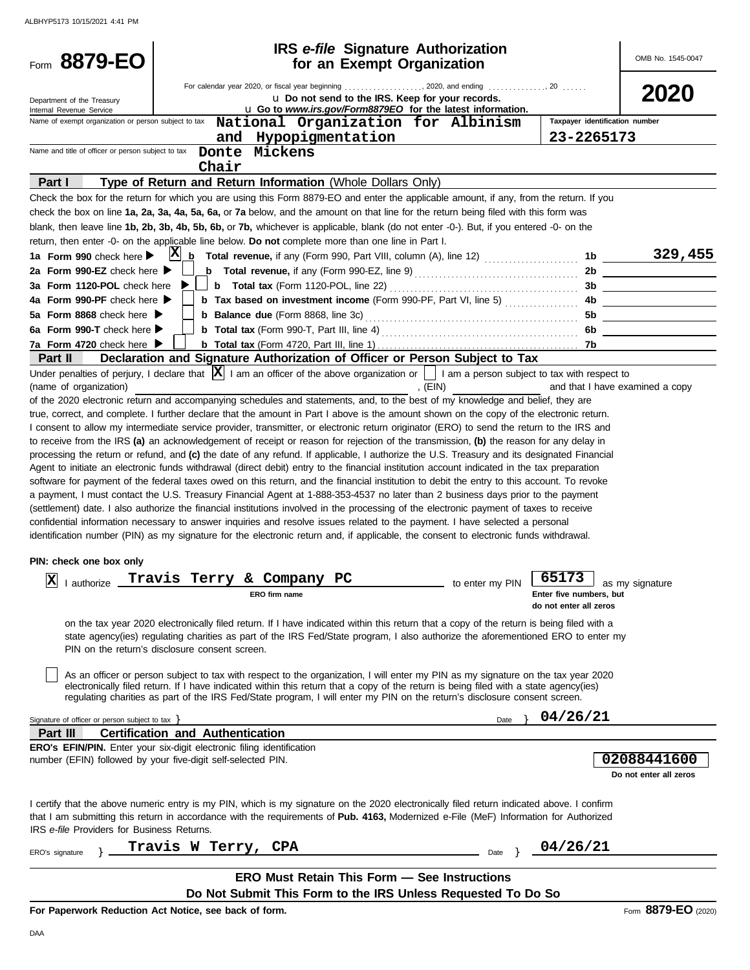| Form 8879-EO                                           | <b>IRS</b> e-file Signature Authorization<br>for an Exempt Organization                                                                                                                                                                                                                   |                 |                                                   | OMB No. 1545-0047                          |  |  |
|--------------------------------------------------------|-------------------------------------------------------------------------------------------------------------------------------------------------------------------------------------------------------------------------------------------------------------------------------------------|-----------------|---------------------------------------------------|--------------------------------------------|--|--|
| Department of the Treasury<br>Internal Revenue Service | u Do not send to the IRS. Keep for your records.<br>u Go to www.irs.gov/Form8879EO for the latest information.                                                                                                                                                                            |                 |                                                   | 2020                                       |  |  |
| Name of exempt organization or person subject to tax   | National Organization for Albinism<br>and Hypopigmentation                                                                                                                                                                                                                                |                 | Taxpayer identification number<br>23-2265173      |                                            |  |  |
| Name and title of officer or person subject to tax     | Donte Mickens<br>Chair                                                                                                                                                                                                                                                                    |                 |                                                   |                                            |  |  |
| Part I                                                 | Type of Return and Return Information (Whole Dollars Only)                                                                                                                                                                                                                                |                 |                                                   |                                            |  |  |
|                                                        | Check the box for the return for which you are using this Form 8879-EO and enter the applicable amount, if any, from the return. If you                                                                                                                                                   |                 |                                                   |                                            |  |  |
|                                                        | check the box on line 1a, 2a, 3a, 4a, 5a, 6a, or 7a below, and the amount on that line for the return being filed with this form was                                                                                                                                                      |                 |                                                   |                                            |  |  |
|                                                        | blank, then leave line 1b, 2b, 3b, 4b, 5b, 6b, or 7b, whichever is applicable, blank (do not enter -0-). But, if you entered -0- on the                                                                                                                                                   |                 |                                                   |                                            |  |  |
|                                                        | return, then enter -0- on the applicable line below. Do not complete more than one line in Part I.<br>$ {\bf X} $                                                                                                                                                                         |                 |                                                   | 329,455                                    |  |  |
| 1a Form 990 check here $\blacktriangleright$           | b                                                                                                                                                                                                                                                                                         |                 | 1b                                                |                                            |  |  |
| 2a Form 990-EZ check here ▶                            |                                                                                                                                                                                                                                                                                           |                 |                                                   |                                            |  |  |
| 3a Form 1120-POL check here                            | b Tax based on investment income (Form 990-PF, Part VI, line 5)  4b                                                                                                                                                                                                                       |                 |                                                   |                                            |  |  |
| 4a Form 990-PF check here<br>5a Form 8868 check here ▶ |                                                                                                                                                                                                                                                                                           |                 | 5b                                                | <u> 1990 - Johann Barn, mars ann an t-</u> |  |  |
| 6a Form 990-T check here $\blacktriangleright$         |                                                                                                                                                                                                                                                                                           |                 |                                                   |                                            |  |  |
| 7a Form 4720 check here ▶                              |                                                                                                                                                                                                                                                                                           |                 | 7b.                                               |                                            |  |  |
| Part II                                                | Declaration and Signature Authorization of Officer or Person Subject to Tax                                                                                                                                                                                                               |                 |                                                   |                                            |  |  |
|                                                        | Under penalties of perjury, I declare that $ \mathbf{X} $ I am an officer of the above organization or $\ \cdot\ $ I am a person subject to tax with respect to                                                                                                                           |                 |                                                   |                                            |  |  |
| (name of organization)                                 |                                                                                                                                                                                                                                                                                           | , $(EIN)$       |                                                   | and that I have examined a copy            |  |  |
|                                                        | of the 2020 electronic return and accompanying schedules and statements, and, to the best of my knowledge and belief, they are                                                                                                                                                            |                 |                                                   |                                            |  |  |
|                                                        | true, correct, and complete. I further declare that the amount in Part I above is the amount shown on the copy of the electronic return.                                                                                                                                                  |                 |                                                   |                                            |  |  |
|                                                        | I consent to allow my intermediate service provider, transmitter, or electronic return originator (ERO) to send the return to the IRS and                                                                                                                                                 |                 |                                                   |                                            |  |  |
|                                                        | to receive from the IRS (a) an acknowledgement of receipt or reason for rejection of the transmission, (b) the reason for any delay in                                                                                                                                                    |                 |                                                   |                                            |  |  |
|                                                        | processing the return or refund, and (c) the date of any refund. If applicable, I authorize the U.S. Treasury and its designated Financial                                                                                                                                                |                 |                                                   |                                            |  |  |
|                                                        | Agent to initiate an electronic funds withdrawal (direct debit) entry to the financial institution account indicated in the tax preparation<br>software for payment of the federal taxes owed on this return, and the financial institution to debit the entry to this account. To revoke |                 |                                                   |                                            |  |  |
|                                                        | a payment, I must contact the U.S. Treasury Financial Agent at 1-888-353-4537 no later than 2 business days prior to the payment                                                                                                                                                          |                 |                                                   |                                            |  |  |
|                                                        | (settlement) date. I also authorize the financial institutions involved in the processing of the electronic payment of taxes to receive                                                                                                                                                   |                 |                                                   |                                            |  |  |
|                                                        | confidential information necessary to answer inquiries and resolve issues related to the payment. I have selected a personal                                                                                                                                                              |                 |                                                   |                                            |  |  |
|                                                        | identification number (PIN) as my signature for the electronic return and, if applicable, the consent to electronic funds withdrawal.                                                                                                                                                     |                 |                                                   |                                            |  |  |
| PIN: check one box only                                |                                                                                                                                                                                                                                                                                           |                 |                                                   |                                            |  |  |
|                                                        | Terry & Company PC<br>Travis                                                                                                                                                                                                                                                              |                 | 65173                                             |                                            |  |  |
| $ \mathbf{x} $<br>I authorize                          |                                                                                                                                                                                                                                                                                           | to enter my PIN |                                                   | as my signature                            |  |  |
|                                                        | ERO firm name                                                                                                                                                                                                                                                                             |                 | Enter five numbers, but<br>do not enter all zeros |                                            |  |  |
|                                                        | on the tax year 2020 electronically filed return. If I have indicated within this return that a copy of the return is being filed with a                                                                                                                                                  |                 |                                                   |                                            |  |  |
|                                                        | state agency(ies) regulating charities as part of the IRS Fed/State program, I also authorize the aforementioned ERO to enter my                                                                                                                                                          |                 |                                                   |                                            |  |  |
|                                                        | PIN on the return's disclosure consent screen.                                                                                                                                                                                                                                            |                 |                                                   |                                            |  |  |
|                                                        |                                                                                                                                                                                                                                                                                           |                 |                                                   |                                            |  |  |
|                                                        | As an officer or person subject to tax with respect to the organization, I will enter my PIN as my signature on the tax year 2020                                                                                                                                                         |                 |                                                   |                                            |  |  |
|                                                        | electronically filed return. If I have indicated within this return that a copy of the return is being filed with a state agency(ies)<br>regulating charities as part of the IRS Fed/State program, I will enter my PIN on the return's disclosure consent screen.                        |                 |                                                   |                                            |  |  |
|                                                        |                                                                                                                                                                                                                                                                                           |                 |                                                   |                                            |  |  |
| Signature of officer or person subject to tax $\}$     |                                                                                                                                                                                                                                                                                           | Date            | 04/26/21                                          |                                            |  |  |
| Part III                                               | <b>Certification and Authentication</b>                                                                                                                                                                                                                                                   |                 |                                                   |                                            |  |  |
|                                                        | <b>ERO's EFIN/PIN.</b> Enter your six-digit electronic filing identification                                                                                                                                                                                                              |                 |                                                   |                                            |  |  |
|                                                        | number (EFIN) followed by your five-digit self-selected PIN.                                                                                                                                                                                                                              |                 |                                                   | 02088441600                                |  |  |
|                                                        |                                                                                                                                                                                                                                                                                           |                 |                                                   | Do not enter all zeros                     |  |  |
|                                                        | I certify that the above numeric entry is my PIN, which is my signature on the 2020 electronically filed return indicated above. I confirm                                                                                                                                                |                 |                                                   |                                            |  |  |
|                                                        | that I am submitting this return in accordance with the requirements of Pub. 4163, Modernized e-File (MeF) Information for Authorized                                                                                                                                                     |                 |                                                   |                                            |  |  |
| IRS e-file Providers for Business Returns.             |                                                                                                                                                                                                                                                                                           |                 |                                                   |                                            |  |  |
|                                                        | 04/26/21<br>Travis W Terry, CPA                                                                                                                                                                                                                                                           |                 |                                                   |                                            |  |  |
| ERO's signature                                        |                                                                                                                                                                                                                                                                                           | Date            |                                                   |                                            |  |  |
|                                                        | <b>ERO Must Retain This Form - See Instructions</b>                                                                                                                                                                                                                                       |                 |                                                   |                                            |  |  |
|                                                        | Do Not Submit This Form to the IRS Unless Requested To Do So                                                                                                                                                                                                                              |                 |                                                   |                                            |  |  |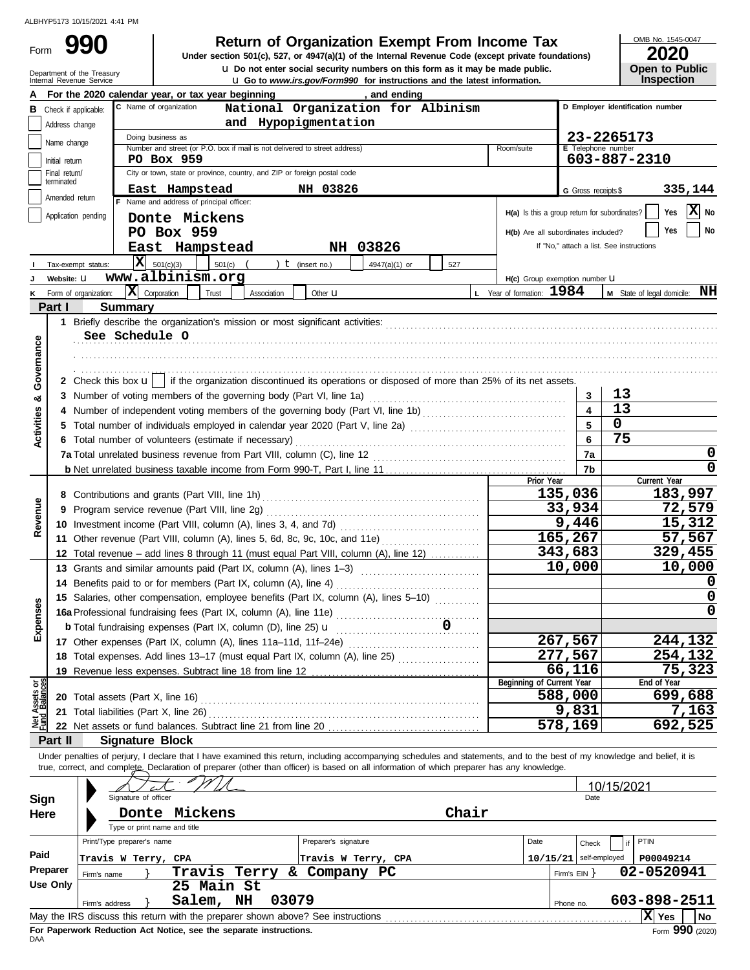Form 990

**u** Do not enter social security numbers on this form as it may be made public. **990 2020 2010 2020 2020 2020 2020 2020 2020 2020 2020 2020 2020 2020 2020 2020** 

OMB No. 1545-0047

|  | LVLV                  |
|--|-----------------------|
|  | <b>Open to Public</b> |
|  | Inspection            |

|                                | Department of the Treasury<br>Internal Revenue Service |                                                      |                                                                                                                                                                            | <b>U</b> Do not enter social security numbers on this form as it may be made public.<br><b>u</b> Go to www.irs.gov/Form990 for instructions and the latest information. |                           |                           |                                               | <b>Open to Public</b><br><b>Inspection</b> |
|--------------------------------|--------------------------------------------------------|------------------------------------------------------|----------------------------------------------------------------------------------------------------------------------------------------------------------------------------|-------------------------------------------------------------------------------------------------------------------------------------------------------------------------|---------------------------|---------------------------|-----------------------------------------------|--------------------------------------------|
|                                |                                                        |                                                      | For the 2020 calendar year, or tax year beginning                                                                                                                          |                                                                                                                                                                         | , and ending              |                           |                                               |                                            |
| в                              | Check if applicable:                                   |                                                      | C Name of organization                                                                                                                                                     | National Organization for Albinism                                                                                                                                      |                           |                           |                                               | D Employer identification number           |
|                                | Address change                                         |                                                      |                                                                                                                                                                            | and Hypopigmentation                                                                                                                                                    |                           |                           |                                               |                                            |
|                                | Name change                                            |                                                      | Doing business as                                                                                                                                                          |                                                                                                                                                                         |                           | Room/suite                |                                               | 23-2265173                                 |
|                                | Initial return                                         |                                                      | Number and street (or P.O. box if mail is not delivered to street address)<br>PO Box 959                                                                                   |                                                                                                                                                                         |                           |                           | E Telephone number                            | 603-887-2310                               |
|                                | Final return/                                          |                                                      | City or town, state or province, country, and ZIP or foreign postal code                                                                                                   |                                                                                                                                                                         |                           |                           |                                               |                                            |
|                                | terminated<br>East Hampstead<br>NH 03826               |                                                      |                                                                                                                                                                            |                                                                                                                                                                         |                           |                           | G Gross receipts \$                           | 335,144                                    |
|                                | Amended return                                         |                                                      | F Name and address of principal officer:                                                                                                                                   |                                                                                                                                                                         |                           |                           |                                               |                                            |
|                                | Application pending                                    |                                                      | Donte Mickens                                                                                                                                                              |                                                                                                                                                                         |                           |                           | H(a) Is this a group return for subordinates? | $ \mathbf{X} $ No<br>Yes                   |
|                                |                                                        |                                                      | PO Box 959                                                                                                                                                                 |                                                                                                                                                                         |                           |                           | H(b) Are all subordinates included?           | No<br>Yes                                  |
|                                |                                                        |                                                      | East Hampstead                                                                                                                                                             | NH 03826                                                                                                                                                                |                           |                           | If "No," attach a list. See instructions      |                                            |
|                                | Tax-exempt status:                                     |                                                      | $ \mathbf{X} $ 501(c)(3)<br>501(c)                                                                                                                                         | ) $t$ (insert no.)                                                                                                                                                      | 4947(a)(1) or<br>527      |                           |                                               |                                            |
|                                | Website: U                                             |                                                      | www.albinism.org                                                                                                                                                           |                                                                                                                                                                         |                           |                           | H(c) Group exemption number LI                |                                            |
| ĸ                              | Form of organization:                                  | $\mathbf{X}$ Corporation                             | Trust<br>Association                                                                                                                                                       | Other $\mathbf u$                                                                                                                                                       |                           | L Year of formation: 1984 |                                               | NH<br>M State of legal domicile:           |
|                                | Part I                                                 | <b>Summary</b>                                       |                                                                                                                                                                            |                                                                                                                                                                         |                           |                           |                                               |                                            |
|                                |                                                        |                                                      |                                                                                                                                                                            |                                                                                                                                                                         |                           |                           |                                               |                                            |
|                                |                                                        | See Schedule O                                       |                                                                                                                                                                            |                                                                                                                                                                         |                           |                           |                                               |                                            |
| Governance                     |                                                        |                                                      |                                                                                                                                                                            |                                                                                                                                                                         |                           |                           |                                               |                                            |
|                                |                                                        |                                                      |                                                                                                                                                                            |                                                                                                                                                                         |                           |                           |                                               |                                            |
|                                |                                                        |                                                      | 2 Check this box $\mathbf{u}$   if the organization discontinued its operations or disposed of more than 25% of its net assets.                                            |                                                                                                                                                                         |                           |                           |                                               |                                            |
| œ                              |                                                        |                                                      | 3 Number of voting members of the governing body (Part VI, line 1a) [10] (10] [10] Number of voting members of the governing body (Part VI, line 1a)                       |                                                                                                                                                                         |                           |                           | 3                                             | 13                                         |
|                                |                                                        |                                                      |                                                                                                                                                                            |                                                                                                                                                                         |                           |                           |                                               | 13                                         |
| <b>Activities</b>              |                                                        |                                                      |                                                                                                                                                                            |                                                                                                                                                                         |                           |                           | 5                                             | 0                                          |
|                                |                                                        | 6 Total number of volunteers (estimate if necessary) |                                                                                                                                                                            |                                                                                                                                                                         |                           |                           | 6                                             | 75                                         |
|                                |                                                        |                                                      |                                                                                                                                                                            |                                                                                                                                                                         |                           |                           | 7a                                            | 0<br>0                                     |
|                                |                                                        |                                                      |                                                                                                                                                                            |                                                                                                                                                                         |                           | Prior Year                | 7b                                            | Current Year                               |
|                                |                                                        |                                                      |                                                                                                                                                                            |                                                                                                                                                                         |                           |                           | 135,036                                       | 183,997                                    |
| Revenue                        | 9                                                      |                                                      | Program service revenue (Part VIII, line 2g)                                                                                                                               |                                                                                                                                                                         |                           |                           | 33,934                                        | 72,579                                     |
|                                |                                                        |                                                      |                                                                                                                                                                            |                                                                                                                                                                         |                           |                           | 9,446                                         | 15,312                                     |
|                                |                                                        |                                                      | 11 Other revenue (Part VIII, column (A), lines 5, 6d, 8c, 9c, 10c, and 11e)                                                                                                |                                                                                                                                                                         |                           |                           | 165,267                                       | 57,567                                     |
|                                |                                                        |                                                      | 12 Total revenue - add lines 8 through 11 (must equal Part VIII, column (A), line 12)                                                                                      |                                                                                                                                                                         |                           |                           | 343,683                                       | 329,455                                    |
|                                |                                                        |                                                      | 13 Grants and similar amounts paid (Part IX, column (A), lines 1-3)                                                                                                        |                                                                                                                                                                         |                           |                           | 10,000                                        | 10,000                                     |
|                                | 14                                                     |                                                      | Benefits paid to or for members (Part IX, column (A), line 4)                                                                                                              |                                                                                                                                                                         |                           |                           |                                               | 0                                          |
|                                |                                                        |                                                      | 15 Salaries, other compensation, employee benefits (Part IX, column (A), lines 5-10)                                                                                       |                                                                                                                                                                         |                           |                           |                                               | 0                                          |
| nses                           |                                                        |                                                      | 16a Professional fundraising fees (Part IX, column (A), line 11e)                                                                                                          |                                                                                                                                                                         |                           |                           |                                               | $\mathbf 0$                                |
| Exper                          |                                                        |                                                      | <b>b</b> Total fundraising expenses (Part IX, column (D), line 25) <b>u</b>                                                                                                |                                                                                                                                                                         | $\overline{\mathbf{0}}$ . |                           |                                               |                                            |
|                                |                                                        |                                                      | 17 Other expenses (Part IX, column (A), lines 11a-11d, 11f-24e)                                                                                                            |                                                                                                                                                                         |                           |                           | 267,567                                       | 244,132                                    |
|                                |                                                        |                                                      | 277,567<br>18 Total expenses. Add lines 13-17 (must equal Part IX, column (A), line 25)                                                                                    |                                                                                                                                                                         |                           |                           |                                               | <u>254,132</u>                             |
|                                | 19                                                     |                                                      | Revenue less expenses. Subtract line 18 from line 12                                                                                                                       |                                                                                                                                                                         |                           |                           | 66,116                                        | 75,323                                     |
| Net Assets or<br>Fund Balances |                                                        |                                                      |                                                                                                                                                                            |                                                                                                                                                                         |                           | Beginning of Current Year | 588,000                                       | End of Year<br>699,688                     |
|                                |                                                        |                                                      |                                                                                                                                                                            |                                                                                                                                                                         |                           |                           | 9,831                                         | 7,163                                      |
|                                | 21                                                     |                                                      |                                                                                                                                                                            |                                                                                                                                                                         |                           |                           | 578,169                                       | 692,525                                    |
|                                | Part II                                                | <b>Signature Block</b>                               |                                                                                                                                                                            |                                                                                                                                                                         |                           |                           |                                               |                                            |
|                                |                                                        |                                                      | Under penalties of perjury, I declare that I have examined this return, including accompanying schedules and statements, and to the best of my knowledge and belief, it is |                                                                                                                                                                         |                           |                           |                                               |                                            |
|                                |                                                        |                                                      | true, correct, and complete. Declaration of preparer (other than officer) is based on all information of which preparer has any knowledge.                                 |                                                                                                                                                                         |                           |                           |                                               |                                            |
|                                |                                                        |                                                      |                                                                                                                                                                            |                                                                                                                                                                         |                           |                           |                                               | 10/15/2021                                 |
| Sign                           |                                                        | Signature of officer                                 |                                                                                                                                                                            |                                                                                                                                                                         |                           |                           | Date                                          |                                            |
| Here                           |                                                        |                                                      | Donte Mickens                                                                                                                                                              |                                                                                                                                                                         | Chair                     |                           |                                               |                                            |
|                                |                                                        |                                                      | Type or print name and title                                                                                                                                               |                                                                                                                                                                         |                           |                           |                                               |                                            |
|                                |                                                        | Print/Type preparer's name                           |                                                                                                                                                                            | Preparer's signature                                                                                                                                                    |                           | Date                      | Check                                         | PTIN<br>if                                 |
| Paid                           |                                                        | Travis W Terry, CPA                                  |                                                                                                                                                                            | Travis W Terry, CPA                                                                                                                                                     |                           |                           | $10/15/21$ self-employed                      | P00049214                                  |
|                                | Preparer                                               | Firm's name                                          | Travis Terry                                                                                                                                                               | & Company PC                                                                                                                                                            |                           |                           | Firm's EIN                                    | 02-0520941                                 |
|                                | <b>Use Only</b>                                        |                                                      | 25 Main St                                                                                                                                                                 |                                                                                                                                                                         |                           |                           |                                               |                                            |
|                                |                                                        | Firm's address                                       | Salem, NH                                                                                                                                                                  | 03079                                                                                                                                                                   |                           |                           | Phone no.                                     | 603-898-2511                               |
|                                |                                                        |                                                      |                                                                                                                                                                            |                                                                                                                                                                         |                           |                           |                                               | X Yes<br>No                                |

| Here     |                              | Donte Mickens                                                                   |                      | Chair |                          |                  |
|----------|------------------------------|---------------------------------------------------------------------------------|----------------------|-------|--------------------------|------------------|
|          | Type or print name and title |                                                                                 |                      |       |                          |                  |
|          | Print/Type preparer's name   |                                                                                 | Preparer's signature | Date  | Check                    | <b>PTIN</b>      |
| Paid     | Travis W Terry, CPA          |                                                                                 | Travis W Terry, CPA  |       | $10/15/21$ self-employed | P00049214        |
| Preparer | Firm's name                  | Travis Terry<br>δc.                                                             | Company<br>PC.       |       | Firm's EIN               | 02-0520941       |
| Use Only |                              | Main St<br>25                                                                   |                      |       |                          |                  |
|          | Firm's address               | 03079<br>NH<br>Salem,                                                           |                      |       | Phone no.                | 603-898-2511     |
|          |                              | May the IRS discuss this return with the preparer shown above? See instructions |                      |       |                          | ΙX<br>No.<br>Yes |
|          |                              | The Mondays of Marketten Ast Matter and the conducts to the monday              |                      |       |                          | nnn.             |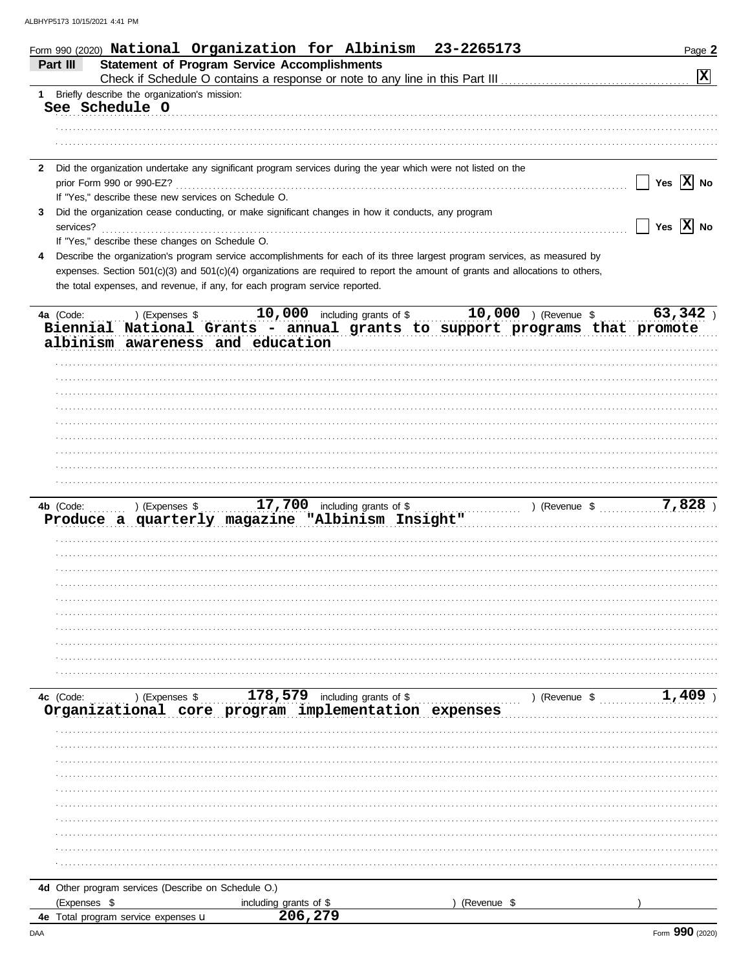| Form 990 (2020) National Organization for Albinism 23-2265173                                                                   |                                                                                                                                      |             | Page 2                              |
|---------------------------------------------------------------------------------------------------------------------------------|--------------------------------------------------------------------------------------------------------------------------------------|-------------|-------------------------------------|
| Part III                                                                                                                        | <b>Statement of Program Service Accomplishments</b>                                                                                  |             | $\boxed{\mathbf{X}}$                |
| 1 Briefly describe the organization's mission:                                                                                  |                                                                                                                                      |             |                                     |
| See Schedule O                                                                                                                  |                                                                                                                                      |             |                                     |
|                                                                                                                                 |                                                                                                                                      |             |                                     |
|                                                                                                                                 |                                                                                                                                      |             |                                     |
|                                                                                                                                 |                                                                                                                                      |             |                                     |
| $\mathbf{2}$                                                                                                                    | Did the organization undertake any significant program services during the year which were not listed on the                         |             | $\sqrt{}$ Yes $\sqrt{}$ No          |
| If "Yes," describe these new services on Schedule O.                                                                            |                                                                                                                                      |             |                                     |
| 3                                                                                                                               | Did the organization cease conducting, or make significant changes in how it conducts, any program                                   |             |                                     |
|                                                                                                                                 |                                                                                                                                      |             | $\sqrt{}$ Yes $\boxed{\text{X}}$ No |
| If "Yes," describe these changes on Schedule O.                                                                                 |                                                                                                                                      |             |                                     |
| 4                                                                                                                               | Describe the organization's program service accomplishments for each of its three largest program services, as measured by           |             |                                     |
|                                                                                                                                 | expenses. Section 501(c)(3) and 501(c)(4) organizations are required to report the amount of grants and allocations to others,       |             |                                     |
| the total expenses, and revenue, if any, for each program service reported.                                                     |                                                                                                                                      |             |                                     |
| 4a (Code:                                                                                                                       | $\ldots$ ) (Expenses \$ \bustandall 10,000 including grants of \$ \bustandall 10,000 ) (Revenue \$ \bustandall 10.000 \bustandal 10. |             | 63,342                              |
|                                                                                                                                 | Biennial National Grants - annual grants to support programs that promote                                                            |             |                                     |
| albinism awareness and education                                                                                                |                                                                                                                                      |             |                                     |
|                                                                                                                                 |                                                                                                                                      |             |                                     |
|                                                                                                                                 |                                                                                                                                      |             |                                     |
|                                                                                                                                 |                                                                                                                                      |             |                                     |
|                                                                                                                                 |                                                                                                                                      |             |                                     |
|                                                                                                                                 |                                                                                                                                      |             |                                     |
|                                                                                                                                 |                                                                                                                                      |             |                                     |
|                                                                                                                                 |                                                                                                                                      |             |                                     |
|                                                                                                                                 |                                                                                                                                      |             |                                     |
|                                                                                                                                 |                                                                                                                                      |             |                                     |
| 4b (Code: ) (Expenses \$17,700 including grants of \$1,828 ) (Revenue \$7,828 ) Produce a quarterly magazine "Albinism Insight" |                                                                                                                                      |             |                                     |
|                                                                                                                                 |                                                                                                                                      |             |                                     |
|                                                                                                                                 |                                                                                                                                      |             |                                     |
|                                                                                                                                 |                                                                                                                                      |             |                                     |
|                                                                                                                                 |                                                                                                                                      |             |                                     |
|                                                                                                                                 |                                                                                                                                      |             |                                     |
|                                                                                                                                 |                                                                                                                                      |             |                                     |
|                                                                                                                                 |                                                                                                                                      |             |                                     |
|                                                                                                                                 |                                                                                                                                      |             |                                     |
|                                                                                                                                 |                                                                                                                                      |             |                                     |
|                                                                                                                                 |                                                                                                                                      |             |                                     |
|                                                                                                                                 |                                                                                                                                      |             |                                     |
| 4c (Code:                                                                                                                       | Ic (Code: ) (Expenses \$ 178,579 including grants of \$ ) (Revenue \$ 0rganizational core program implementation expenses            |             | $1,409$ )                           |
|                                                                                                                                 |                                                                                                                                      |             |                                     |
|                                                                                                                                 |                                                                                                                                      |             |                                     |
|                                                                                                                                 |                                                                                                                                      |             |                                     |
|                                                                                                                                 |                                                                                                                                      |             |                                     |
|                                                                                                                                 |                                                                                                                                      |             |                                     |
|                                                                                                                                 |                                                                                                                                      |             |                                     |
|                                                                                                                                 |                                                                                                                                      |             |                                     |
|                                                                                                                                 |                                                                                                                                      |             |                                     |
|                                                                                                                                 |                                                                                                                                      |             |                                     |
|                                                                                                                                 |                                                                                                                                      |             |                                     |
|                                                                                                                                 |                                                                                                                                      |             |                                     |
| 4d Other program services (Describe on Schedule O.)<br>(Expenses \$                                                             | including grants of \$                                                                                                               | (Revenue \$ |                                     |
| 4e Total program service expenses u                                                                                             | 206,279                                                                                                                              |             |                                     |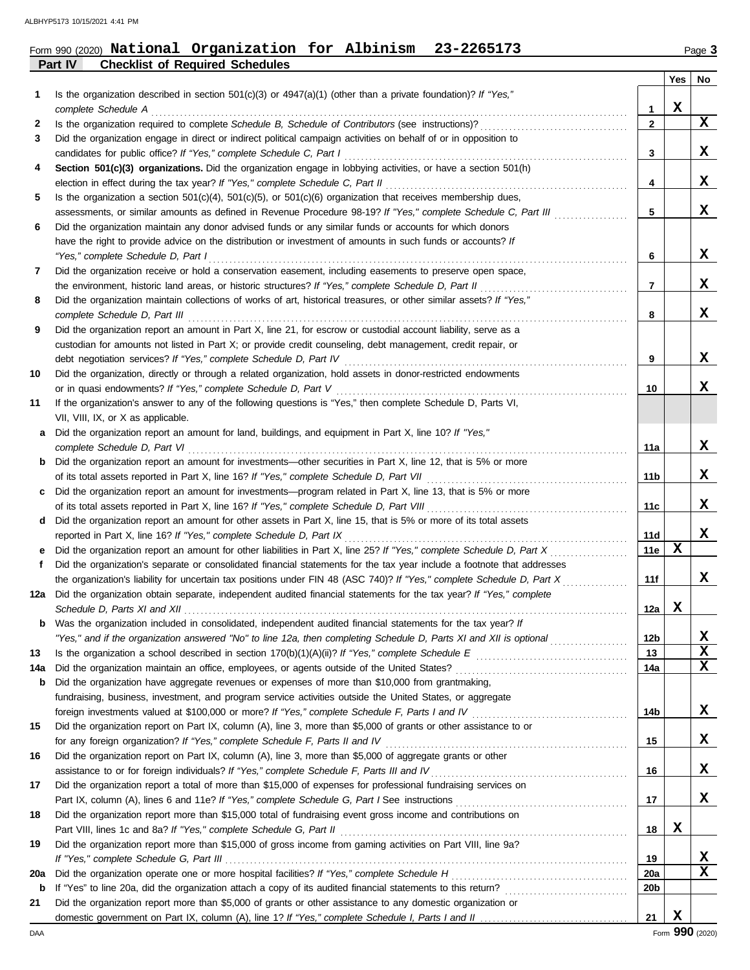**Part IV Checklist of Required Schedules**

# Form 990 (2020) Page **3 National Organization for Albinism 23-2265173**

|     |                                                                                                                                                                                                        |                 | Yes         | No |
|-----|--------------------------------------------------------------------------------------------------------------------------------------------------------------------------------------------------------|-----------------|-------------|----|
| 1   | Is the organization described in section $501(c)(3)$ or $4947(a)(1)$ (other than a private foundation)? If "Yes,"                                                                                      |                 |             |    |
|     | complete Schedule A                                                                                                                                                                                    | 1               | X           |    |
| 2   | Is the organization required to complete Schedule B, Schedule of Contributors (see instructions)?                                                                                                      | $\mathbf{2}$    |             | X  |
| 3   | Did the organization engage in direct or indirect political campaign activities on behalf of or in opposition to                                                                                       |                 |             |    |
|     | candidates for public office? If "Yes," complete Schedule C, Part I                                                                                                                                    | 3               |             | X  |
| 4   | Section 501(c)(3) organizations. Did the organization engage in lobbying activities, or have a section 501(h)                                                                                          |                 |             | X  |
| 5   | election in effect during the tax year? If "Yes," complete Schedule C, Part II<br>Is the organization a section $501(c)(4)$ , $501(c)(5)$ , or $501(c)(6)$ organization that receives membership dues, | 4               |             |    |
|     | assessments, or similar amounts as defined in Revenue Procedure 98-19? If "Yes," complete Schedule C, Part III                                                                                         | 5               |             | x  |
| 6   | Did the organization maintain any donor advised funds or any similar funds or accounts for which donors                                                                                                |                 |             |    |
|     | have the right to provide advice on the distribution or investment of amounts in such funds or accounts? If                                                                                            |                 |             |    |
|     | "Yes," complete Schedule D, Part I                                                                                                                                                                     | 6               |             | X  |
| 7   | Did the organization receive or hold a conservation easement, including easements to preserve open space,                                                                                              |                 |             |    |
|     | the environment, historic land areas, or historic structures? If "Yes," complete Schedule D, Part II                                                                                                   | 7               |             | X  |
| 8   | Did the organization maintain collections of works of art, historical treasures, or other similar assets? If "Yes,"                                                                                    |                 |             |    |
|     | complete Schedule D, Part III                                                                                                                                                                          | 8               |             | x  |
| 9   | Did the organization report an amount in Part X, line 21, for escrow or custodial account liability, serve as a                                                                                        |                 |             |    |
|     | custodian for amounts not listed in Part X; or provide credit counseling, debt management, credit repair, or                                                                                           |                 |             |    |
|     |                                                                                                                                                                                                        | 9               |             | X  |
| 10  | Did the organization, directly or through a related organization, hold assets in donor-restricted endowments                                                                                           |                 |             |    |
|     | or in quasi endowments? If "Yes," complete Schedule D, Part V                                                                                                                                          | 10              |             | x  |
| 11  | If the organization's answer to any of the following questions is "Yes," then complete Schedule D, Parts VI,                                                                                           |                 |             |    |
|     | VII, VIII, IX, or X as applicable.                                                                                                                                                                     |                 |             |    |
| а   | Did the organization report an amount for land, buildings, and equipment in Part X, line 10? If "Yes,"                                                                                                 |                 |             |    |
|     | complete Schedule D, Part VI                                                                                                                                                                           | 11a             |             | X  |
| b   | Did the organization report an amount for investments—other securities in Part X, line 12, that is 5% or more                                                                                          |                 |             |    |
|     |                                                                                                                                                                                                        | 11b             |             | X  |
| c   | Did the organization report an amount for investments—program related in Part X, line 13, that is 5% or more                                                                                           |                 |             | X  |
|     |                                                                                                                                                                                                        | 11c             |             |    |
| d   | Did the organization report an amount for other assets in Part X, line 15, that is 5% or more of its total assets<br>reported in Part X, line 16? If "Yes," complete Schedule D, Part IX               | 11d             |             | X  |
| е   | Did the organization report an amount for other liabilities in Part X, line 25? If "Yes," complete Schedule D, Part X                                                                                  | 11e             | $\mathbf x$ |    |
| f.  | Did the organization's separate or consolidated financial statements for the tax year include a footnote that addresses                                                                                |                 |             |    |
|     | the organization's liability for uncertain tax positions under FIN 48 (ASC 740)? If "Yes," complete Schedule D, Part X                                                                                 | 11f             |             | x  |
|     | 12a Did the organization obtain separate, independent audited financial statements for the tax year? If "Yes," complete                                                                                |                 |             |    |
|     |                                                                                                                                                                                                        | 12a             | X           |    |
|     | Was the organization included in consolidated, independent audited financial statements for the tax year? If                                                                                           |                 |             |    |
|     | "Yes," and if the organization answered "No" to line 12a, then completing Schedule D, Parts XI and XII is optional                                                                                     | 12b             |             | X  |
| 13  |                                                                                                                                                                                                        | 13              |             | X  |
| 14a |                                                                                                                                                                                                        | 14a             |             | X  |
| b   | Did the organization have aggregate revenues or expenses of more than \$10,000 from grantmaking,                                                                                                       |                 |             |    |
|     | fundraising, business, investment, and program service activities outside the United States, or aggregate                                                                                              |                 |             |    |
|     | foreign investments valued at \$100,000 or more? If "Yes," complete Schedule F, Parts I and IV [[[[[[[[[[[[[[[                                                                                         | 14b             |             | x  |
| 15  | Did the organization report on Part IX, column (A), line 3, more than \$5,000 of grants or other assistance to or                                                                                      |                 |             |    |
|     | for any foreign organization? If "Yes," complete Schedule F, Parts II and IV                                                                                                                           | 15              |             | x  |
| 16  | Did the organization report on Part IX, column (A), line 3, more than \$5,000 of aggregate grants or other                                                                                             |                 |             |    |
|     |                                                                                                                                                                                                        | 16              |             | x  |
| 17  | Did the organization report a total of more than \$15,000 of expenses for professional fundraising services on                                                                                         | 17              |             | x  |
| 18  | Did the organization report more than \$15,000 total of fundraising event gross income and contributions on                                                                                            |                 |             |    |
|     |                                                                                                                                                                                                        | 18              | X           |    |
| 19  | Did the organization report more than \$15,000 of gross income from gaming activities on Part VIII, line 9a?                                                                                           |                 |             |    |
|     |                                                                                                                                                                                                        | 19              |             | X  |
| 20a |                                                                                                                                                                                                        | <b>20a</b>      |             | X  |
| b   |                                                                                                                                                                                                        | 20 <sub>b</sub> |             |    |
| 21  | Did the organization report more than \$5,000 of grants or other assistance to any domestic organization or                                                                                            |                 |             |    |
|     |                                                                                                                                                                                                        | 21              | X           |    |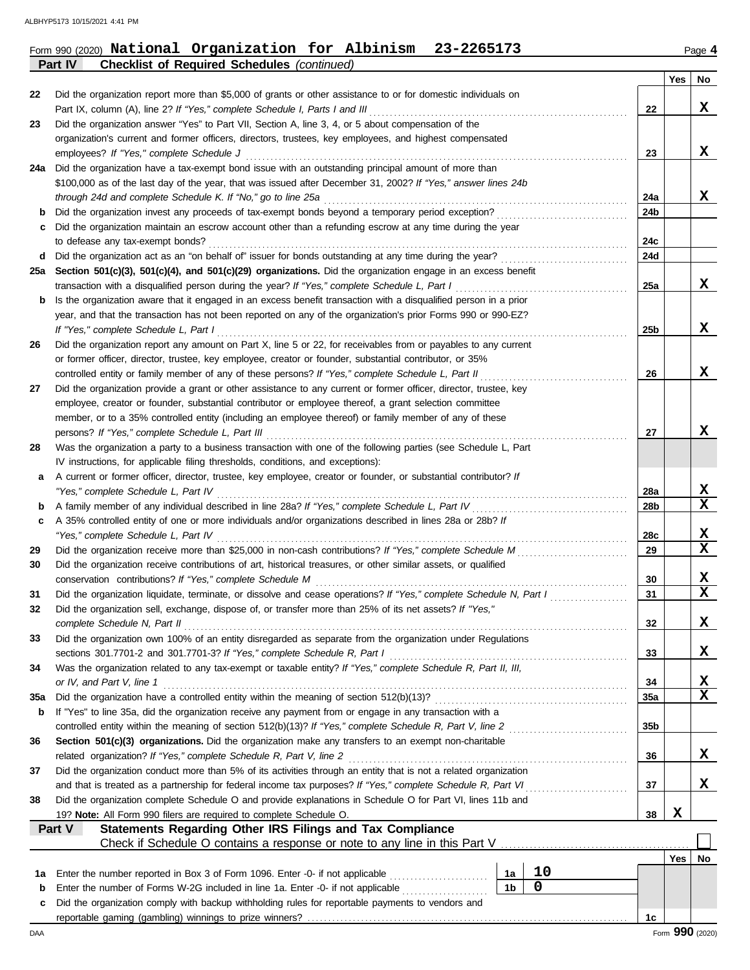#### Form 990 (2020) Page **4 National Organization for Albinism 23-2265173**

**Part IV Checklist of Required Schedules** *(continued)*

|          |                                                                                                                                                                                                                                  |                 | Yes         | No               |
|----------|----------------------------------------------------------------------------------------------------------------------------------------------------------------------------------------------------------------------------------|-----------------|-------------|------------------|
| 22       | Did the organization report more than \$5,000 of grants or other assistance to or for domestic individuals on                                                                                                                    |                 |             |                  |
|          | Part IX, column (A), line 2? If "Yes," complete Schedule I, Parts I and III                                                                                                                                                      | 22              |             | x                |
| 23       | Did the organization answer "Yes" to Part VII, Section A, line 3, 4, or 5 about compensation of the                                                                                                                              |                 |             |                  |
|          | organization's current and former officers, directors, trustees, key employees, and highest compensated                                                                                                                          |                 |             | X                |
| 24a      | employees? If "Yes," complete Schedule J<br>Did the organization have a tax-exempt bond issue with an outstanding principal amount of more than                                                                                  | 23              |             |                  |
|          | \$100,000 as of the last day of the year, that was issued after December 31, 2002? If "Yes," answer lines 24b                                                                                                                    |                 |             |                  |
|          | through 24d and complete Schedule K. If "No," go to line 25a                                                                                                                                                                     | 24a             |             | X                |
| b        | Did the organization invest any proceeds of tax-exempt bonds beyond a temporary period exception?                                                                                                                                | 24b             |             |                  |
| c        | Did the organization maintain an escrow account other than a refunding escrow at any time during the year                                                                                                                        |                 |             |                  |
|          | to defease any tax-exempt bonds?                                                                                                                                                                                                 | 24c             |             |                  |
| d        |                                                                                                                                                                                                                                  | 24d             |             |                  |
| 25а      | Section 501(c)(3), 501(c)(4), and 501(c)(29) organizations. Did the organization engage in an excess benefit                                                                                                                     |                 |             |                  |
|          | transaction with a disqualified person during the year? If "Yes," complete Schedule L, Part I                                                                                                                                    | 25a             |             | x                |
| b        | Is the organization aware that it engaged in an excess benefit transaction with a disqualified person in a prior<br>year, and that the transaction has not been reported on any of the organization's prior Forms 990 or 990-EZ? |                 |             |                  |
|          | If "Yes," complete Schedule L, Part I                                                                                                                                                                                            | 25 <sub>b</sub> |             | X                |
| 26       | Did the organization report any amount on Part X, line 5 or 22, for receivables from or payables to any current                                                                                                                  |                 |             |                  |
|          | or former officer, director, trustee, key employee, creator or founder, substantial contributor, or 35%                                                                                                                          |                 |             |                  |
|          | controlled entity or family member of any of these persons? If "Yes," complete Schedule L, Part II                                                                                                                               | 26              |             | x                |
| 27       | Did the organization provide a grant or other assistance to any current or former officer, director, trustee, key                                                                                                                |                 |             |                  |
|          | employee, creator or founder, substantial contributor or employee thereof, a grant selection committee                                                                                                                           |                 |             |                  |
|          | member, or to a 35% controlled entity (including an employee thereof) or family member of any of these                                                                                                                           |                 |             |                  |
|          | persons? If "Yes," complete Schedule L, Part III                                                                                                                                                                                 | 27              |             | x                |
| 28       | Was the organization a party to a business transaction with one of the following parties (see Schedule L, Part<br>IV instructions, for applicable filing thresholds, conditions, and exceptions):                                |                 |             |                  |
| а        | A current or former officer, director, trustee, key employee, creator or founder, or substantial contributor? If                                                                                                                 |                 |             |                  |
|          | "Yes," complete Schedule L, Part IV                                                                                                                                                                                              | 28a             |             | X                |
| b        |                                                                                                                                                                                                                                  | 28b             |             | $\mathbf x$      |
| c        | A 35% controlled entity of one or more individuals and/or organizations described in lines 28a or 28b? If                                                                                                                        |                 |             |                  |
|          | "Yes," complete Schedule L, Part IV                                                                                                                                                                                              | 28c             |             | X                |
| 29       |                                                                                                                                                                                                                                  | 29              |             | X                |
| 30       | Did the organization receive contributions of art, historical treasures, or other similar assets, or qualified                                                                                                                   |                 |             |                  |
|          | conservation contributions? If "Yes," complete Schedule M                                                                                                                                                                        | 30<br>31        |             | x<br>$\mathbf x$ |
| 31<br>32 | Did the organization liquidate, terminate, or dissolve and cease operations? If "Yes," complete Schedule N, Part I<br>Did the organization sell, exchange, dispose of, or transfer more than 25% of its net assets? If "Yes,"    |                 |             |                  |
|          | complete Schedule N, Part II                                                                                                                                                                                                     | 32              |             | X                |
| 33       | Did the organization own 100% of an entity disregarded as separate from the organization under Regulations                                                                                                                       |                 |             |                  |
|          | sections 301.7701-2 and 301.7701-3? If "Yes," complete Schedule R, Part I                                                                                                                                                        | 33              |             | x                |
| 34       | Was the organization related to any tax-exempt or taxable entity? If "Yes," complete Schedule R, Part II, III,                                                                                                                   |                 |             |                  |
|          | or IV, and Part V, line 1                                                                                                                                                                                                        | 34              |             | X                |
| 35a      |                                                                                                                                                                                                                                  | 35a             |             | $\mathbf x$      |
| b        | If "Yes" to line 35a, did the organization receive any payment from or engage in any transaction with a                                                                                                                          |                 |             |                  |
| 36       | controlled entity within the meaning of section 512(b)(13)? If "Yes," complete Schedule R, Part V, line 2<br>Section 501(c)(3) organizations. Did the organization make any transfers to an exempt non-charitable                | 35b             |             |                  |
|          | related organization? If "Yes," complete Schedule R, Part V, line 2                                                                                                                                                              | 36              |             | x                |
| 37       | Did the organization conduct more than 5% of its activities through an entity that is not a related organization                                                                                                                 |                 |             |                  |
|          | and that is treated as a partnership for federal income tax purposes? If "Yes," complete Schedule R, Part VI                                                                                                                     | 37              |             | x                |
| 38       | Did the organization complete Schedule O and provide explanations in Schedule O for Part VI, lines 11b and                                                                                                                       |                 |             |                  |
|          | 19? Note: All Form 990 filers are required to complete Schedule O.                                                                                                                                                               | 38              | X           |                  |
|          | Statements Regarding Other IRS Filings and Tax Compliance<br>Part V                                                                                                                                                              |                 |             |                  |
|          | Check if Schedule O contains a response or note to any line in this Part V                                                                                                                                                       |                 |             |                  |
|          | $10$<br>Enter the number reported in Box 3 of Form 1096. Enter -0- if not applicable<br>1a                                                                                                                                       |                 | Yes $\vert$ | No               |
| 1а<br>b  | $\mathbf 0$<br>1 <sub>b</sub><br>Enter the number of Forms W-2G included in line 1a. Enter -0- if not applicable                                                                                                                 |                 |             |                  |
| c        | Did the organization comply with backup withholding rules for reportable payments to vendors and                                                                                                                                 |                 |             |                  |
|          |                                                                                                                                                                                                                                  | 1c              |             |                  |
| DAA      |                                                                                                                                                                                                                                  |                 |             | Form 990 (2020)  |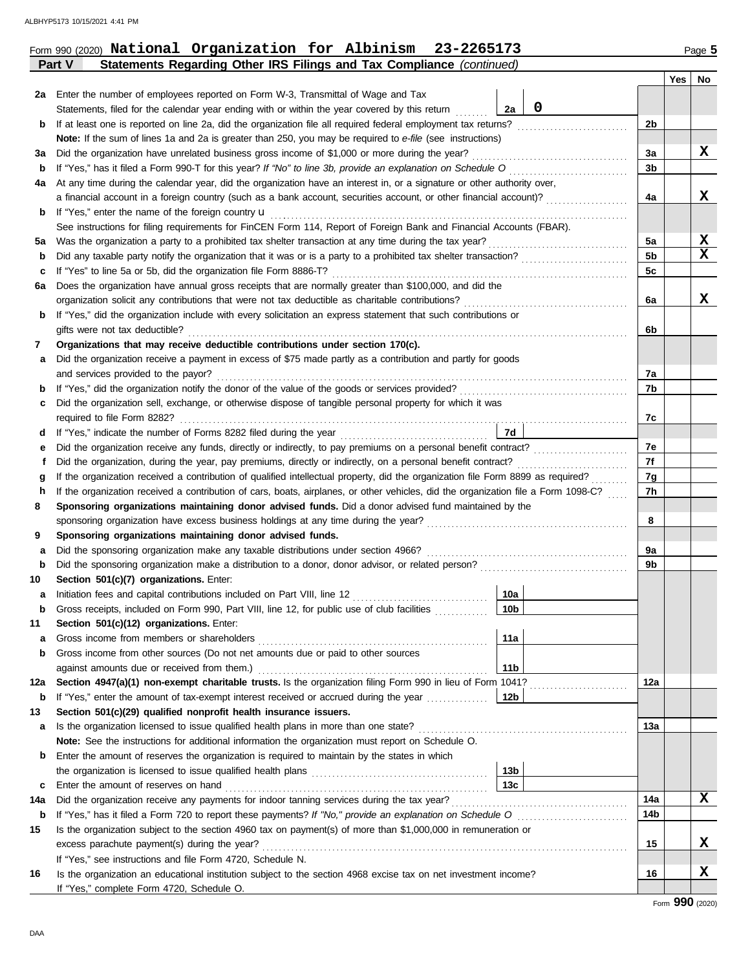| Form 990 (2020) National Organization for Albinism 23-2265173 | Page 5 |
|---------------------------------------------------------------|--------|
|---------------------------------------------------------------|--------|

|     | Statements Regarding Other IRS Filings and Tax Compliance (continued)<br>Part V                                                    |                 |             |                |     |                  |
|-----|------------------------------------------------------------------------------------------------------------------------------------|-----------------|-------------|----------------|-----|------------------|
|     |                                                                                                                                    |                 |             |                | Yes | No               |
| 2a  | Enter the number of employees reported on Form W-3, Transmittal of Wage and Tax                                                    |                 |             |                |     |                  |
|     | Statements, filed for the calendar year ending with or within the year covered by this return                                      | 2a              | $\mathbf 0$ |                |     |                  |
| b   | If at least one is reported on line 2a, did the organization file all required federal employment tax returns?                     |                 |             | 2b             |     |                  |
|     | Note: If the sum of lines 1a and 2a is greater than 250, you may be required to e-file (see instructions)                          |                 |             |                |     |                  |
| за  | Did the organization have unrelated business gross income of \$1,000 or more during the year?                                      |                 |             | За             |     | x                |
| b   |                                                                                                                                    |                 |             | 3b             |     |                  |
| 4a  | At any time during the calendar year, did the organization have an interest in, or a signature or other authority over,            |                 |             |                |     |                  |
|     | a financial account in a foreign country (such as a bank account, securities account, or other financial account)?                 |                 |             | 4a             |     | X                |
| b   | If "Yes," enter the name of the foreign country $\mathbf u$                                                                        |                 |             |                |     |                  |
|     | See instructions for filing requirements for FinCEN Form 114, Report of Foreign Bank and Financial Accounts (FBAR).                |                 |             |                |     |                  |
| 5а  | Was the organization a party to a prohibited tax shelter transaction at any time during the tax year?                              |                 |             | 5a             |     | X<br>$\mathbf x$ |
| b   |                                                                                                                                    |                 |             | 5 <sub>b</sub> |     |                  |
| с   | If "Yes" to line 5a or 5b, did the organization file Form 8886-T?                                                                  |                 |             | 5c             |     |                  |
| 6а  | Does the organization have annual gross receipts that are normally greater than \$100,000, and did the                             |                 |             |                |     | X                |
|     | If "Yes," did the organization include with every solicitation an express statement that such contributions or                     |                 |             | 6а             |     |                  |
| b   | gifts were not tax deductible?                                                                                                     |                 |             | 6b             |     |                  |
| 7   | Organizations that may receive deductible contributions under section 170(c).                                                      |                 |             |                |     |                  |
| a   | Did the organization receive a payment in excess of \$75 made partly as a contribution and partly for goods                        |                 |             |                |     |                  |
|     | and services provided to the payor?                                                                                                |                 |             | 7a             |     |                  |
| b   |                                                                                                                                    |                 |             | 7b             |     |                  |
| c   | Did the organization sell, exchange, or otherwise dispose of tangible personal property for which it was                           |                 |             |                |     |                  |
|     | required to file Form 8282?                                                                                                        |                 |             | 7c             |     |                  |
| a   |                                                                                                                                    | 7d              |             |                |     |                  |
| е   | Did the organization receive any funds, directly or indirectly, to pay premiums on a personal benefit contract?                    |                 |             | 7е             |     |                  |
| f   | Did the organization, during the year, pay premiums, directly or indirectly, on a personal benefit contract?                       |                 |             | 7f             |     |                  |
| g   | If the organization received a contribution of qualified intellectual property, did the organization file Form 8899 as required?   |                 |             | 7g             |     |                  |
| h   | If the organization received a contribution of cars, boats, airplanes, or other vehicles, did the organization file a Form 1098-C? |                 |             | 7h             |     |                  |
| 8   | Sponsoring organizations maintaining donor advised funds. Did a donor advised fund maintained by the                               |                 |             |                |     |                  |
|     |                                                                                                                                    |                 |             | 8              |     |                  |
| 9   | Sponsoring organizations maintaining donor advised funds.                                                                          |                 |             |                |     |                  |
| а   | Did the sponsoring organization make any taxable distributions under section 4966?                                                 |                 |             | 9а             |     |                  |
| b   |                                                                                                                                    |                 |             | 9b             |     |                  |
| 10  | Section 501(c)(7) organizations. Enter:                                                                                            |                 |             |                |     |                  |
| а   |                                                                                                                                    | 10a             |             |                |     |                  |
|     | Gross receipts, included on Form 990, Part VIII, line 12, for public use of club facilities                                        | 10 <sub>b</sub> |             |                |     |                  |
| 11  | Section 501(c)(12) organizations. Enter:                                                                                           |                 |             |                |     |                  |
| a   |                                                                                                                                    | 11a             |             |                |     |                  |
| b   | Gross income from other sources (Do not net amounts due or paid to other sources                                                   |                 |             |                |     |                  |
|     |                                                                                                                                    | 11 <sub>b</sub> |             |                |     |                  |
| 12a | Section 4947(a)(1) non-exempt charitable trusts. Is the organization filing Form 990 in lieu of Form 1041?                         |                 |             | 12a            |     |                  |
| b   | If "Yes," enter the amount of tax-exempt interest received or accrued during the year                                              | 12b             |             |                |     |                  |
| 13  | Section 501(c)(29) qualified nonprofit health insurance issuers.                                                                   |                 |             |                |     |                  |
| a   | Is the organization licensed to issue qualified health plans in more than one state?                                               |                 |             | 13a            |     |                  |
|     | <b>Note:</b> See the instructions for additional information the organization must report on Schedule O.                           |                 |             |                |     |                  |
| b   | Enter the amount of reserves the organization is required to maintain by the states in which                                       | 13 <sub>b</sub> |             |                |     |                  |
| c   |                                                                                                                                    | 13с             |             |                |     |                  |
| 14a | Did the organization receive any payments for indoor tanning services during the tax year?                                         |                 |             | 14a            |     | x                |
| b   |                                                                                                                                    |                 |             | 14b            |     |                  |
| 15  | Is the organization subject to the section 4960 tax on payment(s) of more than \$1,000,000 in remuneration or                      |                 |             |                |     |                  |
|     | excess parachute payment(s) during the year?                                                                                       |                 |             | 15             |     | X.               |
|     | If "Yes," see instructions and file Form 4720, Schedule N.                                                                         |                 |             |                |     |                  |
| 16  | Is the organization an educational institution subject to the section 4968 excise tax on net investment income?                    |                 |             | 16             |     | X                |
|     | If "Yes," complete Form 4720, Schedule O.                                                                                          |                 |             |                |     |                  |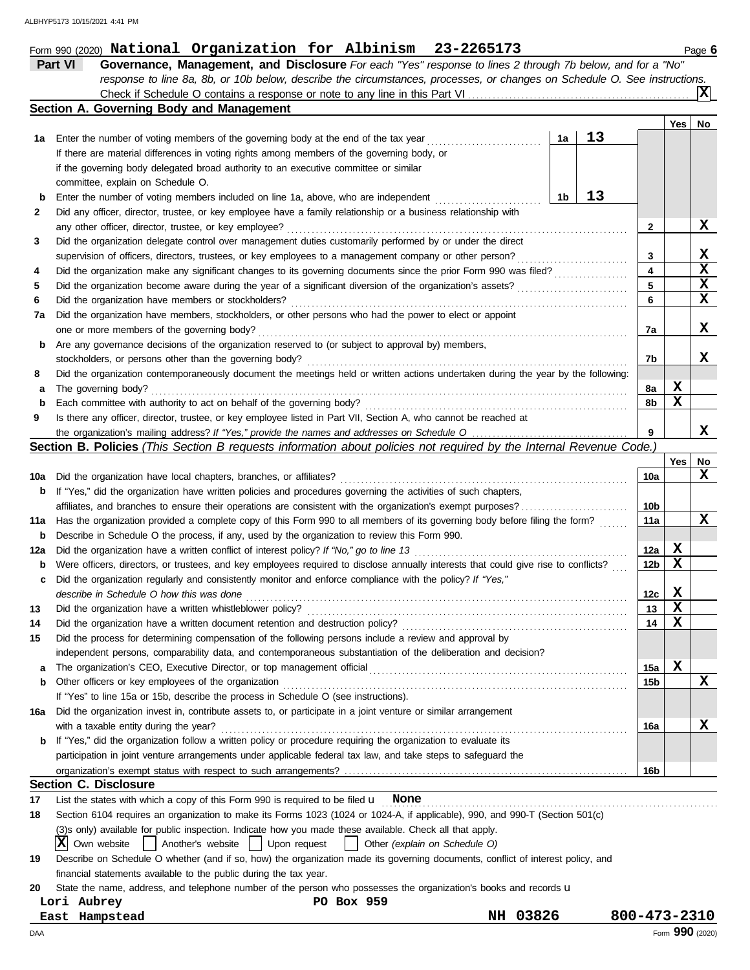|                                                 | response to line 8a, 8b, or 10b below, describe the circumstances, processes, or changes on Schedule O. See instructions.           |                 |             |     |  |  |  |
|-------------------------------------------------|-------------------------------------------------------------------------------------------------------------------------------------|-----------------|-------------|-----|--|--|--|
|                                                 | Check if Schedule O contains a response or note to any line in this Part VI.                                                        |                 |             | Ixl |  |  |  |
| <b>Section A. Governing Body and Management</b> |                                                                                                                                     |                 |             |     |  |  |  |
|                                                 |                                                                                                                                     |                 | Yes         | No  |  |  |  |
| 1a                                              | 13<br>Enter the number of voting members of the governing body at the end of the tax year<br>1a                                     |                 |             |     |  |  |  |
|                                                 | If there are material differences in voting rights among members of the governing body, or                                          |                 |             |     |  |  |  |
|                                                 | if the governing body delegated broad authority to an executive committee or similar                                                |                 |             |     |  |  |  |
|                                                 | committee, explain on Schedule O.                                                                                                   |                 |             |     |  |  |  |
| b                                               | 13<br>1 <sub>b</sub><br>Enter the number of voting members included on line 1a, above, who are independent                          |                 |             |     |  |  |  |
| 2                                               | Did any officer, director, trustee, or key employee have a family relationship or a business relationship with                      |                 |             |     |  |  |  |
|                                                 | any other officer, director, trustee, or key employee?                                                                              | 2               |             | x   |  |  |  |
| 3                                               | Did the organization delegate control over management duties customarily performed by or under the direct                           |                 |             |     |  |  |  |
|                                                 | supervision of officers, directors, trustees, or key employees to a management company or other person?                             | 3               |             | X   |  |  |  |
| 4                                               | Did the organization make any significant changes to its governing documents since the prior Form 990 was filed?                    | 4               |             | X   |  |  |  |
| 5                                               |                                                                                                                                     | 5               |             | X   |  |  |  |
| 6                                               | Did the organization have members or stockholders?                                                                                  | 6               |             | X   |  |  |  |
| 7a                                              | Did the organization have members, stockholders, or other persons who had the power to elect or appoint                             |                 |             |     |  |  |  |
|                                                 | one or more members of the governing body?                                                                                          | 7а              |             | X   |  |  |  |
| b                                               | Are any governance decisions of the organization reserved to (or subject to approval by) members,                                   |                 |             |     |  |  |  |
|                                                 | stockholders, or persons other than the governing body?                                                                             | 7b              |             | X.  |  |  |  |
| 8                                               | Did the organization contemporaneously document the meetings held or written actions undertaken during the year by the following:   |                 |             |     |  |  |  |
| а                                               | The governing body?                                                                                                                 | 8а              | х<br>X      |     |  |  |  |
| b                                               |                                                                                                                                     | 8b              |             |     |  |  |  |
| 9                                               | Is there any officer, director, trustee, or key employee listed in Part VII, Section A, who cannot be reached at                    | 9               |             | x   |  |  |  |
|                                                 | Section B. Policies (This Section B requests information about policies not required by the Internal Revenue Code.)                 |                 |             |     |  |  |  |
|                                                 |                                                                                                                                     |                 | Yes         | No  |  |  |  |
| 10a                                             | Did the organization have local chapters, branches, or affiliates?                                                                  | 10a             |             | x   |  |  |  |
| b                                               | If "Yes," did the organization have written policies and procedures governing the activities of such chapters,                      |                 |             |     |  |  |  |
|                                                 | affiliates, and branches to ensure their operations are consistent with the organization's exempt purposes?                         | 10 <sub>b</sub> |             |     |  |  |  |
| 11a                                             | Has the organization provided a complete copy of this Form 990 to all members of its governing body before filing the form?         | 11a             |             | x   |  |  |  |
| b                                               | Describe in Schedule O the process, if any, used by the organization to review this Form 990.                                       |                 |             |     |  |  |  |
| 12a                                             | Did the organization have a written conflict of interest policy? If "No," go to line 13                                             | 12a             | x           |     |  |  |  |
| b                                               | Were officers, directors, or trustees, and key employees required to disclose annually interests that could give rise to conflicts? | 12b             | X           |     |  |  |  |
| c                                               | Did the organization regularly and consistently monitor and enforce compliance with the policy? If "Yes,"                           |                 |             |     |  |  |  |
|                                                 | describe in Schedule O how this was done                                                                                            | 12c             | X           |     |  |  |  |
| 13                                              |                                                                                                                                     | 13              | X           |     |  |  |  |
| 14                                              | Did the organization have a written document retention and destruction policy?                                                      | 14              | $\mathbf x$ |     |  |  |  |
| 15                                              | Did the process for determining compensation of the following persons include a review and approval by                              |                 |             |     |  |  |  |
|                                                 | independent persons, comparability data, and contemporaneous substantiation of the deliberation and decision?                       |                 |             |     |  |  |  |
| а                                               |                                                                                                                                     | 15a             | $\mathbf x$ |     |  |  |  |
| b                                               | Other officers or key employees of the organization                                                                                 | 15b             |             | X   |  |  |  |
|                                                 | If "Yes" to line 15a or 15b, describe the process in Schedule O (see instructions).                                                 |                 |             |     |  |  |  |
| 16a                                             | Did the organization invest in, contribute assets to, or participate in a joint venture or similar arrangement                      |                 |             |     |  |  |  |
|                                                 | with a taxable entity during the year?                                                                                              | 16a             |             | X   |  |  |  |
| b                                               | If "Yes," did the organization follow a written policy or procedure requiring the organization to evaluate its                      |                 |             |     |  |  |  |
|                                                 | participation in joint venture arrangements under applicable federal tax law, and take steps to safeguard the                       |                 |             |     |  |  |  |
|                                                 |                                                                                                                                     | 16b             |             |     |  |  |  |
|                                                 | <b>Section C. Disclosure</b>                                                                                                        |                 |             |     |  |  |  |
| 17                                              | List the states with which a copy of this Form 990 is required to be filed $\mathbf u$ None                                         |                 |             |     |  |  |  |
| 18                                              | Section 6104 requires an organization to make its Forms 1023 (1024 or 1024-A, if applicable), 990, and 990-T (Section 501(c)        |                 |             |     |  |  |  |
|                                                 | (3)s only) available for public inspection. Indicate how you made these available. Check all that apply.                            |                 |             |     |  |  |  |
|                                                 | IXI<br>  Another's website   Upon request<br>Own website<br>Other (explain on Schedule O)<br>$\Box$                                 |                 |             |     |  |  |  |
| 19                                              | Describe on Schedule O whether (and if so, how) the organization made its governing documents, conflict of interest policy, and     |                 |             |     |  |  |  |
|                                                 | financial statements available to the public during the tax year.                                                                   |                 |             |     |  |  |  |
| 20                                              | State the name, address, and telephone number of the person who possesses the organization's books and records u                    |                 |             |     |  |  |  |
|                                                 | Lori Aubrey<br>PO Box 959                                                                                                           |                 |             |     |  |  |  |
|                                                 | NH 03826<br>East Hampstead                                                                                                          | 800-473-2310    |             |     |  |  |  |

**Part VI Governance, Management, and Disclosure** *For each "Yes" response to lines 2 through 7b below, and for a "No"*

DAA Form **990** (2020)

Form 990 (2020) Page **6 National Organization for Albinism 23-2265173**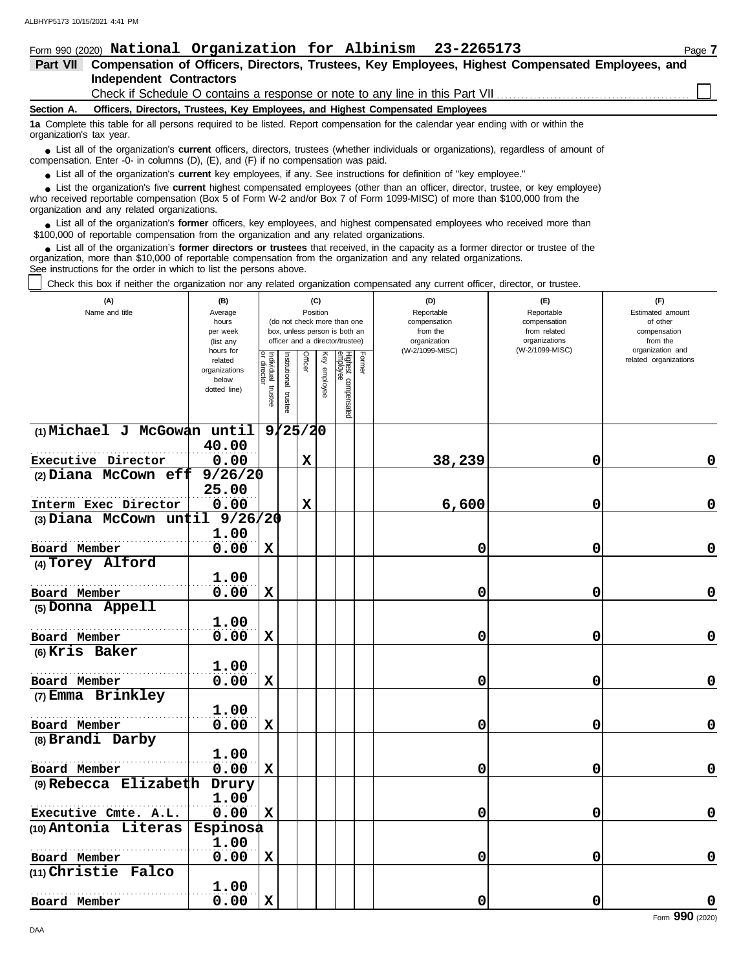|                          | Form 990 (2020) National Organization for Albinism 23-2265173                                                                                                                                                                                               | Page $\overline{\imath}$ |
|--------------------------|-------------------------------------------------------------------------------------------------------------------------------------------------------------------------------------------------------------------------------------------------------------|--------------------------|
| Part VII                 | Compensation of Officers, Directors, Trustees, Key Employees, Highest Compensated Employees, and                                                                                                                                                            |                          |
|                          | <b>Independent Contractors</b>                                                                                                                                                                                                                              |                          |
|                          | Check if Schedule O contains a response or note to any line in this Part VII                                                                                                                                                                                |                          |
| Section A.               | Officers, Directors, Trustees, Key Employees, and Highest Compensated Employees                                                                                                                                                                             |                          |
| organization's tax year. | 1a Complete this table for all persons required to be listed. Report compensation for the calendar year ending with or within the                                                                                                                           |                          |
|                          | • List all of the organization's current officers, directors, trustees (whether individuals or organizations), regardless of amount of<br>compensation. Enter -0- in columns $(D)$ , $(E)$ , and $(F)$ if no compensation was paid.                         |                          |
|                          | • List all of the organization's current key employees, if any. See instructions for definition of "key employee."                                                                                                                                          |                          |
|                          | • List the organization's five current highest compensated employees (other than an officer, director, trustee, or key employee)<br>who received reportable componention (Rev 5 of Ferm W 2 and/or Rev 7 of Ferm 1000 MISC) of more than \$100,000 from the |                          |

who received reportable compensation (Box 5 of Form W-2 and/or Box 7 of Form 1099-MISC) of more than \$100,000 from the organization and any related organizations.

List all of the organization's **former** officers, key employees, and highest compensated employees who received more than • List all of the organization's **former** officers, key employees, and highest compensate \$100,000 of reportable compensation from the organization and any related organizations.

List all of the organization's **former directors or trustees** that received, in the capacity as a former director or trustee of the organization, more than \$10,000 of reportable compensation from the organization and any related organizations. See instructions for the order in which to list the persons above. **•**

Check this box if neither the organization nor any related organization compensated any current officer, director, or trustee.

| (A)<br>Name and title                        | (B)<br>Average<br>hours<br>per week<br>(list any<br>hours for |                                      |                         | (C)<br>Position |                 | (do not check more than one<br>box, unless person is both an<br>officer and a director/trustee) |        | (D)<br>Reportable<br>compensation<br>from the<br>organization<br>(W-2/1099-MISC) | (E)<br>Reportable<br>compensation<br>from related<br>organizations<br>(W-2/1099-MISC) | (F)<br>Estimated amount<br>of other<br>compensation<br>from the<br>organization and |
|----------------------------------------------|---------------------------------------------------------------|--------------------------------------|-------------------------|-----------------|-----------------|-------------------------------------------------------------------------------------------------|--------|----------------------------------------------------------------------------------|---------------------------------------------------------------------------------------|-------------------------------------------------------------------------------------|
|                                              | related<br>organizations<br>below<br>dotted line)             | Individual<br>or director<br>trustee | nstitutional<br>trustee | Officer         | Ķey<br>employee | Highest compensated<br>employee                                                                 | Former |                                                                                  |                                                                                       | related organizations                                                               |
| (1) Michael J McGowan until                  |                                                               |                                      | 9/25/20                 |                 |                 |                                                                                                 |        |                                                                                  |                                                                                       |                                                                                     |
|                                              | 40.00                                                         |                                      |                         |                 |                 |                                                                                                 |        |                                                                                  |                                                                                       |                                                                                     |
| Executive Director                           | 0.00                                                          |                                      |                         | $\mathbf x$     |                 |                                                                                                 |        | 38,239                                                                           | 0                                                                                     | 0                                                                                   |
| $(2)$ Diana McCown eff                       | 9/26/20                                                       |                                      |                         |                 |                 |                                                                                                 |        |                                                                                  |                                                                                       |                                                                                     |
|                                              | 25.00                                                         |                                      |                         |                 |                 |                                                                                                 |        |                                                                                  |                                                                                       |                                                                                     |
| Interm Exec Director                         | 0.00                                                          |                                      |                         | $\mathbf x$     |                 |                                                                                                 |        | 6,600                                                                            | 0                                                                                     | 0                                                                                   |
| (3) Diana McCown $un\ddagger i1$             | 9/26/20                                                       |                                      |                         |                 |                 |                                                                                                 |        |                                                                                  |                                                                                       |                                                                                     |
|                                              | 1.00                                                          |                                      |                         |                 |                 |                                                                                                 |        |                                                                                  |                                                                                       |                                                                                     |
| Board Member                                 | 0.00                                                          | $\mathbf x$                          |                         |                 |                 |                                                                                                 |        | 0                                                                                | 0                                                                                     | $\mathbf 0$                                                                         |
| (4) Torey Alford                             |                                                               |                                      |                         |                 |                 |                                                                                                 |        |                                                                                  |                                                                                       |                                                                                     |
|                                              | 1.00                                                          |                                      |                         |                 |                 |                                                                                                 |        |                                                                                  |                                                                                       |                                                                                     |
| Board Member                                 | 0.00                                                          | $\mathbf x$                          |                         |                 |                 |                                                                                                 |        | 0                                                                                | 0                                                                                     | 0                                                                                   |
| (5) Donna Appell                             |                                                               |                                      |                         |                 |                 |                                                                                                 |        |                                                                                  |                                                                                       |                                                                                     |
|                                              | 1.00                                                          |                                      |                         |                 |                 |                                                                                                 |        |                                                                                  |                                                                                       |                                                                                     |
| Board Member                                 | 0.00                                                          | $\mathbf x$                          |                         |                 |                 |                                                                                                 |        | 0                                                                                | 0                                                                                     | $\mathbf 0$                                                                         |
| (6) Kris Baker                               |                                                               |                                      |                         |                 |                 |                                                                                                 |        |                                                                                  |                                                                                       |                                                                                     |
|                                              | 1.00                                                          |                                      |                         |                 |                 |                                                                                                 |        |                                                                                  |                                                                                       |                                                                                     |
| Board Member                                 | 0.00                                                          | $\mathbf x$                          |                         |                 |                 |                                                                                                 |        | 0                                                                                | 0                                                                                     | 0                                                                                   |
| (7) Emma Brinkley                            |                                                               |                                      |                         |                 |                 |                                                                                                 |        |                                                                                  |                                                                                       |                                                                                     |
|                                              | 1.00                                                          |                                      |                         |                 |                 |                                                                                                 |        |                                                                                  |                                                                                       |                                                                                     |
| Board Member                                 | 0.00                                                          | $\mathbf x$                          |                         |                 |                 |                                                                                                 |        | 0                                                                                | 0                                                                                     | $\mathbf 0$                                                                         |
| (8) Brandi Darby                             |                                                               |                                      |                         |                 |                 |                                                                                                 |        |                                                                                  |                                                                                       |                                                                                     |
|                                              | 1.00                                                          |                                      |                         |                 |                 |                                                                                                 |        |                                                                                  |                                                                                       |                                                                                     |
| Board Member<br>$(9)$ Rebecca Elizabeth      | 0.00                                                          | $\mathbf x$                          |                         |                 |                 |                                                                                                 |        | 0                                                                                | 0                                                                                     | 0                                                                                   |
|                                              | Drury<br>1.00                                                 |                                      |                         |                 |                 |                                                                                                 |        |                                                                                  |                                                                                       |                                                                                     |
|                                              | 0.00                                                          | X                                    |                         |                 |                 |                                                                                                 |        | 0                                                                                | 0                                                                                     | $\mathbf 0$                                                                         |
| Executive Cmte. A.L.<br>(10) Antonia Literas | <b>Espinosa</b>                                               |                                      |                         |                 |                 |                                                                                                 |        |                                                                                  |                                                                                       |                                                                                     |
|                                              | 1.00                                                          |                                      |                         |                 |                 |                                                                                                 |        |                                                                                  |                                                                                       |                                                                                     |
| Board Member                                 | 0.00                                                          | $\mathbf x$                          |                         |                 |                 |                                                                                                 |        | 0                                                                                | 0                                                                                     | 0                                                                                   |
| (11) Christie Falco                          |                                                               |                                      |                         |                 |                 |                                                                                                 |        |                                                                                  |                                                                                       |                                                                                     |
|                                              | 1.00                                                          |                                      |                         |                 |                 |                                                                                                 |        |                                                                                  |                                                                                       |                                                                                     |
| Board Member                                 | 0.00                                                          | $\mathbf x$                          |                         |                 |                 |                                                                                                 |        | 0                                                                                | 0                                                                                     | $\mathbf 0$                                                                         |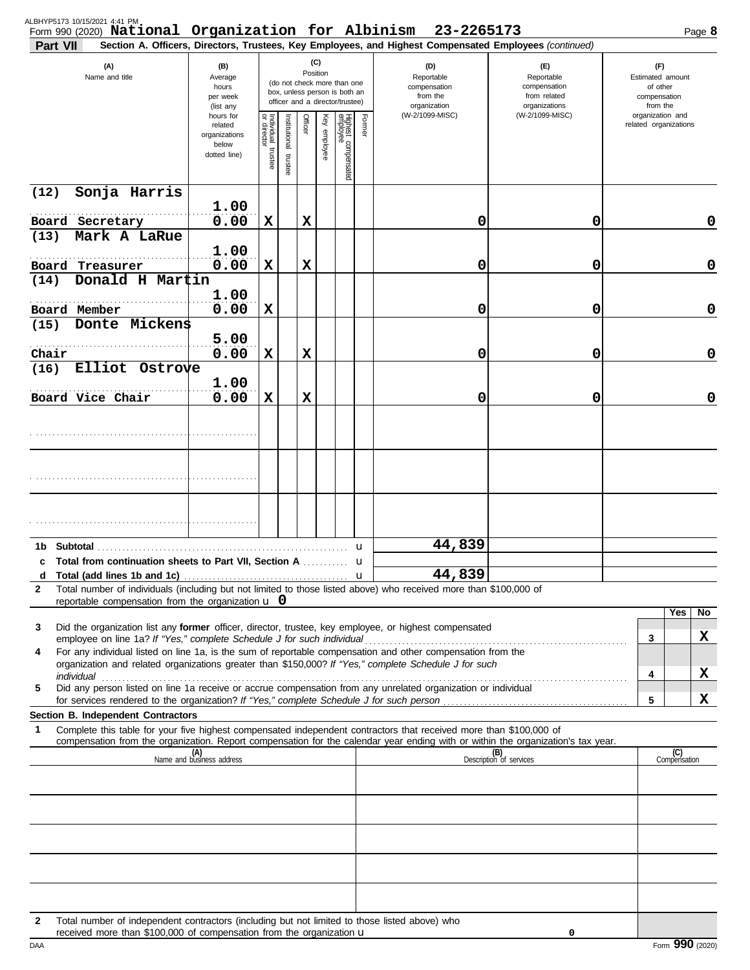| (C)<br>(A)<br>(D)<br>(B)<br>(E)<br>(F)<br>Position<br>Name and title<br>Average<br>Reportable<br>Reportable<br>Estimated amount<br>(do not check more than one<br>compensation<br>of other<br>hours<br>compensation<br>box, unless person is both an<br>from the<br>from related<br>per week<br>compensation<br>officer and a director/trustee)<br>organizations<br>organization<br>from the<br>(list any<br>(W-2/1099-MISC)<br>organization and<br>(W-2/1099-MISC)<br>hours for<br>Individual trustee<br>or director<br>Officer<br>Highest compensated<br>employee<br>Former<br>Key employee<br>Institutional<br>related organizations<br>related<br>organizations<br>below<br>dotted line)<br>trustee<br>Sonja Harris<br>(12)<br>1.00<br>0.00<br>$\mathbf x$<br>0<br>Board Secretary<br>х<br>0<br>0<br>Mark A LaRue<br>(13)<br>1.00<br>0.00<br>$\mathbf x$<br>X<br>0<br>$\mathbf 0$<br>0<br>Board Treasurer<br>Donald H Martin<br>(14)<br>1.00<br>0.00<br>$\mathbf x$<br>Board Member<br>0<br>$\mathbf 0$<br>0<br>Donte Mickens<br>(15)<br>5.00<br>0.00<br>$\mathbf x$<br>X<br>0<br>0<br>Chair<br>0<br>Elliot Ostrove<br>(16)<br>1.00<br>0.00<br>Board Vice Chair<br>X<br>X<br>0<br>0<br>0<br>44,839<br>Subtotal<br>1b<br>u<br>c Total from continuation sheets to Part VII, Section A manuscript<br>u<br>44,839<br>d<br>u<br>Total number of individuals (including but not limited to those listed above) who received more than \$100,000 of<br>2<br>reportable compensation from the organization $\bf{u}$ 0<br>Yes<br>No.<br>Did the organization list any former officer, director, trustee, key employee, or highest compensated<br>3<br>X<br>3<br>For any individual listed on line 1a, is the sum of reportable compensation and other compensation from the<br>4<br>organization and related organizations greater than \$150,000? If "Yes," complete Schedule J for such<br>X<br>4<br>Did any person listed on line 1a receive or accrue compensation from any unrelated organization or individual<br>5<br>x<br>5<br>Section B. Independent Contractors<br>Complete this table for your five highest compensated independent contractors that received more than \$100,000 of<br>1<br>compensation from the organization. Report compensation for the calendar year ending with or within the organization's tax year.<br>(B)<br>(C)<br>Compensation<br>(A)<br>Name and business address<br>Description of services<br>Total number of independent contractors (including but not limited to those listed above) who<br>2<br>received more than \$100,000 of compensation from the organization u<br>0 | ALBHYP5173 10/15/2021 4:41 PM<br>Part VII | Form 990 (2020) National Organization for Albinism |  |  |  | 23-2265173<br>Section A. Officers, Directors, Trustees, Key Employees, and Highest Compensated Employees (continued) |  |  | Page 8 |
|----------------------------------------------------------------------------------------------------------------------------------------------------------------------------------------------------------------------------------------------------------------------------------------------------------------------------------------------------------------------------------------------------------------------------------------------------------------------------------------------------------------------------------------------------------------------------------------------------------------------------------------------------------------------------------------------------------------------------------------------------------------------------------------------------------------------------------------------------------------------------------------------------------------------------------------------------------------------------------------------------------------------------------------------------------------------------------------------------------------------------------------------------------------------------------------------------------------------------------------------------------------------------------------------------------------------------------------------------------------------------------------------------------------------------------------------------------------------------------------------------------------------------------------------------------------------------------------------------------------------------------------------------------------------------------------------------------------------------------------------------------------------------------------------------------------------------------------------------------------------------------------------------------------------------------------------------------------------------------------------------------------------------------------------------------------------------------------------------------------------------------------------------------------------------------------------------------------------------------------------------------------------------------------------------------------------------------------------------------------------------------------------------------------------------------------------------------------------------------------------------------------------------------------------------------------------------------------------------------------------|-------------------------------------------|----------------------------------------------------|--|--|--|----------------------------------------------------------------------------------------------------------------------|--|--|--------|
|                                                                                                                                                                                                                                                                                                                                                                                                                                                                                                                                                                                                                                                                                                                                                                                                                                                                                                                                                                                                                                                                                                                                                                                                                                                                                                                                                                                                                                                                                                                                                                                                                                                                                                                                                                                                                                                                                                                                                                                                                                                                                                                                                                                                                                                                                                                                                                                                                                                                                                                                                                                                                      |                                           |                                                    |  |  |  |                                                                                                                      |  |  |        |
|                                                                                                                                                                                                                                                                                                                                                                                                                                                                                                                                                                                                                                                                                                                                                                                                                                                                                                                                                                                                                                                                                                                                                                                                                                                                                                                                                                                                                                                                                                                                                                                                                                                                                                                                                                                                                                                                                                                                                                                                                                                                                                                                                                                                                                                                                                                                                                                                                                                                                                                                                                                                                      |                                           |                                                    |  |  |  |                                                                                                                      |  |  |        |
|                                                                                                                                                                                                                                                                                                                                                                                                                                                                                                                                                                                                                                                                                                                                                                                                                                                                                                                                                                                                                                                                                                                                                                                                                                                                                                                                                                                                                                                                                                                                                                                                                                                                                                                                                                                                                                                                                                                                                                                                                                                                                                                                                                                                                                                                                                                                                                                                                                                                                                                                                                                                                      |                                           |                                                    |  |  |  |                                                                                                                      |  |  |        |
|                                                                                                                                                                                                                                                                                                                                                                                                                                                                                                                                                                                                                                                                                                                                                                                                                                                                                                                                                                                                                                                                                                                                                                                                                                                                                                                                                                                                                                                                                                                                                                                                                                                                                                                                                                                                                                                                                                                                                                                                                                                                                                                                                                                                                                                                                                                                                                                                                                                                                                                                                                                                                      |                                           |                                                    |  |  |  |                                                                                                                      |  |  |        |
|                                                                                                                                                                                                                                                                                                                                                                                                                                                                                                                                                                                                                                                                                                                                                                                                                                                                                                                                                                                                                                                                                                                                                                                                                                                                                                                                                                                                                                                                                                                                                                                                                                                                                                                                                                                                                                                                                                                                                                                                                                                                                                                                                                                                                                                                                                                                                                                                                                                                                                                                                                                                                      |                                           |                                                    |  |  |  |                                                                                                                      |  |  |        |
|                                                                                                                                                                                                                                                                                                                                                                                                                                                                                                                                                                                                                                                                                                                                                                                                                                                                                                                                                                                                                                                                                                                                                                                                                                                                                                                                                                                                                                                                                                                                                                                                                                                                                                                                                                                                                                                                                                                                                                                                                                                                                                                                                                                                                                                                                                                                                                                                                                                                                                                                                                                                                      |                                           |                                                    |  |  |  |                                                                                                                      |  |  |        |
|                                                                                                                                                                                                                                                                                                                                                                                                                                                                                                                                                                                                                                                                                                                                                                                                                                                                                                                                                                                                                                                                                                                                                                                                                                                                                                                                                                                                                                                                                                                                                                                                                                                                                                                                                                                                                                                                                                                                                                                                                                                                                                                                                                                                                                                                                                                                                                                                                                                                                                                                                                                                                      |                                           |                                                    |  |  |  |                                                                                                                      |  |  |        |
|                                                                                                                                                                                                                                                                                                                                                                                                                                                                                                                                                                                                                                                                                                                                                                                                                                                                                                                                                                                                                                                                                                                                                                                                                                                                                                                                                                                                                                                                                                                                                                                                                                                                                                                                                                                                                                                                                                                                                                                                                                                                                                                                                                                                                                                                                                                                                                                                                                                                                                                                                                                                                      |                                           |                                                    |  |  |  |                                                                                                                      |  |  |        |
|                                                                                                                                                                                                                                                                                                                                                                                                                                                                                                                                                                                                                                                                                                                                                                                                                                                                                                                                                                                                                                                                                                                                                                                                                                                                                                                                                                                                                                                                                                                                                                                                                                                                                                                                                                                                                                                                                                                                                                                                                                                                                                                                                                                                                                                                                                                                                                                                                                                                                                                                                                                                                      |                                           |                                                    |  |  |  |                                                                                                                      |  |  |        |
|                                                                                                                                                                                                                                                                                                                                                                                                                                                                                                                                                                                                                                                                                                                                                                                                                                                                                                                                                                                                                                                                                                                                                                                                                                                                                                                                                                                                                                                                                                                                                                                                                                                                                                                                                                                                                                                                                                                                                                                                                                                                                                                                                                                                                                                                                                                                                                                                                                                                                                                                                                                                                      |                                           |                                                    |  |  |  |                                                                                                                      |  |  |        |
|                                                                                                                                                                                                                                                                                                                                                                                                                                                                                                                                                                                                                                                                                                                                                                                                                                                                                                                                                                                                                                                                                                                                                                                                                                                                                                                                                                                                                                                                                                                                                                                                                                                                                                                                                                                                                                                                                                                                                                                                                                                                                                                                                                                                                                                                                                                                                                                                                                                                                                                                                                                                                      |                                           |                                                    |  |  |  |                                                                                                                      |  |  |        |
|                                                                                                                                                                                                                                                                                                                                                                                                                                                                                                                                                                                                                                                                                                                                                                                                                                                                                                                                                                                                                                                                                                                                                                                                                                                                                                                                                                                                                                                                                                                                                                                                                                                                                                                                                                                                                                                                                                                                                                                                                                                                                                                                                                                                                                                                                                                                                                                                                                                                                                                                                                                                                      |                                           |                                                    |  |  |  |                                                                                                                      |  |  |        |
|                                                                                                                                                                                                                                                                                                                                                                                                                                                                                                                                                                                                                                                                                                                                                                                                                                                                                                                                                                                                                                                                                                                                                                                                                                                                                                                                                                                                                                                                                                                                                                                                                                                                                                                                                                                                                                                                                                                                                                                                                                                                                                                                                                                                                                                                                                                                                                                                                                                                                                                                                                                                                      |                                           |                                                    |  |  |  |                                                                                                                      |  |  |        |
|                                                                                                                                                                                                                                                                                                                                                                                                                                                                                                                                                                                                                                                                                                                                                                                                                                                                                                                                                                                                                                                                                                                                                                                                                                                                                                                                                                                                                                                                                                                                                                                                                                                                                                                                                                                                                                                                                                                                                                                                                                                                                                                                                                                                                                                                                                                                                                                                                                                                                                                                                                                                                      |                                           |                                                    |  |  |  |                                                                                                                      |  |  |        |
|                                                                                                                                                                                                                                                                                                                                                                                                                                                                                                                                                                                                                                                                                                                                                                                                                                                                                                                                                                                                                                                                                                                                                                                                                                                                                                                                                                                                                                                                                                                                                                                                                                                                                                                                                                                                                                                                                                                                                                                                                                                                                                                                                                                                                                                                                                                                                                                                                                                                                                                                                                                                                      |                                           |                                                    |  |  |  |                                                                                                                      |  |  |        |
|                                                                                                                                                                                                                                                                                                                                                                                                                                                                                                                                                                                                                                                                                                                                                                                                                                                                                                                                                                                                                                                                                                                                                                                                                                                                                                                                                                                                                                                                                                                                                                                                                                                                                                                                                                                                                                                                                                                                                                                                                                                                                                                                                                                                                                                                                                                                                                                                                                                                                                                                                                                                                      |                                           |                                                    |  |  |  |                                                                                                                      |  |  |        |
|                                                                                                                                                                                                                                                                                                                                                                                                                                                                                                                                                                                                                                                                                                                                                                                                                                                                                                                                                                                                                                                                                                                                                                                                                                                                                                                                                                                                                                                                                                                                                                                                                                                                                                                                                                                                                                                                                                                                                                                                                                                                                                                                                                                                                                                                                                                                                                                                                                                                                                                                                                                                                      |                                           |                                                    |  |  |  |                                                                                                                      |  |  |        |
|                                                                                                                                                                                                                                                                                                                                                                                                                                                                                                                                                                                                                                                                                                                                                                                                                                                                                                                                                                                                                                                                                                                                                                                                                                                                                                                                                                                                                                                                                                                                                                                                                                                                                                                                                                                                                                                                                                                                                                                                                                                                                                                                                                                                                                                                                                                                                                                                                                                                                                                                                                                                                      |                                           |                                                    |  |  |  |                                                                                                                      |  |  |        |
|                                                                                                                                                                                                                                                                                                                                                                                                                                                                                                                                                                                                                                                                                                                                                                                                                                                                                                                                                                                                                                                                                                                                                                                                                                                                                                                                                                                                                                                                                                                                                                                                                                                                                                                                                                                                                                                                                                                                                                                                                                                                                                                                                                                                                                                                                                                                                                                                                                                                                                                                                                                                                      |                                           |                                                    |  |  |  |                                                                                                                      |  |  |        |
|                                                                                                                                                                                                                                                                                                                                                                                                                                                                                                                                                                                                                                                                                                                                                                                                                                                                                                                                                                                                                                                                                                                                                                                                                                                                                                                                                                                                                                                                                                                                                                                                                                                                                                                                                                                                                                                                                                                                                                                                                                                                                                                                                                                                                                                                                                                                                                                                                                                                                                                                                                                                                      |                                           |                                                    |  |  |  |                                                                                                                      |  |  |        |
|                                                                                                                                                                                                                                                                                                                                                                                                                                                                                                                                                                                                                                                                                                                                                                                                                                                                                                                                                                                                                                                                                                                                                                                                                                                                                                                                                                                                                                                                                                                                                                                                                                                                                                                                                                                                                                                                                                                                                                                                                                                                                                                                                                                                                                                                                                                                                                                                                                                                                                                                                                                                                      |                                           |                                                    |  |  |  |                                                                                                                      |  |  |        |
|                                                                                                                                                                                                                                                                                                                                                                                                                                                                                                                                                                                                                                                                                                                                                                                                                                                                                                                                                                                                                                                                                                                                                                                                                                                                                                                                                                                                                                                                                                                                                                                                                                                                                                                                                                                                                                                                                                                                                                                                                                                                                                                                                                                                                                                                                                                                                                                                                                                                                                                                                                                                                      |                                           |                                                    |  |  |  |                                                                                                                      |  |  |        |
|                                                                                                                                                                                                                                                                                                                                                                                                                                                                                                                                                                                                                                                                                                                                                                                                                                                                                                                                                                                                                                                                                                                                                                                                                                                                                                                                                                                                                                                                                                                                                                                                                                                                                                                                                                                                                                                                                                                                                                                                                                                                                                                                                                                                                                                                                                                                                                                                                                                                                                                                                                                                                      |                                           |                                                    |  |  |  |                                                                                                                      |  |  |        |
|                                                                                                                                                                                                                                                                                                                                                                                                                                                                                                                                                                                                                                                                                                                                                                                                                                                                                                                                                                                                                                                                                                                                                                                                                                                                                                                                                                                                                                                                                                                                                                                                                                                                                                                                                                                                                                                                                                                                                                                                                                                                                                                                                                                                                                                                                                                                                                                                                                                                                                                                                                                                                      |                                           |                                                    |  |  |  |                                                                                                                      |  |  |        |
|                                                                                                                                                                                                                                                                                                                                                                                                                                                                                                                                                                                                                                                                                                                                                                                                                                                                                                                                                                                                                                                                                                                                                                                                                                                                                                                                                                                                                                                                                                                                                                                                                                                                                                                                                                                                                                                                                                                                                                                                                                                                                                                                                                                                                                                                                                                                                                                                                                                                                                                                                                                                                      |                                           |                                                    |  |  |  |                                                                                                                      |  |  |        |
|                                                                                                                                                                                                                                                                                                                                                                                                                                                                                                                                                                                                                                                                                                                                                                                                                                                                                                                                                                                                                                                                                                                                                                                                                                                                                                                                                                                                                                                                                                                                                                                                                                                                                                                                                                                                                                                                                                                                                                                                                                                                                                                                                                                                                                                                                                                                                                                                                                                                                                                                                                                                                      |                                           |                                                    |  |  |  |                                                                                                                      |  |  |        |
|                                                                                                                                                                                                                                                                                                                                                                                                                                                                                                                                                                                                                                                                                                                                                                                                                                                                                                                                                                                                                                                                                                                                                                                                                                                                                                                                                                                                                                                                                                                                                                                                                                                                                                                                                                                                                                                                                                                                                                                                                                                                                                                                                                                                                                                                                                                                                                                                                                                                                                                                                                                                                      |                                           |                                                    |  |  |  |                                                                                                                      |  |  |        |
|                                                                                                                                                                                                                                                                                                                                                                                                                                                                                                                                                                                                                                                                                                                                                                                                                                                                                                                                                                                                                                                                                                                                                                                                                                                                                                                                                                                                                                                                                                                                                                                                                                                                                                                                                                                                                                                                                                                                                                                                                                                                                                                                                                                                                                                                                                                                                                                                                                                                                                                                                                                                                      |                                           |                                                    |  |  |  |                                                                                                                      |  |  |        |
|                                                                                                                                                                                                                                                                                                                                                                                                                                                                                                                                                                                                                                                                                                                                                                                                                                                                                                                                                                                                                                                                                                                                                                                                                                                                                                                                                                                                                                                                                                                                                                                                                                                                                                                                                                                                                                                                                                                                                                                                                                                                                                                                                                                                                                                                                                                                                                                                                                                                                                                                                                                                                      |                                           |                                                    |  |  |  |                                                                                                                      |  |  |        |
|                                                                                                                                                                                                                                                                                                                                                                                                                                                                                                                                                                                                                                                                                                                                                                                                                                                                                                                                                                                                                                                                                                                                                                                                                                                                                                                                                                                                                                                                                                                                                                                                                                                                                                                                                                                                                                                                                                                                                                                                                                                                                                                                                                                                                                                                                                                                                                                                                                                                                                                                                                                                                      |                                           |                                                    |  |  |  |                                                                                                                      |  |  |        |
|                                                                                                                                                                                                                                                                                                                                                                                                                                                                                                                                                                                                                                                                                                                                                                                                                                                                                                                                                                                                                                                                                                                                                                                                                                                                                                                                                                                                                                                                                                                                                                                                                                                                                                                                                                                                                                                                                                                                                                                                                                                                                                                                                                                                                                                                                                                                                                                                                                                                                                                                                                                                                      |                                           |                                                    |  |  |  |                                                                                                                      |  |  |        |
|                                                                                                                                                                                                                                                                                                                                                                                                                                                                                                                                                                                                                                                                                                                                                                                                                                                                                                                                                                                                                                                                                                                                                                                                                                                                                                                                                                                                                                                                                                                                                                                                                                                                                                                                                                                                                                                                                                                                                                                                                                                                                                                                                                                                                                                                                                                                                                                                                                                                                                                                                                                                                      |                                           |                                                    |  |  |  |                                                                                                                      |  |  |        |
|                                                                                                                                                                                                                                                                                                                                                                                                                                                                                                                                                                                                                                                                                                                                                                                                                                                                                                                                                                                                                                                                                                                                                                                                                                                                                                                                                                                                                                                                                                                                                                                                                                                                                                                                                                                                                                                                                                                                                                                                                                                                                                                                                                                                                                                                                                                                                                                                                                                                                                                                                                                                                      |                                           |                                                    |  |  |  |                                                                                                                      |  |  |        |
|                                                                                                                                                                                                                                                                                                                                                                                                                                                                                                                                                                                                                                                                                                                                                                                                                                                                                                                                                                                                                                                                                                                                                                                                                                                                                                                                                                                                                                                                                                                                                                                                                                                                                                                                                                                                                                                                                                                                                                                                                                                                                                                                                                                                                                                                                                                                                                                                                                                                                                                                                                                                                      |                                           |                                                    |  |  |  |                                                                                                                      |  |  |        |
|                                                                                                                                                                                                                                                                                                                                                                                                                                                                                                                                                                                                                                                                                                                                                                                                                                                                                                                                                                                                                                                                                                                                                                                                                                                                                                                                                                                                                                                                                                                                                                                                                                                                                                                                                                                                                                                                                                                                                                                                                                                                                                                                                                                                                                                                                                                                                                                                                                                                                                                                                                                                                      |                                           |                                                    |  |  |  |                                                                                                                      |  |  |        |
|                                                                                                                                                                                                                                                                                                                                                                                                                                                                                                                                                                                                                                                                                                                                                                                                                                                                                                                                                                                                                                                                                                                                                                                                                                                                                                                                                                                                                                                                                                                                                                                                                                                                                                                                                                                                                                                                                                                                                                                                                                                                                                                                                                                                                                                                                                                                                                                                                                                                                                                                                                                                                      |                                           |                                                    |  |  |  |                                                                                                                      |  |  |        |
|                                                                                                                                                                                                                                                                                                                                                                                                                                                                                                                                                                                                                                                                                                                                                                                                                                                                                                                                                                                                                                                                                                                                                                                                                                                                                                                                                                                                                                                                                                                                                                                                                                                                                                                                                                                                                                                                                                                                                                                                                                                                                                                                                                                                                                                                                                                                                                                                                                                                                                                                                                                                                      |                                           |                                                    |  |  |  |                                                                                                                      |  |  |        |
|                                                                                                                                                                                                                                                                                                                                                                                                                                                                                                                                                                                                                                                                                                                                                                                                                                                                                                                                                                                                                                                                                                                                                                                                                                                                                                                                                                                                                                                                                                                                                                                                                                                                                                                                                                                                                                                                                                                                                                                                                                                                                                                                                                                                                                                                                                                                                                                                                                                                                                                                                                                                                      |                                           |                                                    |  |  |  |                                                                                                                      |  |  |        |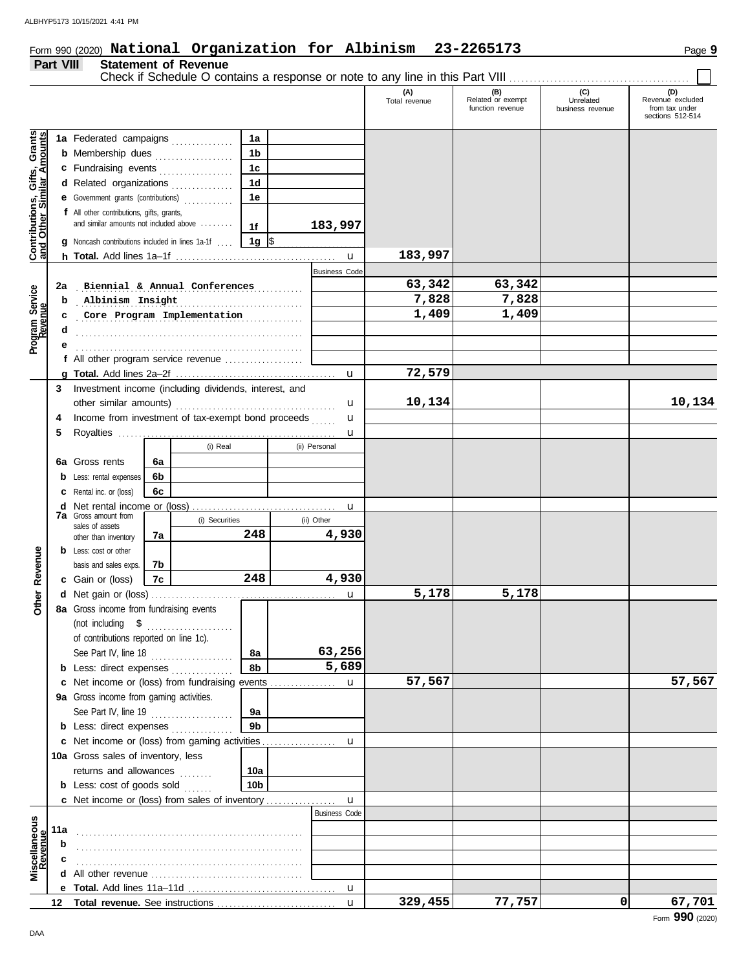# Form 990 (2020) Page **9 National Organization for Albinism 23-2265173**

## **Part VIII Statement of Revenue**

Check if Schedule O contains a response or note to any line in this Part VIII . . . . . . . . . . . . . . . . . . . . . . . . . . . . . . . . . . . . . . . . . . . .

|                                                                  |     |                                                                |                 |                      | (A)<br>Total revenue | (B)<br>Related or exempt<br>function revenue | (C)<br>Unrelated<br>business revenue | (D)<br>Revenue excluded<br>from tax under<br>sections 512-514 |
|------------------------------------------------------------------|-----|----------------------------------------------------------------|-----------------|----------------------|----------------------|----------------------------------------------|--------------------------------------|---------------------------------------------------------------|
|                                                                  |     | 1a Federated campaigns                                         | 1a              |                      |                      |                                              |                                      |                                                               |
|                                                                  |     | <b>b</b> Membership dues<br>.                                  | 1 <sub>b</sub>  |                      |                      |                                              |                                      |                                                               |
|                                                                  |     | c Fundraising events                                           | 1 <sub>c</sub>  |                      |                      |                                              |                                      |                                                               |
|                                                                  |     | d Related organizations                                        | 1d              |                      |                      |                                              |                                      |                                                               |
|                                                                  |     | Government grants (contributions)                              | 1e              |                      |                      |                                              |                                      |                                                               |
|                                                                  |     | f All other contributions, gifts, grants,                      |                 |                      |                      |                                              |                                      |                                                               |
| <b>Contributions, Gifts, Grants</b><br>and Other Similar Amounts |     | and similar amounts not included above                         | 1f              | 183,997              |                      |                                              |                                      |                                                               |
|                                                                  |     | Noncash contributions included in lines 1a-1f                  | 1g $\sqrt{3}$   |                      |                      |                                              |                                      |                                                               |
|                                                                  |     |                                                                |                 |                      | 183,997              |                                              |                                      |                                                               |
|                                                                  |     |                                                                |                 | <b>Business Code</b> |                      |                                              |                                      |                                                               |
|                                                                  | 2a  | Biennial & Annual Conferences                                  |                 |                      | 63,342               | 63,342                                       |                                      |                                                               |
|                                                                  | b   | Albinism Insight                                               |                 |                      | 7,828                | 7,828                                        |                                      |                                                               |
|                                                                  |     | Core Program Implementation                                    |                 |                      | 1,409                | 1,409                                        |                                      |                                                               |
|                                                                  | d   |                                                                |                 |                      |                      |                                              |                                      |                                                               |
| Program Service<br>Revenue                                       |     |                                                                |                 |                      |                      |                                              |                                      |                                                               |
|                                                                  |     | f All other program service revenue                            |                 |                      |                      |                                              |                                      |                                                               |
|                                                                  |     |                                                                |                 |                      | 72,579               |                                              |                                      |                                                               |
|                                                                  | 3   | Investment income (including dividends, interest, and          |                 |                      |                      |                                              |                                      |                                                               |
|                                                                  |     |                                                                |                 | u                    | 10,134               |                                              |                                      | 10,134                                                        |
|                                                                  | 4   | Income from investment of tax-exempt bond proceeds             |                 | u                    |                      |                                              |                                      |                                                               |
|                                                                  | 5   |                                                                |                 | u                    |                      |                                              |                                      |                                                               |
|                                                                  |     | (i) Real                                                       |                 | (ii) Personal        |                      |                                              |                                      |                                                               |
|                                                                  | 6а  | Gross rents<br>6а                                              |                 |                      |                      |                                              |                                      |                                                               |
|                                                                  | b   | 6b<br>Less: rental expenses                                    |                 |                      |                      |                                              |                                      |                                                               |
|                                                                  | с   | 6с<br>Rental inc. or (loss)                                    |                 |                      |                      |                                              |                                      |                                                               |
|                                                                  | d   | Net rental income or (loss)<br><b>7a</b> Gross amount from     |                 | u                    |                      |                                              |                                      |                                                               |
|                                                                  |     | (i) Securities<br>sales of assets                              |                 | (ii) Other           |                      |                                              |                                      |                                                               |
|                                                                  |     | 7a<br>other than inventory                                     | 248             | 4,930                |                      |                                              |                                      |                                                               |
| Revenue                                                          |     | <b>b</b> Less: cost or other                                   |                 |                      |                      |                                              |                                      |                                                               |
|                                                                  |     | 7b<br>basis and sales exps.                                    |                 |                      |                      |                                              |                                      |                                                               |
|                                                                  |     | c Gain or (loss)<br>7с                                         | 248             | 4,930                |                      |                                              |                                      |                                                               |
| Other                                                            | d   |                                                                |                 | u                    | 5,178                | 5,178                                        |                                      |                                                               |
|                                                                  |     | 8a Gross income from fundraising events                        |                 |                      |                      |                                              |                                      |                                                               |
|                                                                  |     |                                                                |                 |                      |                      |                                              |                                      |                                                               |
|                                                                  |     | of contributions reported on line 1c).<br>See Part IV, line 18 |                 | 63,256               |                      |                                              |                                      |                                                               |
|                                                                  |     | .<br><b>b</b> Less: direct expenses                            | 8a<br>8b        | 5,689                |                      |                                              |                                      |                                                               |
|                                                                  | c   | Net income or (loss) from fundraising events                   |                 | u                    | 57,567               |                                              |                                      | 57,567                                                        |
|                                                                  |     | 9a Gross income from gaming activities.                        |                 |                      |                      |                                              |                                      |                                                               |
|                                                                  |     | See Part IV, line 19                                           | 9a              |                      |                      |                                              |                                      |                                                               |
|                                                                  |     | .<br><b>b</b> Less: direct expenses                            | 9 <sub>b</sub>  |                      |                      |                                              |                                      |                                                               |
|                                                                  |     |                                                                |                 | u                    |                      |                                              |                                      |                                                               |
|                                                                  |     | 10a Gross sales of inventory, less                             |                 |                      |                      |                                              |                                      |                                                               |
|                                                                  |     | returns and allowances<br>.                                    | 10a             |                      |                      |                                              |                                      |                                                               |
|                                                                  |     | <b>b</b> Less: cost of goods sold                              | 10 <sub>b</sub> |                      |                      |                                              |                                      |                                                               |
|                                                                  |     | <b>c</b> Net income or (loss) from sales of inventory          |                 | $\mathbf u$          |                      |                                              |                                      |                                                               |
|                                                                  |     |                                                                |                 | <b>Business Code</b> |                      |                                              |                                      |                                                               |
|                                                                  | 11a |                                                                |                 |                      |                      |                                              |                                      |                                                               |
|                                                                  | b   |                                                                |                 |                      |                      |                                              |                                      |                                                               |
|                                                                  |     |                                                                |                 |                      |                      |                                              |                                      |                                                               |
| Miscellaneous<br>Revenue                                         | d   |                                                                |                 |                      |                      |                                              |                                      |                                                               |
|                                                                  |     |                                                                |                 | $\mathbf u$          |                      |                                              |                                      |                                                               |
|                                                                  | 12  |                                                                |                 | $\mathbf{u}$         | 329,455              | 77,757                                       | 0                                    | 67,701                                                        |
|                                                                  |     |                                                                |                 |                      |                      |                                              |                                      |                                                               |

DAA

Form **990** (2020)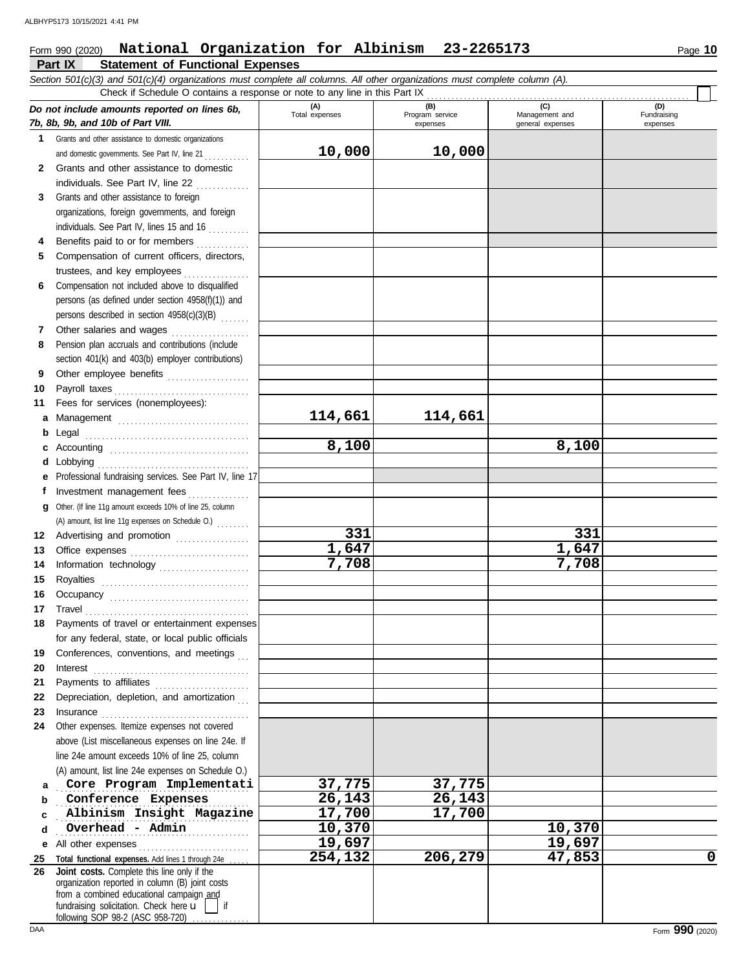## **Part IX Statement of Functional Expenses** Form 990 (2020) Page **10 National Organization for Albinism 23-2265173**

|              | Section 501(c)(3) and 501(c)(4) organizations must complete all columns. All other organizations must complete column (A).<br>Check if Schedule O contains a response or note to any line in this Part IX                                                                                                                                                                                                                                                                                                                          |                       |                                    |                                           |                                |
|--------------|------------------------------------------------------------------------------------------------------------------------------------------------------------------------------------------------------------------------------------------------------------------------------------------------------------------------------------------------------------------------------------------------------------------------------------------------------------------------------------------------------------------------------------|-----------------------|------------------------------------|-------------------------------------------|--------------------------------|
|              | Do not include amounts reported on lines 6b,<br>7b, 8b, 9b, and 10b of Part VIII.                                                                                                                                                                                                                                                                                                                                                                                                                                                  | (A)<br>Total expenses | (B)<br>Program service<br>expenses | (C)<br>Management and<br>general expenses | (D)<br>Fundraising<br>expenses |
| 1.           | Grants and other assistance to domestic organizations                                                                                                                                                                                                                                                                                                                                                                                                                                                                              |                       |                                    |                                           |                                |
|              | and domestic governments. See Part IV, line 21                                                                                                                                                                                                                                                                                                                                                                                                                                                                                     | 10,000                | 10,000                             |                                           |                                |
| $\mathbf{2}$ | Grants and other assistance to domestic                                                                                                                                                                                                                                                                                                                                                                                                                                                                                            |                       |                                    |                                           |                                |
|              | individuals. See Part IV, line 22                                                                                                                                                                                                                                                                                                                                                                                                                                                                                                  |                       |                                    |                                           |                                |
| 3            | Grants and other assistance to foreign                                                                                                                                                                                                                                                                                                                                                                                                                                                                                             |                       |                                    |                                           |                                |
|              | organizations, foreign governments, and foreign                                                                                                                                                                                                                                                                                                                                                                                                                                                                                    |                       |                                    |                                           |                                |
|              | individuals. See Part IV, lines 15 and 16                                                                                                                                                                                                                                                                                                                                                                                                                                                                                          |                       |                                    |                                           |                                |
| 4            | Benefits paid to or for members                                                                                                                                                                                                                                                                                                                                                                                                                                                                                                    |                       |                                    |                                           |                                |
| 5            | Compensation of current officers, directors,                                                                                                                                                                                                                                                                                                                                                                                                                                                                                       |                       |                                    |                                           |                                |
|              | trustees, and key employees                                                                                                                                                                                                                                                                                                                                                                                                                                                                                                        |                       |                                    |                                           |                                |
| 6            | Compensation not included above to disqualified                                                                                                                                                                                                                                                                                                                                                                                                                                                                                    |                       |                                    |                                           |                                |
|              | persons (as defined under section 4958(f)(1)) and                                                                                                                                                                                                                                                                                                                                                                                                                                                                                  |                       |                                    |                                           |                                |
|              | persons described in section 4958(c)(3)(B)                                                                                                                                                                                                                                                                                                                                                                                                                                                                                         |                       |                                    |                                           |                                |
| 7            | Other salaries and wages                                                                                                                                                                                                                                                                                                                                                                                                                                                                                                           |                       |                                    |                                           |                                |
| 8            | Pension plan accruals and contributions (include                                                                                                                                                                                                                                                                                                                                                                                                                                                                                   |                       |                                    |                                           |                                |
|              | section 401(k) and 403(b) employer contributions)                                                                                                                                                                                                                                                                                                                                                                                                                                                                                  |                       |                                    |                                           |                                |
| 9            | Other employee benefits                                                                                                                                                                                                                                                                                                                                                                                                                                                                                                            |                       |                                    |                                           |                                |
| 10           |                                                                                                                                                                                                                                                                                                                                                                                                                                                                                                                                    |                       |                                    |                                           |                                |
| 11           | Fees for services (nonemployees):                                                                                                                                                                                                                                                                                                                                                                                                                                                                                                  |                       |                                    |                                           |                                |
| а            | Management                                                                                                                                                                                                                                                                                                                                                                                                                                                                                                                         | 114,661               | 114,661                            |                                           |                                |
| b            |                                                                                                                                                                                                                                                                                                                                                                                                                                                                                                                                    |                       |                                    |                                           |                                |
| c            | Accounting                                                                                                                                                                                                                                                                                                                                                                                                                                                                                                                         | 8,100                 |                                    | 8,100                                     |                                |
| d            |                                                                                                                                                                                                                                                                                                                                                                                                                                                                                                                                    |                       |                                    |                                           |                                |
| е            | Professional fundraising services. See Part IV, line 17                                                                                                                                                                                                                                                                                                                                                                                                                                                                            |                       |                                    |                                           |                                |
| f            | Investment management fees                                                                                                                                                                                                                                                                                                                                                                                                                                                                                                         |                       |                                    |                                           |                                |
| g            | Other. (If line 11g amount exceeds 10% of line 25, column                                                                                                                                                                                                                                                                                                                                                                                                                                                                          |                       |                                    |                                           |                                |
|              | (A) amount, list line 11g expenses on Schedule O.)                                                                                                                                                                                                                                                                                                                                                                                                                                                                                 |                       |                                    |                                           |                                |
| 12           | Advertising and promotion                                                                                                                                                                                                                                                                                                                                                                                                                                                                                                          | 331                   |                                    | 331                                       |                                |
| 13           | Office expenses                                                                                                                                                                                                                                                                                                                                                                                                                                                                                                                    | 1,647                 |                                    | 1,647                                     |                                |
| 14           | Information technology                                                                                                                                                                                                                                                                                                                                                                                                                                                                                                             | 7,708                 |                                    | 7,708                                     |                                |
| 15           |                                                                                                                                                                                                                                                                                                                                                                                                                                                                                                                                    |                       |                                    |                                           |                                |
| 16           |                                                                                                                                                                                                                                                                                                                                                                                                                                                                                                                                    |                       |                                    |                                           |                                |
| 17           | $\begin{minipage}[c]{0.9\linewidth} \textbf{ Travel} \end{minipage}[ \begin{minipage}[c]{0.9\linewidth} \textbf{True} \end{minipage}[ \begin{minipage}[c]{0.9\linewidth} \textbf{True} \end{minipage}[ \begin{minipage}[c]{0.9\linewidth} \textbf{True} \end{minipage}[ \begin{minipage}[c]{0.9\linewidth} \textbf{True} \end{minipage}[ \begin{minipage}[c]{0.9\linewidth} \textbf{True} \end{minipage}[ \begin{minipage}[c]{0.9\linewidth} \textbf{True} \end{minipage}[ \begin{minipage}[c]{0.9\linewidth} \textbf{True} \end{$ |                       |                                    |                                           |                                |
| 18           | Payments of travel or entertainment expenses                                                                                                                                                                                                                                                                                                                                                                                                                                                                                       |                       |                                    |                                           |                                |
|              | for any federal, state, or local public officials                                                                                                                                                                                                                                                                                                                                                                                                                                                                                  |                       |                                    |                                           |                                |
| 19           | Conferences, conventions, and meetings                                                                                                                                                                                                                                                                                                                                                                                                                                                                                             |                       |                                    |                                           |                                |
| 20           | $\textbf{Interest} \hspace{0.05in} \ldots \hspace{0.05in} \ldots \hspace{0.05in} \ldots \hspace{0.05in} \ldots \hspace{0.05in} \ldots \hspace{0.05in} \ldots \hspace{0.05in} \ldots \hspace{0.05in} \ldots \hspace{0.05in} \ldots$                                                                                                                                                                                                                                                                                                 |                       |                                    |                                           |                                |
| 21           | Payments to affiliates [11] [11] Payments to affiliates                                                                                                                                                                                                                                                                                                                                                                                                                                                                            |                       |                                    |                                           |                                |
| 22           | Depreciation, depletion, and amortization                                                                                                                                                                                                                                                                                                                                                                                                                                                                                          |                       |                                    |                                           |                                |
| 23           |                                                                                                                                                                                                                                                                                                                                                                                                                                                                                                                                    |                       |                                    |                                           |                                |
| 24           | Other expenses. Itemize expenses not covered<br>above (List miscellaneous expenses on line 24e. If                                                                                                                                                                                                                                                                                                                                                                                                                                 |                       |                                    |                                           |                                |
|              | line 24e amount exceeds 10% of line 25, column                                                                                                                                                                                                                                                                                                                                                                                                                                                                                     |                       |                                    |                                           |                                |
|              | (A) amount, list line 24e expenses on Schedule O.)                                                                                                                                                                                                                                                                                                                                                                                                                                                                                 |                       |                                    |                                           |                                |
| a            | Core Program Implementati                                                                                                                                                                                                                                                                                                                                                                                                                                                                                                          | 37,775                | 37,775                             |                                           |                                |
| b            | Conference Expenses                                                                                                                                                                                                                                                                                                                                                                                                                                                                                                                | 26,143                | 26,143                             |                                           |                                |
| c            | Albinism Insight Magazine                                                                                                                                                                                                                                                                                                                                                                                                                                                                                                          | 17,700                | 17,700                             |                                           |                                |
| d            | Overhead - Admin                                                                                                                                                                                                                                                                                                                                                                                                                                                                                                                   | 10,370                |                                    | 10,370                                    |                                |
| е            | All other expenses                                                                                                                                                                                                                                                                                                                                                                                                                                                                                                                 | 19,697                |                                    | 19,697                                    |                                |
| 25           | Total functional expenses. Add lines 1 through 24e                                                                                                                                                                                                                                                                                                                                                                                                                                                                                 | 254,132               | 206,279                            | 47,853                                    | 0                              |
| 26           | Joint costs. Complete this line only if the                                                                                                                                                                                                                                                                                                                                                                                                                                                                                        |                       |                                    |                                           |                                |
|              | organization reported in column (B) joint costs                                                                                                                                                                                                                                                                                                                                                                                                                                                                                    |                       |                                    |                                           |                                |
|              | from a combined educational campaign and<br>fundraising solicitation. Check here $\mathbf{u}$  <br>$\overline{\phantom{a}}$ if                                                                                                                                                                                                                                                                                                                                                                                                     |                       |                                    |                                           |                                |
|              | following SOP 98-2 (ASC 958-720)                                                                                                                                                                                                                                                                                                                                                                                                                                                                                                   |                       |                                    |                                           |                                |

following SOP 98-2 (ASC 958-720) ..............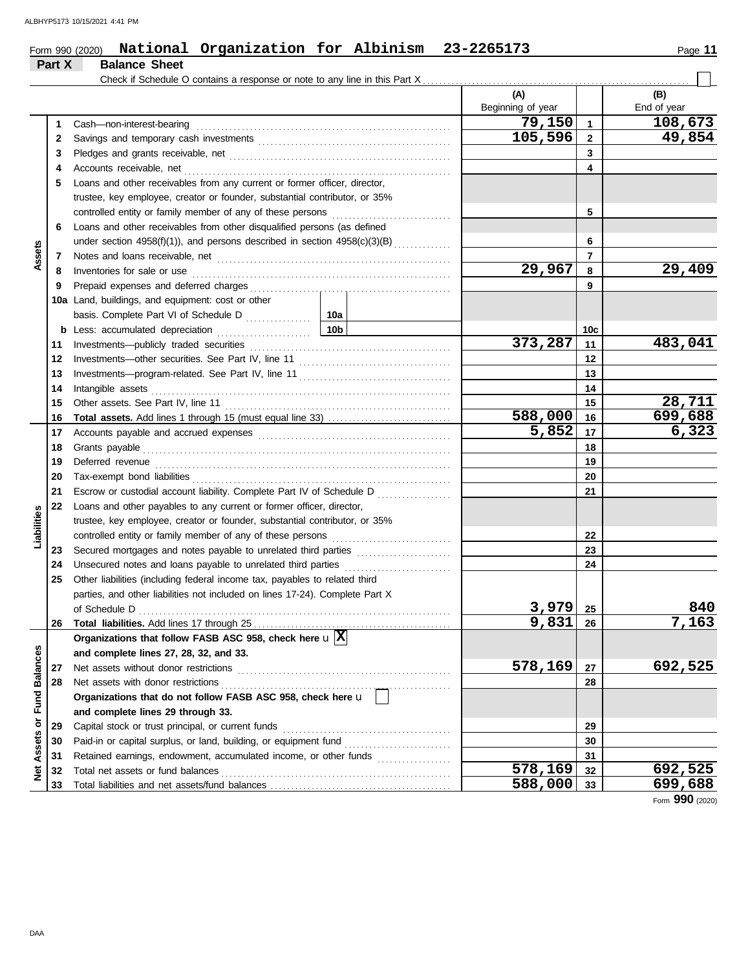#### Form 990 (2020) **National Organization for Albinism 23-2265173** Page 11 **National Organization for Albinism 23-2265173**

|                  | Part X | <b>Balance Sheet</b>                                                                                                                                                                                                                 |     |                          |                |                    |
|------------------|--------|--------------------------------------------------------------------------------------------------------------------------------------------------------------------------------------------------------------------------------------|-----|--------------------------|----------------|--------------------|
|                  |        | Check if Schedule O contains a response or note to any line in this Part X.                                                                                                                                                          |     |                          |                |                    |
|                  |        |                                                                                                                                                                                                                                      |     | (A)<br>Beginning of year |                | (B)<br>End of year |
|                  | 1      | Cash-non-interest-bearing                                                                                                                                                                                                            |     | 79,150                   | $\mathbf{1}$   | 108,673            |
|                  | 2      |                                                                                                                                                                                                                                      |     | 105,596                  | $\overline{2}$ | 49,854             |
|                  | 3      |                                                                                                                                                                                                                                      |     |                          | 3              |                    |
|                  | 4      |                                                                                                                                                                                                                                      |     |                          | 4              |                    |
|                  | 5      | Loans and other receivables from any current or former officer, director,                                                                                                                                                            |     |                          |                |                    |
|                  |        | trustee, key employee, creator or founder, substantial contributor, or 35%                                                                                                                                                           |     |                          |                |                    |
|                  |        | controlled entity or family member of any of these persons                                                                                                                                                                           |     |                          | 5              |                    |
|                  | 6      | Loans and other receivables from other disqualified persons (as defined                                                                                                                                                              |     |                          |                |                    |
|                  |        | under section 4958(f)(1)), and persons described in section 4958(c)(3)(B)                                                                                                                                                            |     |                          | 6              |                    |
| Assets           | 7      | Notes and loans receivable, net <b>consider the constant of the constant of the constant of the constant of the constant of the constant of the constant of the constant of the constant of the constant of the constant of the </b> |     |                          | $\overline{7}$ |                    |
|                  | 8      | Inventories for sale or use <i>contained a contained a contained a contained a contained a contained a</i>                                                                                                                           |     | 29,967                   | 8              | 29,409             |
|                  | 9      |                                                                                                                                                                                                                                      |     |                          | 9              |                    |
|                  | 10a    | Land, buildings, and equipment: cost or other                                                                                                                                                                                        |     |                          |                |                    |
|                  |        | basis. Complete Part VI of Schedule D                                                                                                                                                                                                | 10a |                          |                |                    |
|                  | b      | Less: accumulated depreciation                                                                                                                                                                                                       | 10b |                          | 10c            |                    |
|                  | 11     |                                                                                                                                                                                                                                      |     | 373,287                  | 11             | 483,041            |
|                  | 12     |                                                                                                                                                                                                                                      |     |                          | 12             |                    |
|                  | 13     |                                                                                                                                                                                                                                      |     |                          | 13             |                    |
|                  | 14     | Intangible assets                                                                                                                                                                                                                    |     |                          | 14             |                    |
|                  | 15     |                                                                                                                                                                                                                                      |     |                          | 15             | 28,711             |
|                  | 16     |                                                                                                                                                                                                                                      |     | 588,000                  | 16             | 699,688            |
|                  | 17     |                                                                                                                                                                                                                                      |     | 5,852                    | 17             | 6,323              |
|                  | 18     |                                                                                                                                                                                                                                      |     |                          | 18             |                    |
|                  | 19     |                                                                                                                                                                                                                                      |     |                          | 19             |                    |
|                  | 20     |                                                                                                                                                                                                                                      |     | 20                       |                |                    |
|                  | 21     | Escrow or custodial account liability. Complete Part IV of Schedule D                                                                                                                                                                |     |                          | 21             |                    |
|                  | 22     | Loans and other payables to any current or former officer, director,                                                                                                                                                                 |     |                          |                |                    |
| Liabilities      |        | trustee, key employee, creator or founder, substantial contributor, or 35%                                                                                                                                                           |     |                          |                |                    |
|                  |        | controlled entity or family member of any of these persons                                                                                                                                                                           |     |                          | 22             |                    |
|                  | 23     | Secured mortgages and notes payable to unrelated third parties                                                                                                                                                                       |     |                          | 23             |                    |
|                  | 24     |                                                                                                                                                                                                                                      |     |                          | 24             |                    |
|                  | 25     | Other liabilities (including federal income tax, payables to related third                                                                                                                                                           |     |                          |                |                    |
|                  |        | parties, and other liabilities not included on lines 17-24). Complete Part X                                                                                                                                                         |     |                          |                |                    |
|                  |        | of Schedule D                                                                                                                                                                                                                        |     | 3,979                    | 25             | 840                |
|                  | 26     |                                                                                                                                                                                                                                      |     | 9,831                    | 26             | 7,163              |
|                  |        | Organizations that follow FASB ASC 958, check here $\mathbf{u} \times$                                                                                                                                                               |     |                          |                |                    |
|                  |        | and complete lines 27, 28, 32, and 33.                                                                                                                                                                                               |     |                          |                |                    |
|                  | 27     | Net assets without donor restrictions                                                                                                                                                                                                |     | 578,169                  | 27             | 692,525            |
|                  | 28     |                                                                                                                                                                                                                                      |     |                          | 28             |                    |
| or Fund Balances |        | Organizations that do not follow FASB ASC 958, check here u                                                                                                                                                                          |     |                          |                |                    |
|                  |        | and complete lines 29 through 33.                                                                                                                                                                                                    |     |                          |                |                    |
|                  | 29     | Capital stock or trust principal, or current funds                                                                                                                                                                                   |     |                          | 29             |                    |
| Assets           | 30     |                                                                                                                                                                                                                                      |     |                          | 30             |                    |
|                  | 31     | Retained earnings, endowment, accumulated income, or other funds                                                                                                                                                                     |     |                          | 31             |                    |
| <b>Net</b>       | 32     | Total net assets or fund balances                                                                                                                                                                                                    |     | 578,169                  | 32             | 692,525            |
|                  | 33     |                                                                                                                                                                                                                                      |     | 588,000                  | 33             | 699,688            |

Form **990** (2020)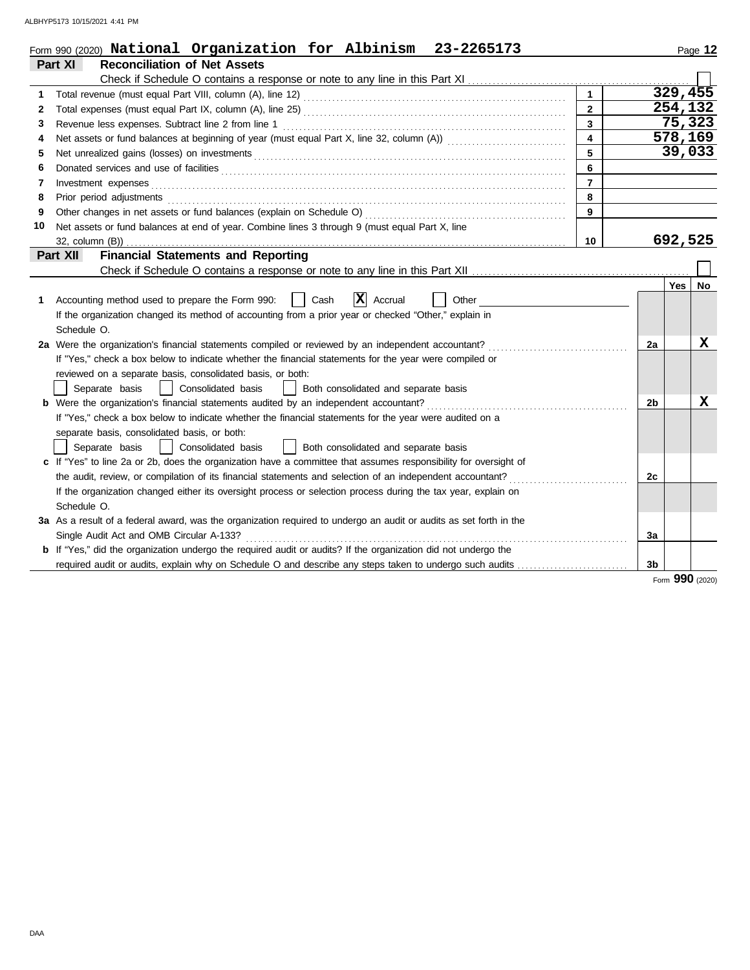|    | Form 990 (2020) National Organization for Albinism 23-2265173                                                                                                                                                                  |                         |                |         | Page 12 |
|----|--------------------------------------------------------------------------------------------------------------------------------------------------------------------------------------------------------------------------------|-------------------------|----------------|---------|---------|
|    | <b>Reconciliation of Net Assets</b><br>Part XI                                                                                                                                                                                 |                         |                |         |         |
|    |                                                                                                                                                                                                                                |                         |                |         |         |
| 1  |                                                                                                                                                                                                                                | $\mathbf{1}$            |                | 329,455 |         |
| 2  | Total expenses (must equal Part IX, column (A), line 25) [[CONDER PARTICLE 25] [[CONDER PARTICLE 25]                                                                                                                           | $\mathbf{2}$            |                | 254,132 |         |
| 3  |                                                                                                                                                                                                                                | $\overline{3}$          |                | 75,323  |         |
| 4  |                                                                                                                                                                                                                                | $\overline{\mathbf{4}}$ |                |         | 578,169 |
| 5  | Net unrealized gains (losses) on investments [11] match and the contract of the state of the state of the state of the state of the state of the state of the state of the state of the state of the state of the state of the | 5                       |                |         | 39,033  |
| 6  |                                                                                                                                                                                                                                | 6                       |                |         |         |
| 7  | Investment expenses                                                                                                                                                                                                            | $\overline{7}$          |                |         |         |
| 8  | Prior period adjustments                                                                                                                                                                                                       | 8                       |                |         |         |
| 9  |                                                                                                                                                                                                                                | 9                       |                |         |         |
| 10 | Net assets or fund balances at end of year. Combine lines 3 through 9 (must equal Part X, line                                                                                                                                 |                         |                |         |         |
|    | $32$ , column $(B)$ )                                                                                                                                                                                                          | 10 <sup>°</sup>         |                | 692,525 |         |
|    | <b>Financial Statements and Reporting</b><br>Part XII                                                                                                                                                                          |                         |                |         |         |
|    |                                                                                                                                                                                                                                |                         |                |         |         |
|    |                                                                                                                                                                                                                                |                         |                | Yes     | No      |
| 1  | x<br>Cash<br>Other<br>Accounting method used to prepare the Form 990:<br>Accrual                                                                                                                                               |                         |                |         |         |
|    | If the organization changed its method of accounting from a prior year or checked "Other," explain in                                                                                                                          |                         |                |         |         |
|    | Schedule O.                                                                                                                                                                                                                    |                         |                |         |         |
|    | 2a Were the organization's financial statements compiled or reviewed by an independent accountant?                                                                                                                             |                         | 2a             |         | X       |
|    | If "Yes," check a box below to indicate whether the financial statements for the year were compiled or                                                                                                                         |                         |                |         |         |
|    | reviewed on a separate basis, consolidated basis, or both:                                                                                                                                                                     |                         |                |         |         |
|    | Separate basis<br>Consolidated basis<br>Both consolidated and separate basis                                                                                                                                                   |                         |                |         |         |
|    | <b>b</b> Were the organization's financial statements audited by an independent accountant?                                                                                                                                    |                         | 2b             |         | x       |
|    | If "Yes," check a box below to indicate whether the financial statements for the year were audited on a                                                                                                                        |                         |                |         |         |
|    | separate basis, consolidated basis, or both:                                                                                                                                                                                   |                         |                |         |         |
|    | Consolidated basis<br>  Both consolidated and separate basis<br>Separate basis                                                                                                                                                 |                         |                |         |         |
|    | c If "Yes" to line 2a or 2b, does the organization have a committee that assumes responsibility for oversight of                                                                                                               |                         |                |         |         |
|    | the audit, review, or compilation of its financial statements and selection of an independent accountant?                                                                                                                      |                         | 2c             |         |         |
|    | If the organization changed either its oversight process or selection process during the tax year, explain on                                                                                                                  |                         |                |         |         |
|    | Schedule O.                                                                                                                                                                                                                    |                         |                |         |         |
|    | 3a As a result of a federal award, was the organization required to undergo an audit or audits as set forth in the                                                                                                             |                         |                |         |         |
|    | Single Audit Act and OMB Circular A-133?                                                                                                                                                                                       |                         | 3a             |         |         |
|    | <b>b</b> If "Yes," did the organization undergo the required audit or audits? If the organization did not undergo the                                                                                                          |                         |                |         |         |
|    | required audit or audits, explain why on Schedule O and describe any steps taken to undergo such audits                                                                                                                        |                         | 3 <sub>b</sub> |         |         |
|    |                                                                                                                                                                                                                                |                         |                | nnn     |         |

Form **990** (2020)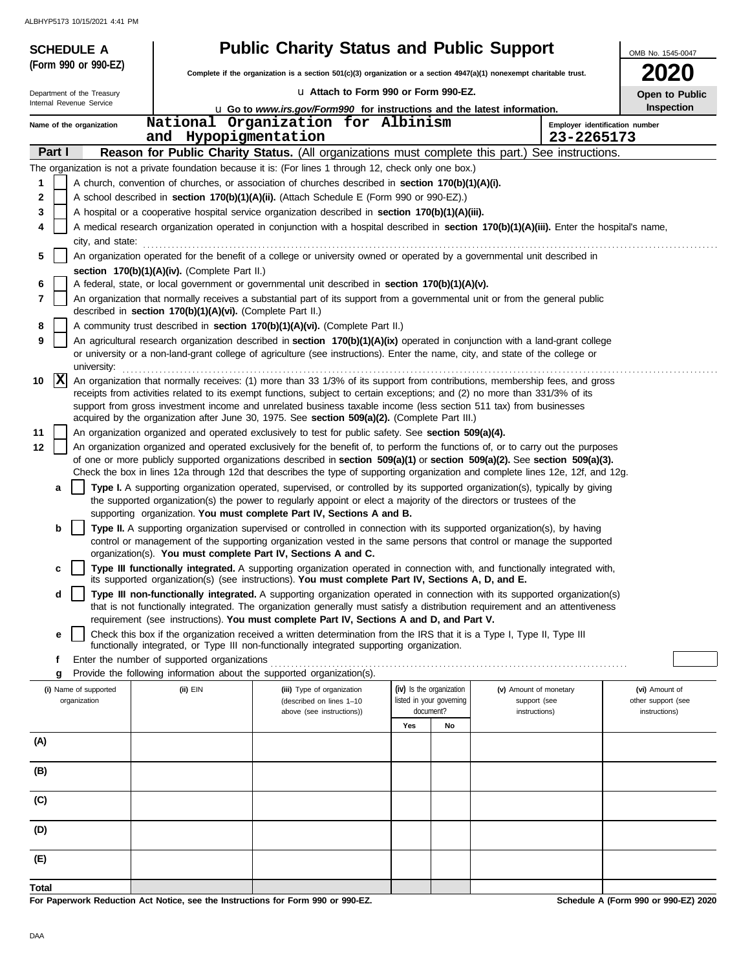| <b>SCHEDULE A</b>          |                                                                                                                                                                                                                                                                                                                                                                                 | <b>Public Charity Status and Public Support</b>                                                                                                                                                                     |                          |                                                                                                                                            | OMB No. 1545-0047                    |  |  |  |  |  |
|----------------------------|---------------------------------------------------------------------------------------------------------------------------------------------------------------------------------------------------------------------------------------------------------------------------------------------------------------------------------------------------------------------------------|---------------------------------------------------------------------------------------------------------------------------------------------------------------------------------------------------------------------|--------------------------|--------------------------------------------------------------------------------------------------------------------------------------------|--------------------------------------|--|--|--|--|--|
| (Form 990 or 990-EZ)       |                                                                                                                                                                                                                                                                                                                                                                                 | Complete if the organization is a section $501(c)(3)$ organization or a section $4947(a)(1)$ nonexempt charitable trust.                                                                                            |                          |                                                                                                                                            | <b>2020</b>                          |  |  |  |  |  |
| Department of the Treasury |                                                                                                                                                                                                                                                                                                                                                                                 | La Attach to Form 990 or Form 990-EZ.                                                                                                                                                                               |                          |                                                                                                                                            | Open to Public                       |  |  |  |  |  |
| Internal Revenue Service   |                                                                                                                                                                                                                                                                                                                                                                                 | <b>u</b> Go to www.irs.gov/Form990 for instructions and the latest information.                                                                                                                                     |                          |                                                                                                                                            | <b>Inspection</b>                    |  |  |  |  |  |
| Name of the organization   |                                                                                                                                                                                                                                                                                                                                                                                 | National Organization for Albinism                                                                                                                                                                                  |                          |                                                                                                                                            | Employer identification number       |  |  |  |  |  |
| Part I                     | and                                                                                                                                                                                                                                                                                                                                                                             | Hypopigmentation                                                                                                                                                                                                    |                          | 23-2265173<br>Reason for Public Charity Status. (All organizations must complete this part.) See instructions.                             |                                      |  |  |  |  |  |
|                            |                                                                                                                                                                                                                                                                                                                                                                                 | The organization is not a private foundation because it is: (For lines 1 through 12, check only one box.)                                                                                                           |                          |                                                                                                                                            |                                      |  |  |  |  |  |
| 1                          |                                                                                                                                                                                                                                                                                                                                                                                 | A church, convention of churches, or association of churches described in section 170(b)(1)(A)(i).                                                                                                                  |                          |                                                                                                                                            |                                      |  |  |  |  |  |
| 2                          |                                                                                                                                                                                                                                                                                                                                                                                 | A school described in section 170(b)(1)(A)(ii). (Attach Schedule E (Form 990 or 990-EZ).)                                                                                                                           |                          |                                                                                                                                            |                                      |  |  |  |  |  |
| 3                          |                                                                                                                                                                                                                                                                                                                                                                                 | A hospital or a cooperative hospital service organization described in section 170(b)(1)(A)(iii).                                                                                                                   |                          |                                                                                                                                            |                                      |  |  |  |  |  |
| 4                          |                                                                                                                                                                                                                                                                                                                                                                                 |                                                                                                                                                                                                                     |                          | A medical research organization operated in conjunction with a hospital described in section 170(b)(1)(A)(iii). Enter the hospital's name, |                                      |  |  |  |  |  |
| city, and state:<br>5      |                                                                                                                                                                                                                                                                                                                                                                                 | An organization operated for the benefit of a college or university owned or operated by a governmental unit described in                                                                                           |                          |                                                                                                                                            |                                      |  |  |  |  |  |
|                            | section 170(b)(1)(A)(iv). (Complete Part II.)                                                                                                                                                                                                                                                                                                                                   |                                                                                                                                                                                                                     |                          |                                                                                                                                            |                                      |  |  |  |  |  |
| 6                          |                                                                                                                                                                                                                                                                                                                                                                                 | A federal, state, or local government or governmental unit described in section 170(b)(1)(A)(v).                                                                                                                    |                          |                                                                                                                                            |                                      |  |  |  |  |  |
| 7                          | described in section 170(b)(1)(A)(vi). (Complete Part II.)                                                                                                                                                                                                                                                                                                                      |                                                                                                                                                                                                                     |                          | An organization that normally receives a substantial part of its support from a governmental unit or from the general public               |                                      |  |  |  |  |  |
| 8                          |                                                                                                                                                                                                                                                                                                                                                                                 | A community trust described in section 170(b)(1)(A)(vi). (Complete Part II.)                                                                                                                                        |                          |                                                                                                                                            |                                      |  |  |  |  |  |
| 9<br>university:           | An agricultural research organization described in section 170(b)(1)(A)(ix) operated in conjunction with a land-grant college<br>or university or a non-land-grant college of agriculture (see instructions). Enter the name, city, and state of the college or                                                                                                                 |                                                                                                                                                                                                                     |                          |                                                                                                                                            |                                      |  |  |  |  |  |
| $\mathbf{x}$<br>10         | An organization that normally receives: (1) more than 33 1/3% of its support from contributions, membership fees, and gross<br>receipts from activities related to its exempt functions, subject to certain exceptions; and (2) no more than 331/3% of its<br>support from gross investment income and unrelated business taxable income (less section 511 tax) from businesses |                                                                                                                                                                                                                     |                          |                                                                                                                                            |                                      |  |  |  |  |  |
|                            |                                                                                                                                                                                                                                                                                                                                                                                 | acquired by the organization after June 30, 1975. See section 509(a)(2). (Complete Part III.)                                                                                                                       |                          |                                                                                                                                            |                                      |  |  |  |  |  |
| 11<br>12                   |                                                                                                                                                                                                                                                                                                                                                                                 | An organization organized and operated exclusively to test for public safety. See section 509(a)(4).                                                                                                                |                          | An organization organized and operated exclusively for the benefit of, to perform the functions of, or to carry out the purposes           |                                      |  |  |  |  |  |
|                            |                                                                                                                                                                                                                                                                                                                                                                                 |                                                                                                                                                                                                                     |                          | of one or more publicly supported organizations described in section 509(a)(1) or section 509(a)(2). See section 509(a)(3).                |                                      |  |  |  |  |  |
|                            |                                                                                                                                                                                                                                                                                                                                                                                 |                                                                                                                                                                                                                     |                          | Check the box in lines 12a through 12d that describes the type of supporting organization and complete lines 12e, 12f, and 12g.            |                                      |  |  |  |  |  |
| a                          |                                                                                                                                                                                                                                                                                                                                                                                 | the supported organization(s) the power to regularly appoint or elect a majority of the directors or trustees of the<br>supporting organization. You must complete Part IV, Sections A and B.                       |                          | Type I. A supporting organization operated, supervised, or controlled by its supported organization(s), typically by giving                |                                      |  |  |  |  |  |
| b                          |                                                                                                                                                                                                                                                                                                                                                                                 | Type II. A supporting organization supervised or controlled in connection with its supported organization(s), by having                                                                                             |                          | control or management of the supporting organization vested in the same persons that control or manage the supported                       |                                      |  |  |  |  |  |
| c                          |                                                                                                                                                                                                                                                                                                                                                                                 | organization(s). You must complete Part IV, Sections A and C.<br>its supported organization(s) (see instructions). You must complete Part IV, Sections A, D, and E.                                                 |                          | Type III functionally integrated. A supporting organization operated in connection with, and functionally integrated with,                 |                                      |  |  |  |  |  |
| d                          |                                                                                                                                                                                                                                                                                                                                                                                 |                                                                                                                                                                                                                     |                          | Type III non-functionally integrated. A supporting organization operated in connection with its supported organization(s)                  |                                      |  |  |  |  |  |
|                            |                                                                                                                                                                                                                                                                                                                                                                                 |                                                                                                                                                                                                                     |                          | that is not functionally integrated. The organization generally must satisfy a distribution requirement and an attentiveness               |                                      |  |  |  |  |  |
| е                          |                                                                                                                                                                                                                                                                                                                                                                                 | requirement (see instructions). You must complete Part IV, Sections A and D, and Part V.<br>Check this box if the organization received a written determination from the IRS that it is a Type I, Type II, Type III |                          |                                                                                                                                            |                                      |  |  |  |  |  |
|                            |                                                                                                                                                                                                                                                                                                                                                                                 | functionally integrated, or Type III non-functionally integrated supporting organization.                                                                                                                           |                          |                                                                                                                                            |                                      |  |  |  |  |  |
| f<br>g                     | Enter the number of supported organizations                                                                                                                                                                                                                                                                                                                                     | Provide the following information about the supported organization(s).                                                                                                                                              |                          |                                                                                                                                            |                                      |  |  |  |  |  |
| (i) Name of supported      | (ii) EIN                                                                                                                                                                                                                                                                                                                                                                        | (iii) Type of organization                                                                                                                                                                                          | (iv) Is the organization | (v) Amount of monetary                                                                                                                     | (vi) Amount of                       |  |  |  |  |  |
| organization               |                                                                                                                                                                                                                                                                                                                                                                                 | (described on lines 1-10                                                                                                                                                                                            | listed in your governing | support (see                                                                                                                               | other support (see                   |  |  |  |  |  |
|                            |                                                                                                                                                                                                                                                                                                                                                                                 | above (see instructions))                                                                                                                                                                                           | document?<br>Yes<br>No   | instructions)                                                                                                                              | instructions)                        |  |  |  |  |  |
| (A)                        |                                                                                                                                                                                                                                                                                                                                                                                 |                                                                                                                                                                                                                     |                          |                                                                                                                                            |                                      |  |  |  |  |  |
|                            |                                                                                                                                                                                                                                                                                                                                                                                 |                                                                                                                                                                                                                     |                          |                                                                                                                                            |                                      |  |  |  |  |  |
| (B)                        |                                                                                                                                                                                                                                                                                                                                                                                 |                                                                                                                                                                                                                     |                          |                                                                                                                                            |                                      |  |  |  |  |  |
| (C)                        |                                                                                                                                                                                                                                                                                                                                                                                 |                                                                                                                                                                                                                     |                          |                                                                                                                                            |                                      |  |  |  |  |  |
| (D)                        |                                                                                                                                                                                                                                                                                                                                                                                 |                                                                                                                                                                                                                     |                          |                                                                                                                                            |                                      |  |  |  |  |  |
| (E)                        |                                                                                                                                                                                                                                                                                                                                                                                 |                                                                                                                                                                                                                     |                          |                                                                                                                                            |                                      |  |  |  |  |  |
| Total                      |                                                                                                                                                                                                                                                                                                                                                                                 |                                                                                                                                                                                                                     |                          |                                                                                                                                            |                                      |  |  |  |  |  |
|                            |                                                                                                                                                                                                                                                                                                                                                                                 | For Penerwork Poduction Act Notice, can the Instructions for Form 000 or 000 FZ                                                                                                                                     |                          |                                                                                                                                            | Schodule A (Form 000 or 000 EZ) 2020 |  |  |  |  |  |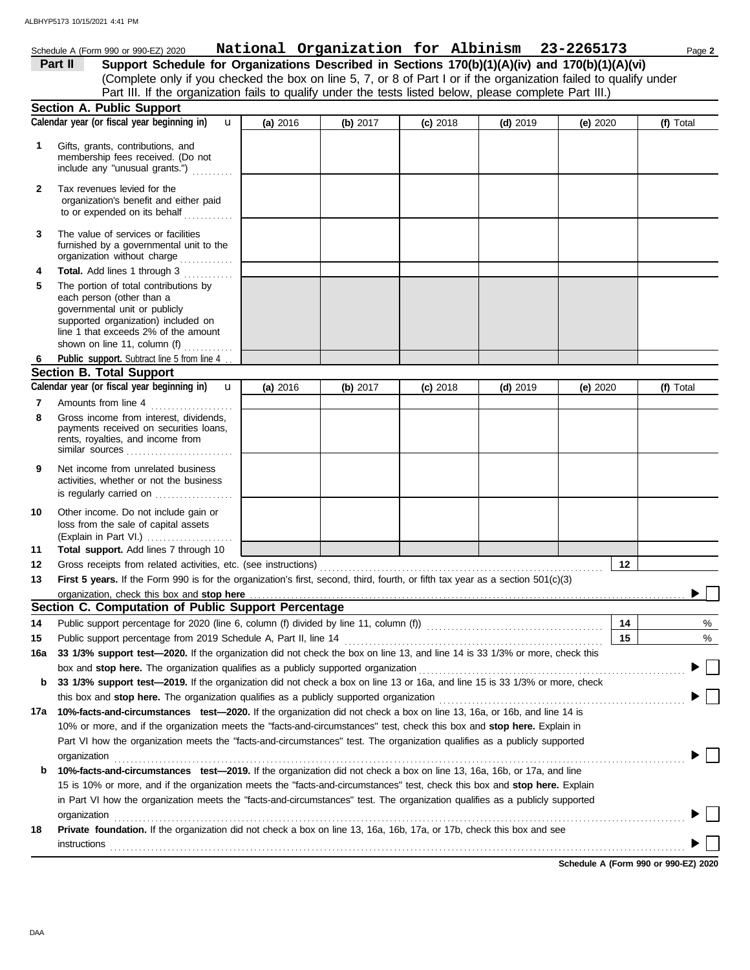# Schedule A (Form 990 or 990-EZ) 2020 Page **2 National Organization for Albinism 23-2265173**

| Part II | Support Schedule for Organizations Described in Sections 170(b)(1)(A)(iv) and 170(b)(1)(A)(vi)                    |
|---------|-------------------------------------------------------------------------------------------------------------------|
|         | (Complete only if you checked the box on line 5, 7, or 8 of Part I or if the organization failed to qualify under |
|         | Part III. If the organization fails to qualify under the tests listed below, please complete Part III.)           |

|              | <b>Section A. Public Support</b>                                                                                                                                                                                              |          |            |            |            |            |                                        |
|--------------|-------------------------------------------------------------------------------------------------------------------------------------------------------------------------------------------------------------------------------|----------|------------|------------|------------|------------|----------------------------------------|
|              | Calendar year (or fiscal year beginning in)<br>$\mathbf{u}$                                                                                                                                                                   | (a) 2016 | (b) $2017$ | $(c)$ 2018 | $(d)$ 2019 | (e) $2020$ | (f) Total                              |
| 1            | Gifts, grants, contributions, and<br>membership fees received. (Do not<br>include any "unusual grants.")                                                                                                                      |          |            |            |            |            |                                        |
| $\mathbf{2}$ | Tax revenues levied for the<br>organization's benefit and either paid<br>to or expended on its behalf                                                                                                                         |          |            |            |            |            |                                        |
| 3            | The value of services or facilities<br>furnished by a governmental unit to the<br>organization without charge                                                                                                                 |          |            |            |            |            |                                        |
| 4            | Total. Add lines 1 through 3                                                                                                                                                                                                  |          |            |            |            |            |                                        |
| 5            | The portion of total contributions by<br>each person (other than a<br>governmental unit or publicly<br>supported organization) included on<br>line 1 that exceeds 2% of the amount<br>shown on line 11, column (f) $\ldots$   |          |            |            |            |            |                                        |
| 6            | Public support. Subtract line 5 from line 4.                                                                                                                                                                                  |          |            |            |            |            |                                        |
|              | <b>Section B. Total Support</b>                                                                                                                                                                                               |          |            |            |            |            |                                        |
|              | Calendar year (or fiscal year beginning in)<br>$\mathbf{u}$                                                                                                                                                                   | (a) 2016 | (b) $2017$ | $(c)$ 2018 | $(d)$ 2019 | (e) $2020$ | (f) Total                              |
| 7            | Amounts from line 4                                                                                                                                                                                                           |          |            |            |            |            |                                        |
| 8            | Gross income from interest, dividends,<br>payments received on securities loans,<br>rents, royalties, and income from<br>similar sources                                                                                      |          |            |            |            |            |                                        |
| 9            | Net income from unrelated business<br>activities, whether or not the business<br>is regularly carried on                                                                                                                      |          |            |            |            |            |                                        |
| 10           | Other income. Do not include gain or<br>loss from the sale of capital assets<br>(Explain in Part VI.)                                                                                                                         |          |            |            |            |            |                                        |
| 11           | Total support. Add lines 7 through 10                                                                                                                                                                                         |          |            |            |            |            |                                        |
| 12           |                                                                                                                                                                                                                               |          |            |            |            | 12         |                                        |
| 13           | First 5 years. If the Form 990 is for the organization's first, second, third, fourth, or fifth tax year as a section 501(c)(3)                                                                                               |          |            |            |            |            |                                        |
|              | organization, check this box and stop here                                                                                                                                                                                    |          |            |            |            |            |                                        |
|              | Section C. Computation of Public Support Percentage                                                                                                                                                                           |          |            |            |            |            |                                        |
| 14           |                                                                                                                                                                                                                               |          |            |            |            | 14         | %                                      |
| 15           |                                                                                                                                                                                                                               |          |            |            |            | 15         | %                                      |
|              | 16a 33 1/3% support test-2020. If the organization did not check the box on line 13, and line 14 is 33 1/3% or more, check this                                                                                               |          |            |            |            |            |                                        |
|              | box and stop here. The organization qualifies as a publicly supported organization [11] content content content content content of the state of the state of the state of the state of the state of the state of the state of |          |            |            |            |            |                                        |
| b            | 33 1/3% support test-2019. If the organization did not check a box on line 13 or 16a, and line 15 is 33 1/3% or more, check                                                                                                   |          |            |            |            |            |                                        |
|              |                                                                                                                                                                                                                               |          |            |            |            |            |                                        |
| 17a          | 10%-facts-and-circumstances test-2020. If the organization did not check a box on line 13, 16a, or 16b, and line 14 is                                                                                                        |          |            |            |            |            |                                        |
|              | 10% or more, and if the organization meets the "facts-and-circumstances" test, check this box and stop here. Explain in                                                                                                       |          |            |            |            |            |                                        |
|              | Part VI how the organization meets the "facts-and-circumstances" test. The organization qualifies as a publicly supported                                                                                                     |          |            |            |            |            |                                        |
|              | organization www.commutation.commutation.com/www.commutation.com/www.commutation.com/www.commutation.com/www.com                                                                                                              |          |            |            |            |            |                                        |
| b            | 10%-facts-and-circumstances test-2019. If the organization did not check a box on line 13, 16a, 16b, or 17a, and line                                                                                                         |          |            |            |            |            |                                        |
|              | 15 is 10% or more, and if the organization meets the "facts-and-circumstances" test, check this box and stop here. Explain                                                                                                    |          |            |            |            |            |                                        |
|              | in Part VI how the organization meets the "facts-and-circumstances" test. The organization qualifies as a publicly supported                                                                                                  |          |            |            |            |            |                                        |
| 18           | organization www.community.community.community.community.community.community.community.community.com<br>Private foundation. If the organization did not check a box on line 13, 16a, 16b, 17a, or 17b, check this box and see |          |            |            |            |            |                                        |
|              |                                                                                                                                                                                                                               |          |            |            |            |            |                                        |
|              |                                                                                                                                                                                                                               |          |            |            |            |            | Calcadole A (Fague 000 au 000 F7) 0000 |

**Schedule A (Form 990 or 990-EZ) 2020**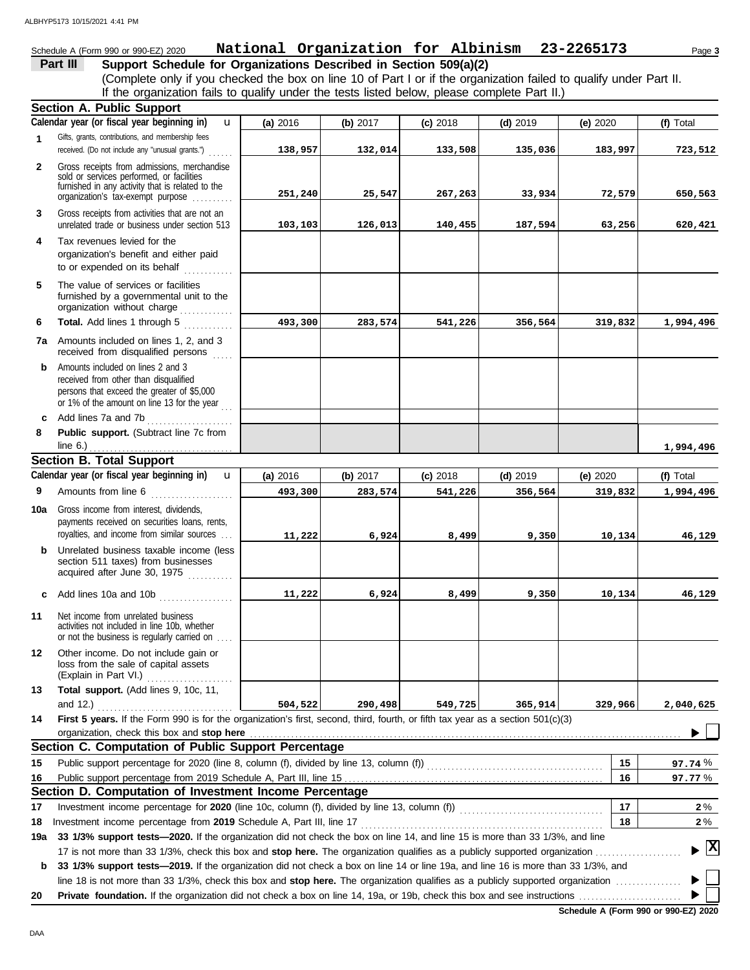### Schedule A (Form 990 or 990-EZ) 2020 Page **3 National Organization for Albinism 23-2265173**

**Part III** Support Schedule for Organizations Described in Section 509(a)(2)

(Complete only if you checked the box on line 10 of Part I or if the organization failed to qualify under Part II. If the organization fails to qualify under the tests listed below, please complete Part II.)

|              | <b>Section A. Public Support</b>                                                                                                                                                 |          |          |            |            |            |                                    |
|--------------|----------------------------------------------------------------------------------------------------------------------------------------------------------------------------------|----------|----------|------------|------------|------------|------------------------------------|
|              | Calendar year (or fiscal year beginning in)<br>u                                                                                                                                 | (a) 2016 | (b) 2017 | $(c)$ 2018 | $(d)$ 2019 | (e) $2020$ | (f) Total                          |
| $\mathbf 1$  | Gifts, grants, contributions, and membership fees<br>received. (Do not include any "unusual grants.")                                                                            | 138,957  | 132,014  | 133,508    | 135,036    | 183,997    | 723,512                            |
| $\mathbf{2}$ | Gross receipts from admissions, merchandise                                                                                                                                      |          |          |            |            |            |                                    |
|              | sold or services performed, or facilities                                                                                                                                        |          |          |            |            |            |                                    |
|              | furnished in any activity that is related to the<br>organization's tax-exempt purpose                                                                                            | 251,240  | 25,547   | 267,263    | 33,934     | 72,579     | 650,563                            |
| 3            | Gross receipts from activities that are not an<br>unrelated trade or business under section 513                                                                                  | 103,103  | 126,013  | 140,455    | 187,594    | 63,256     | 620,421                            |
| 4            | Tax revenues levied for the<br>organization's benefit and either paid<br>to or expended on its behalf<br><u> 1995 - Jan Sala</u>                                                 |          |          |            |            |            |                                    |
| 5            | The value of services or facilities<br>furnished by a governmental unit to the<br>organization without charge                                                                    |          |          |            |            |            |                                    |
| 6            | Total. Add lines 1 through 5                                                                                                                                                     | 493,300  | 283,574  | 541,226    | 356,564    | 319,832    | 1,994,496                          |
|              | 7a Amounts included on lines 1, 2, and 3<br>received from disqualified persons                                                                                                   |          |          |            |            |            |                                    |
| b.           | Amounts included on lines 2 and 3<br>received from other than disqualified<br>persons that exceed the greater of \$5,000<br>or 1% of the amount on line 13 for the year $\ldots$ |          |          |            |            |            |                                    |
| c            | Add lines 7a and 7b                                                                                                                                                              |          |          |            |            |            |                                    |
| 8            | Public support. (Subtract line 7c from                                                                                                                                           |          |          |            |            |            |                                    |
|              | line $6.$ )                                                                                                                                                                      |          |          |            |            |            | 1,994,496                          |
|              | <b>Section B. Total Support</b>                                                                                                                                                  |          |          |            |            |            |                                    |
|              | Calendar year (or fiscal year beginning in)<br>$\mathbf{u}$                                                                                                                      | (a) 2016 | (b) 2017 | $(c)$ 2018 | $(d)$ 2019 | (e) 2020   | (f) Total                          |
| 9            |                                                                                                                                                                                  | 493,300  | 283,574  | 541,226    | 356,564    | 319,832    | 1,994,496                          |
| 10a          | Gross income from interest, dividends,<br>payments received on securities loans, rents,<br>royalties, and income from similar sources                                            | 11,222   | 6,924    | 8,499      | 9,350      | 10,134     | 46,129                             |
| b.           | Unrelated business taxable income (less<br>section 511 taxes) from businesses<br>acquired after June 30, 1975                                                                    |          |          |            |            |            |                                    |
| c            | Add lines 10a and 10b                                                                                                                                                            | 11,222   | 6,924    | 8,499      | 9,350      | 10,134     | 46,129                             |
| 11           | Net income from unrelated business<br>activities not included in line 10b, whether<br>or not the business is regularly carried on                                                |          |          |            |            |            |                                    |
| 12           | Other income. Do not include gain or<br>loss from the sale of capital assets<br>(Explain in Part VI.)                                                                            |          |          |            |            |            |                                    |
| 13           | Total support. (Add lines 9, 10c, 11,                                                                                                                                            |          |          |            |            |            |                                    |
|              | and 12.) $\ldots$                                                                                                                                                                | 504,522  | 290,498  | 549,725    | 365,914    | 329,966    | 2,040,625                          |
| 14           | First 5 years. If the Form 990 is for the organization's first, second, third, fourth, or fifth tax year as a section 501(c)(3)<br>organization, check this box and stop here    |          |          |            |            |            |                                    |
|              | Section C. Computation of Public Support Percentage                                                                                                                              |          |          |            |            |            |                                    |
| 15           |                                                                                                                                                                                  |          |          |            |            | 15         | 97.74%                             |
| 16           |                                                                                                                                                                                  |          |          |            |            | 16         | 97.77 %                            |
|              | Section D. Computation of Investment Income Percentage                                                                                                                           |          |          |            |            |            |                                    |
| 17           | Investment income percentage for 2020 (line 10c, column (f), divided by line 13, column (f)) [[[[[[[[[[[[[[[[[                                                                   |          |          |            |            | 17         | $2\%$                              |
| 18           |                                                                                                                                                                                  |          |          |            |            | 18         | $2\%$                              |
| 19a          | 33 1/3% support tests-2020. If the organization did not check the box on line 14, and line 15 is more than 33 1/3%, and line                                                     |          |          |            |            |            |                                    |
|              |                                                                                                                                                                                  |          |          |            |            |            | $\blacktriangleright$ $\mathbb{X}$ |
| b            | 33 1/3% support tests-2019. If the organization did not check a box on line 14 or line 19a, and line 16 is more than 33 1/3%, and                                                |          |          |            |            |            |                                    |
|              | line 18 is not more than 33 1/3%, check this box and stop here. The organization qualifies as a publicly supported organization                                                  |          |          |            |            |            |                                    |
| 20           |                                                                                                                                                                                  |          |          |            |            |            |                                    |

**Schedule A (Form 990 or 990-EZ) 2020**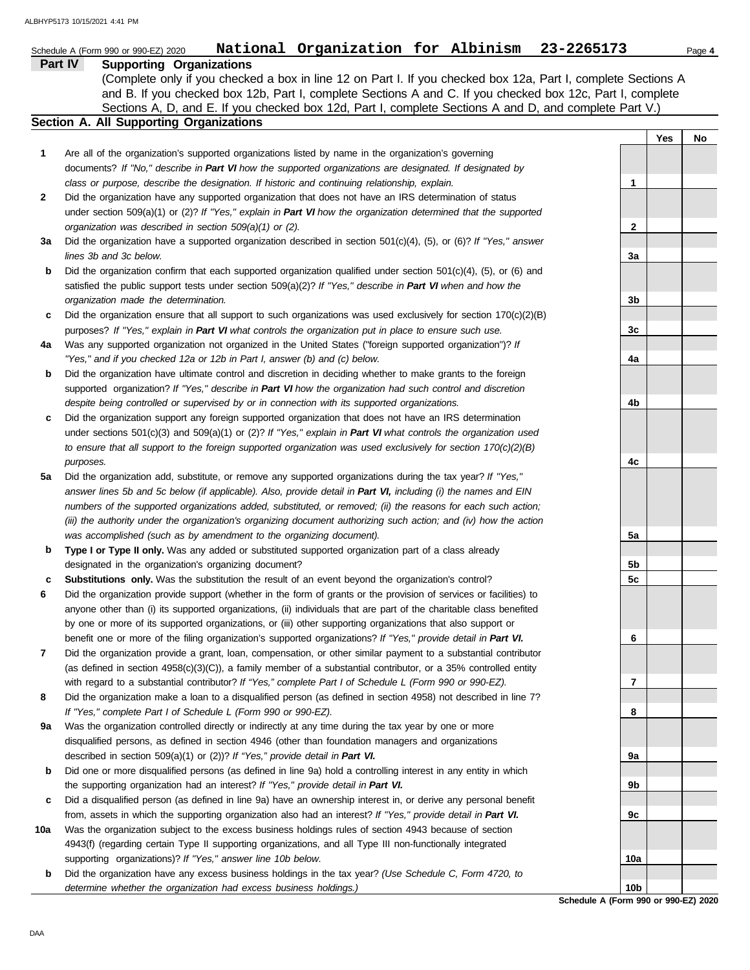|         | BHYP5173 10/15/2021 4:41 PM                                                                                                                                                                                                                                                                                                                                              |     |     |        |
|---------|--------------------------------------------------------------------------------------------------------------------------------------------------------------------------------------------------------------------------------------------------------------------------------------------------------------------------------------------------------------------------|-----|-----|--------|
|         | National Organization for Albinism 23-2265173<br>Schedule A (Form 990 or 990-EZ) 2020                                                                                                                                                                                                                                                                                    |     |     | Page 4 |
| Part IV | <b>Supporting Organizations</b><br>(Complete only if you checked a box in line 12 on Part I. If you checked box 12a, Part I, complete Sections A<br>and B. If you checked box 12b, Part I, complete Sections A and C. If you checked box 12c, Part I, complete<br>Sections A, D, and E. If you checked box 12d, Part I, complete Sections A and D, and complete Part V.) |     |     |        |
|         | Section A. All Supporting Organizations                                                                                                                                                                                                                                                                                                                                  |     |     |        |
|         |                                                                                                                                                                                                                                                                                                                                                                          |     | Yes | No     |
| 1       | Are all of the organization's supported organizations listed by name in the organization's governing                                                                                                                                                                                                                                                                     |     |     |        |
|         | documents? If "No," describe in Part VI how the supported organizations are designated. If designated by                                                                                                                                                                                                                                                                 |     |     |        |
|         | class or purpose, describe the designation. If historic and continuing relationship, explain.                                                                                                                                                                                                                                                                            | 1   |     |        |
| 2       | Did the organization have any supported organization that does not have an IRS determination of status<br>under section 509(a)(1) or (2)? If "Yes," explain in Part VI how the organization determined that the supported                                                                                                                                                |     |     |        |
|         | organization was described in section 509(a)(1) or (2).                                                                                                                                                                                                                                                                                                                  | 2   |     |        |
| За      | Did the organization have a supported organization described in section $501(c)(4)$ , (5), or (6)? If "Yes," answer                                                                                                                                                                                                                                                      |     |     |        |
|         | lines 3b and 3c below.                                                                                                                                                                                                                                                                                                                                                   | За  |     |        |
| b       | Did the organization confirm that each supported organization qualified under section $501(c)(4)$ , $(5)$ , or $(6)$ and                                                                                                                                                                                                                                                 |     |     |        |
|         | satisfied the public support tests under section 509(a)(2)? If "Yes," describe in Part VI when and how the                                                                                                                                                                                                                                                               |     |     |        |
|         | organization made the determination.                                                                                                                                                                                                                                                                                                                                     | 3b  |     |        |
| c       | Did the organization ensure that all support to such organizations was used exclusively for section $170(c)(2)(B)$                                                                                                                                                                                                                                                       |     |     |        |
|         | purposes? If "Yes," explain in Part VI what controls the organization put in place to ensure such use.                                                                                                                                                                                                                                                                   | 3c  |     |        |
| 4a      | Was any supported organization not organized in the United States ("foreign supported organization")? If<br>"Yes," and if you checked 12a or 12b in Part I, answer (b) and (c) below.                                                                                                                                                                                    | 4a  |     |        |
| b       | Did the organization have ultimate control and discretion in deciding whether to make grants to the foreign                                                                                                                                                                                                                                                              |     |     |        |
|         | supported organization? If "Yes," describe in Part VI how the organization had such control and discretion                                                                                                                                                                                                                                                               |     |     |        |
|         | despite being controlled or supervised by or in connection with its supported organizations.                                                                                                                                                                                                                                                                             | 4b  |     |        |
| c       | Did the organization support any foreign supported organization that does not have an IRS determination                                                                                                                                                                                                                                                                  |     |     |        |
|         | under sections $501(c)(3)$ and $509(a)(1)$ or $(2)?$ If "Yes," explain in Part VI what controls the organization used                                                                                                                                                                                                                                                    |     |     |        |
|         | to ensure that all support to the foreign supported organization was used exclusively for section $170(c)(2)(B)$                                                                                                                                                                                                                                                         |     |     |        |
|         | purposes.                                                                                                                                                                                                                                                                                                                                                                | 4c  |     |        |
| 5a      | Did the organization add, substitute, or remove any supported organizations during the tax year? If "Yes,"                                                                                                                                                                                                                                                               |     |     |        |
|         | answer lines 5b and 5c below (if applicable). Also, provide detail in Part VI, including (i) the names and EIN<br>numbers of the supported organizations added, substituted, or removed; (ii) the reasons for each such action;                                                                                                                                          |     |     |        |
|         | (iii) the authority under the organization's organizing document authorizing such action; and (iv) how the action                                                                                                                                                                                                                                                        |     |     |        |
|         | was accomplished (such as by amendment to the organizing document).                                                                                                                                                                                                                                                                                                      | 5a  |     |        |
| b       | Type I or Type II only. Was any added or substituted supported organization part of a class already                                                                                                                                                                                                                                                                      |     |     |        |
|         | designated in the organization's organizing document?                                                                                                                                                                                                                                                                                                                    | 5b  |     |        |
| c       | <b>Substitutions only.</b> Was the substitution the result of an event beyond the organization's control?                                                                                                                                                                                                                                                                | 5c  |     |        |
| 6       | Did the organization provide support (whether in the form of grants or the provision of services or facilities) to                                                                                                                                                                                                                                                       |     |     |        |
|         | anyone other than (i) its supported organizations, (ii) individuals that are part of the charitable class benefited                                                                                                                                                                                                                                                      |     |     |        |
|         | by one or more of its supported organizations, or (iii) other supporting organizations that also support or                                                                                                                                                                                                                                                              |     |     |        |
|         | benefit one or more of the filing organization's supported organizations? If "Yes," provide detail in Part VI.                                                                                                                                                                                                                                                           | 6   |     |        |
| 7       | Did the organization provide a grant, loan, compensation, or other similar payment to a substantial contributor<br>(as defined in section $4958(c)(3)(C)$ ), a family member of a substantial contributor, or a 35% controlled entity                                                                                                                                    |     |     |        |
|         | with regard to a substantial contributor? If "Yes," complete Part I of Schedule L (Form 990 or 990-EZ).                                                                                                                                                                                                                                                                  | 7   |     |        |
| 8       | Did the organization make a loan to a disqualified person (as defined in section 4958) not described in line 7?                                                                                                                                                                                                                                                          |     |     |        |
|         | If "Yes," complete Part I of Schedule L (Form 990 or 990-EZ).                                                                                                                                                                                                                                                                                                            | 8   |     |        |
| 9а      | Was the organization controlled directly or indirectly at any time during the tax year by one or more                                                                                                                                                                                                                                                                    |     |     |        |
|         | disqualified persons, as defined in section 4946 (other than foundation managers and organizations                                                                                                                                                                                                                                                                       |     |     |        |
|         | described in section 509(a)(1) or (2))? If "Yes," provide detail in Part VI.                                                                                                                                                                                                                                                                                             | 9а  |     |        |
| b       | Did one or more disqualified persons (as defined in line 9a) hold a controlling interest in any entity in which                                                                                                                                                                                                                                                          |     |     |        |
|         | the supporting organization had an interest? If "Yes," provide detail in Part VI.                                                                                                                                                                                                                                                                                        | 9b  |     |        |
| с       | Did a disqualified person (as defined in line 9a) have an ownership interest in, or derive any personal benefit<br>from, assets in which the supporting organization also had an interest? If "Yes," provide detail in Part VI.                                                                                                                                          | 9с  |     |        |
| 10a     | Was the organization subject to the excess business holdings rules of section 4943 because of section                                                                                                                                                                                                                                                                    |     |     |        |
|         | 4943(f) (regarding certain Type II supporting organizations, and all Type III non-functionally integrated                                                                                                                                                                                                                                                                |     |     |        |
|         | supporting organizations)? If "Yes," answer line 10b below.                                                                                                                                                                                                                                                                                                              | 10a |     |        |

**b** Did the organization have any excess business holdings in the tax year? *(Use Schedule C, Form 4720, to determine whether the organization had excess business holdings.)*

**Schedule A (Form 990 or 990-EZ) 2020 10b**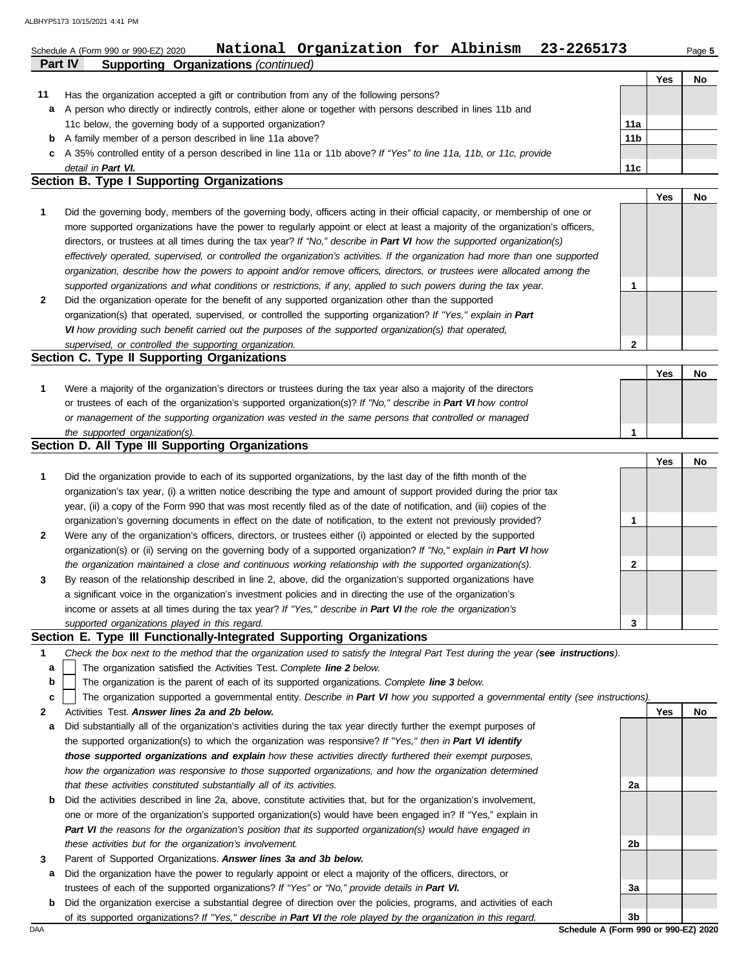#### **Part IV Supporting Organizations** *(continued)* Schedule A (Form 990 or 990-EZ) 2020 Page **5 National Organization for Albinism 23-2265173 Yes No 1 Section B. Type I Supporting Organizations 11 c** A 35% controlled entity of a person described in line 11a or 11b above? *If "Yes" to line 11a, 11b, or 11c, provide* **b** A family member of a person described in line 11a above? **a** A person who directly or indirectly controls, either alone or together with persons described in lines 11b and Has the organization accepted a gift or contribution from any of the following persons? 11c below, the governing body of a supported organization? *detail in Part VI.* **11a 11b 11c** Did the governing body, members of the governing body, officers acting in their official capacity, or membership of one or **Yes No**

**2** *supported organizations and what conditions or restrictions, if any, applied to such powers during the tax year. organization, describe how the powers to appoint and/or remove officers, directors, or trustees were allocated among the effectively operated, supervised, or controlled the organization's activities. If the organization had more than one supported* directors, or trustees at all times during the tax year? *If "No," describe in Part VI how the supported organization(s)* more supported organizations have the power to regularly appoint or elect at least a majority of the organization's officers, Did the organization operate for the benefit of any supported organization other than the supported organization(s) that operated, supervised, or controlled the supporting organization? *If "Yes," explain in Part*  **1**

*VI how providing such benefit carried out the purposes of the supported organization(s) that operated,* 

### *supervised, or controlled the supporting organization.* **Section C. Type II Supporting Organizations**

|                                                                                                                  |  | .Nc |
|------------------------------------------------------------------------------------------------------------------|--|-----|
| Were a majority of the organization's directors or trustees during the tax year also a majority of the directors |  |     |
| or trustees of each of the organization's supported organization(s)? If "No," describe in Part VI how control    |  |     |
| or management of the supporting organization was vested in the same persons that controlled or managed           |  |     |
| the supported organization(s).                                                                                   |  |     |

## **Section D. All Type III Supporting Organizations**

|              |                                                                                                                        | Yes | No |
|--------------|------------------------------------------------------------------------------------------------------------------------|-----|----|
| $\mathbf 1$  | Did the organization provide to each of its supported organizations, by the last day of the fifth month of the         |     |    |
|              | organization's tax year, (i) a written notice describing the type and amount of support provided during the prior tax  |     |    |
|              | year, (ii) a copy of the Form 990 that was most recently filed as of the date of notification, and (iii) copies of the |     |    |
|              | organization's governing documents in effect on the date of notification, to the extent not previously provided?       |     |    |
| $\mathbf{2}$ | Were any of the organization's officers, directors, or trustees either (i) appointed or elected by the supported       |     |    |
|              | organization(s) or (ii) serving on the governing body of a supported organization? If "No," explain in Part VI how     |     |    |
|              | the organization maintained a close and continuous working relationship with the supported organization(s).            |     |    |
| $\mathbf{3}$ | By reason of the relationship described in line 2, above, did the organization's supported organizations have          |     |    |
|              | a significant voice in the organization's investment policies and in directing the use of the organization's           |     |    |
|              | income or assets at all times during the tax year? If "Yes," describe in Part VI the role the organization's           |     |    |
|              | supported organizations played in this regard.                                                                         |     |    |

## **Section E. Type III Functionally-Integrated Supporting Organizations**

- **1** *Check the box next to the method that the organization used to satisfy the Integral Part Test during the year (see instructions).*
	- The organization satisfied the Activities Test. *Complete line 2 below.* **a**
	- The organization is the parent of each of its supported organizations. *Complete line 3 below.* **b**
	- The organization supported a governmental entity. *Describe in Part VI how you supported a governmental entity (see instructions).* **c**
- **2** Activities Test. *Answer lines 2a and 2b below.*
- **a** Did substantially all of the organization's activities during the tax year directly further the exempt purposes of the supported organization(s) to which the organization was responsive? *If "Yes," then in Part VI identify those supported organizations and explain how these activities directly furthered their exempt purposes,*  how the organization was responsive to those supported organizations, and how the organization determined *that these activities constituted substantially all of its activities.*
- **b** Did the activities described in line 2a, above, constitute activities that, but for the organization's involvement, one or more of the organization's supported organization(s) would have been engaged in? If "Yes," explain in *Part VI the reasons for the organization's position that its supported organization(s) would have engaged in these activities but for the organization's involvement.*
- **3** Parent of Supported Organizations. *Answer lines 3a and 3b below.*
- **a** Did the organization have the power to regularly appoint or elect a majority of the officers, directors, or trustees of each of the supported organizations? *If "Yes" or "No," provide details in Part VI.*
- DAA **Schedule A (Form 990 or 990-EZ) 2020 b** Did the organization exercise a substantial degree of direction over the policies, programs, and activities of each of its supported organizations? *If "Yes," describe in Part VI the role played by the organization in this regard.*

**3b**

**2a**

**2b**

**3a**

**Yes No**

**2**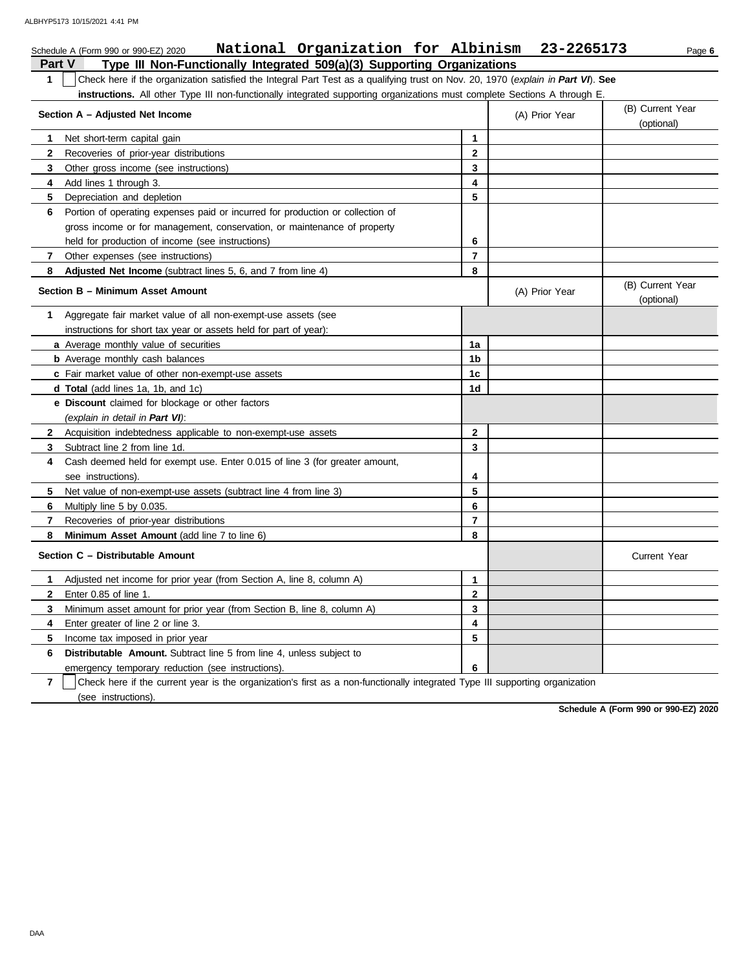| National Organization for Albinism<br>Schedule A (Form 990 or 990-EZ) 2020                                                            |                | 23-2265173     | Page 6                         |
|---------------------------------------------------------------------------------------------------------------------------------------|----------------|----------------|--------------------------------|
| Type III Non-Functionally Integrated 509(a)(3) Supporting Organizations<br>Part V                                                     |                |                |                                |
| Check here if the organization satisfied the Integral Part Test as a qualifying trust on Nov. 20, 1970 (explain in Part VI). See<br>1 |                |                |                                |
| instructions. All other Type III non-functionally integrated supporting organizations must complete Sections A through E.             |                |                |                                |
| Section A - Adjusted Net Income                                                                                                       |                | (A) Prior Year | (B) Current Year<br>(optional) |
| Net short-term capital gain<br>$\mathbf 1$                                                                                            | $\mathbf{1}$   |                |                                |
| $\mathbf{2}$<br>Recoveries of prior-year distributions                                                                                | $\mathbf{2}$   |                |                                |
| 3<br>Other gross income (see instructions)                                                                                            | 3              |                |                                |
| 4<br>Add lines 1 through 3.                                                                                                           | 4              |                |                                |
| 5<br>Depreciation and depletion                                                                                                       | 5              |                |                                |
| Portion of operating expenses paid or incurred for production or collection of<br>6                                                   |                |                |                                |
| gross income or for management, conservation, or maintenance of property                                                              |                |                |                                |
| held for production of income (see instructions)                                                                                      | 6              |                |                                |
| $\overline{7}$<br>Other expenses (see instructions)                                                                                   | $\overline{7}$ |                |                                |
| 8<br>Adjusted Net Income (subtract lines 5, 6, and 7 from line 4)                                                                     | 8              |                |                                |
| Section B - Minimum Asset Amount                                                                                                      |                | (A) Prior Year | (B) Current Year<br>(optional) |
| Aggregate fair market value of all non-exempt-use assets (see<br>1                                                                    |                |                |                                |
| instructions for short tax year or assets held for part of year):                                                                     |                |                |                                |
| a Average monthly value of securities                                                                                                 | 1a             |                |                                |
| <b>b</b> Average monthly cash balances                                                                                                | 1 <sub>b</sub> |                |                                |
| c Fair market value of other non-exempt-use assets                                                                                    | 1c             |                |                                |
| <b>d Total</b> (add lines 1a, 1b, and 1c)                                                                                             | 1d             |                |                                |
| <b>e</b> Discount claimed for blockage or other factors                                                                               |                |                |                                |
| (explain in detail in Part VI):                                                                                                       |                |                |                                |
| $\mathbf{2}$<br>Acquisition indebtedness applicable to non-exempt-use assets                                                          | $\mathbf 2$    |                |                                |
| 3<br>Subtract line 2 from line 1d.                                                                                                    | 3              |                |                                |
| Cash deemed held for exempt use. Enter 0.015 of line 3 (for greater amount,<br>4                                                      |                |                |                                |
| see instructions)                                                                                                                     | 4              |                |                                |
| 5.<br>Net value of non-exempt-use assets (subtract line 4 from line 3)                                                                | 5              |                |                                |
| 6<br>Multiply line 5 by 0.035.                                                                                                        | 6              |                |                                |
| $\overline{7}$<br>Recoveries of prior-year distributions                                                                              | $\overline{7}$ |                |                                |
| 8<br>Minimum Asset Amount (add line 7 to line 6)                                                                                      | 8              |                |                                |
| Section C - Distributable Amount                                                                                                      |                |                | <b>Current Year</b>            |
| Adjusted net income for prior year (from Section A, line 8, column A)<br>$\mathbf 1$                                                  | $\mathbf{1}$   |                |                                |
| $\mathbf{2}$<br>Enter 0.85 of line 1.                                                                                                 | $\mathbf{2}$   |                |                                |
| Minimum asset amount for prior year (from Section B, line 8, column A)<br>3                                                           | 3              |                |                                |
| 4<br>Enter greater of line 2 or line 3.                                                                                               | 4              |                |                                |
| 5<br>Income tax imposed in prior year                                                                                                 | 5              |                |                                |
| Distributable Amount. Subtract line 5 from line 4, unless subject to<br>6                                                             |                |                |                                |
| emergency temporary reduction (see instructions).                                                                                     | 6              |                |                                |

**7** (see instructions). Check here if the current year is the organization's first as a non-functionally integrated Type III supporting organization

**Schedule A (Form 990 or 990-EZ) 2020**

DAA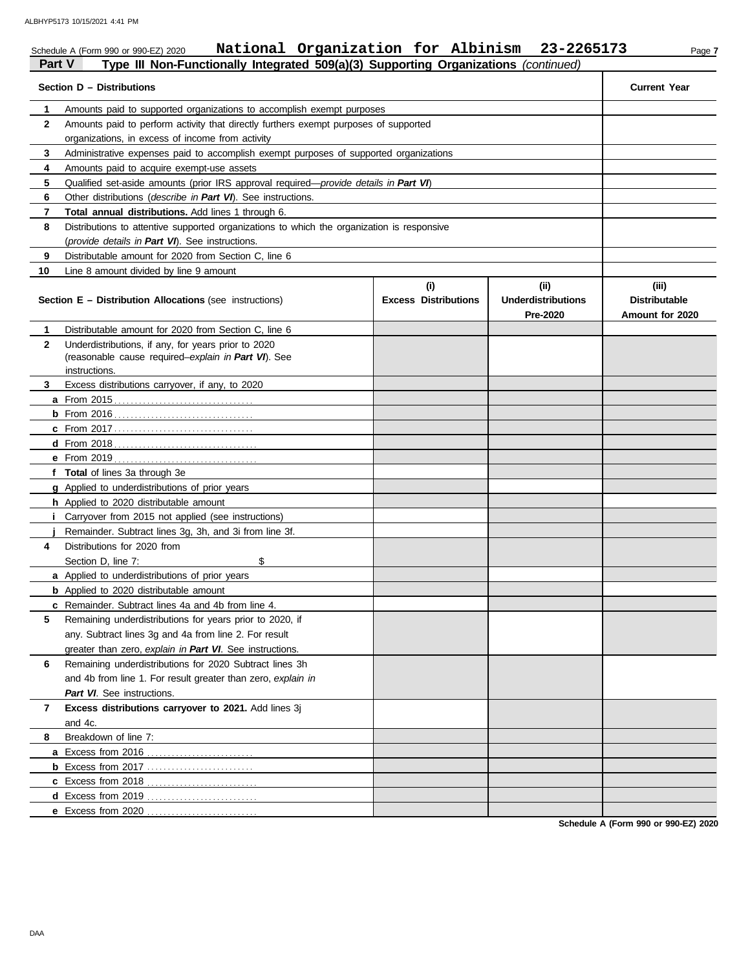|    | ALD TIF3 173 TV 13/202 I 4.4 I FM<br>National Organization for Albinism 23-2265173<br>Schedule A (Form 990 or 990-EZ) 2020 |          |          | Page 7              |  |  |  |
|----|----------------------------------------------------------------------------------------------------------------------------|----------|----------|---------------------|--|--|--|
|    | <b>Part V</b><br>Type III Non-Functionally Integrated 509(a)(3) Supporting Organizations (continued)                       |          |          |                     |  |  |  |
|    | Section D - Distributions                                                                                                  |          |          | <b>Current Year</b> |  |  |  |
|    | Amounts paid to supported organizations to accomplish exempt purposes                                                      |          |          |                     |  |  |  |
| 2  | Amounts paid to perform activity that directly furthers exempt purposes of supported                                       |          |          |                     |  |  |  |
|    | organizations, in excess of income from activity                                                                           |          |          |                     |  |  |  |
|    | Administrative expenses paid to accomplish exempt purposes of supported organizations                                      |          |          |                     |  |  |  |
|    | Amounts paid to acquire exempt-use assets                                                                                  |          |          |                     |  |  |  |
| 5  | Qualified set-aside amounts (prior IRS approval required— <i>provide details in Part VI</i> )                              |          |          |                     |  |  |  |
| 6  | Other distributions ( <i>describe in Part VI</i> ). See instructions.                                                      |          |          |                     |  |  |  |
|    | Total annual distributions. Add lines 1 through 6.                                                                         |          |          |                     |  |  |  |
| 8  | Distributions to attentive supported organizations to which the organization is responsive                                 |          |          |                     |  |  |  |
|    | (provide details in Part VI). See instructions.                                                                            |          |          |                     |  |  |  |
| 9  | Distributable amount for 2020 from Section C, line 6                                                                       |          |          |                     |  |  |  |
| 10 | Line 8 amount divided by line 9 amount                                                                                     |          |          |                     |  |  |  |
|    |                                                                                                                            | $\cdots$ | $\cdots$ | 1.1.1               |  |  |  |

#### **Section E – Distribution Allocations** (see instructions) **Excess Distributions (i) (ii) Underdistributions Pre-2020 (iii) Distributable Amount for 2020 8 7 6 5 4** Distributions for 2020 from **3 2 1 a** From 2015 . . . . . . . . . . . . . . . . . . . . . . . . . . . . . . . . . . **b** From 2016 . . . . . . . . . . . . . . . . . . . . . . . . . . . . . . . . . . **c** From 2017 . . . . . . . . . . . . . . . . . . . . . . . . . . . . . . . . . . **d** From 2018 . . . . . . . . . . . . . . . . . . . . . . . . . . . . . . . . . . . **e** From 2019 . . . . . . . . . . . . . . . . . . . . . . . . . . . . . . . . . . . **f Total** of lines 3a through 3e **g** Applied to underdistributions of prior years **h** Applied to 2020 distributable amount **i** Carryover from 2015 not applied (see instructions) **j** Remainder. Subtract lines 3g, 3h, and 3i from line 3f. **a** Applied to underdistributions of prior years **b** Applied to 2020 distributable amount **c** Remainder. Subtract lines 4a and 4b from line 4. **a** Excess from 2016 . . . . . . . . . . . . . . . . . . . . . . . . . . **b** Excess from 2017 . . . . . . . . . . . . . . . . . . . . . . . . . . **c** Excess from 2018 . . . . . . . . . . . . . . . . . . . . . . . . . . . **d** Excess from 2019 . . . . . . . . . . . . . . . . . . . . . . . . . . . Distributable amount for 2020 from Section C, line 6 Underdistributions, if any, for years prior to 2020 (reasonable cause required–*explain in Part VI*). See Excess distributions carryover, if any, to 2020 Section D, line 7: \$ Remaining underdistributions for years prior to 2020, if any. Subtract lines 3g and 4a from line 2. For result greater than zero, *explain in Part VI*. See instructions. Remaining underdistributions for 2020 Subtract lines 3h and 4b from line 1. For result greater than zero, *explain in Part VI*. See instructions. **Excess distributions carryover to 2021.** Add lines 3j and 4c. Breakdown of line 7: instructions.

**Schedule A (Form 990 or 990-EZ) 2020**

**e** Excess from 2020 . . . . . . . . . . . . . . . . . . . . . . . . . . .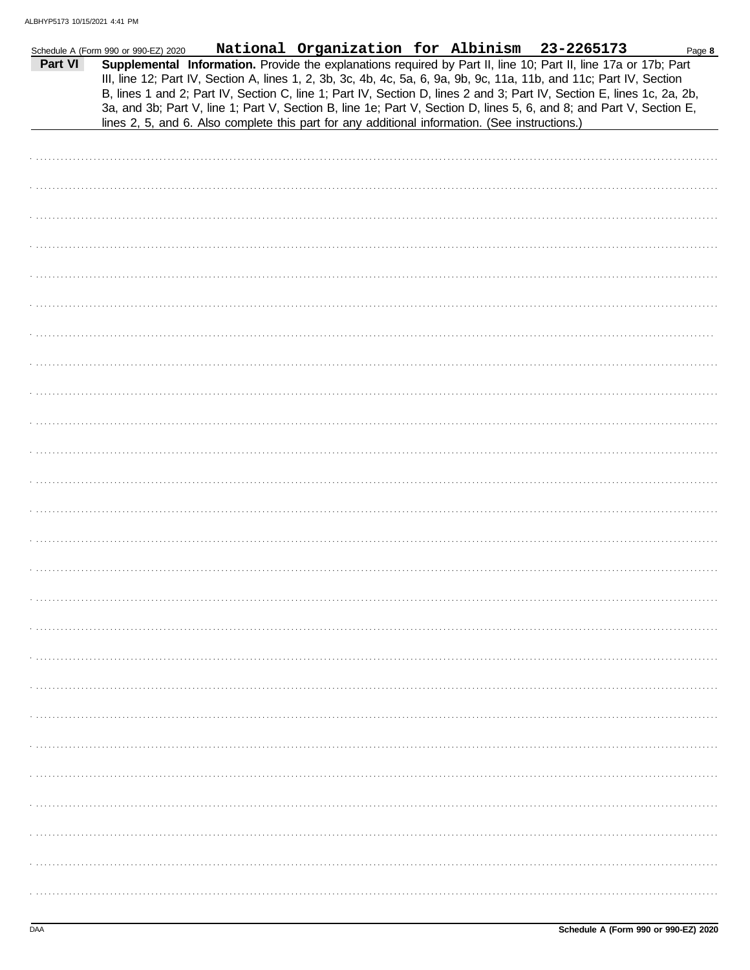|         | Schedule A (Form 990 or 990-EZ) 2020 | National Organization for Albinism 23-2265173                                                                                                                                                                                                                                                                                                                                                                                                                                                                                                                                               |  | Page 8 |
|---------|--------------------------------------|---------------------------------------------------------------------------------------------------------------------------------------------------------------------------------------------------------------------------------------------------------------------------------------------------------------------------------------------------------------------------------------------------------------------------------------------------------------------------------------------------------------------------------------------------------------------------------------------|--|--------|
| Part VI |                                      | Supplemental Information. Provide the explanations required by Part II, line 10; Part II, line 17a or 17b; Part<br>III, line 12; Part IV, Section A, lines 1, 2, 3b, 3c, 4b, 4c, 5a, 6, 9a, 9b, 9c, 11a, 11b, and 11c; Part IV, Section<br>B, lines 1 and 2; Part IV, Section C, line 1; Part IV, Section D, lines 2 and 3; Part IV, Section E, lines 1c, 2a, 2b,<br>3a, and 3b; Part V, line 1; Part V, Section B, line 1e; Part V, Section D, lines 5, 6, and 8; and Part V, Section E,<br>lines 2, 5, and 6. Also complete this part for any additional information. (See instructions.) |  |        |
|         |                                      |                                                                                                                                                                                                                                                                                                                                                                                                                                                                                                                                                                                             |  |        |
|         |                                      |                                                                                                                                                                                                                                                                                                                                                                                                                                                                                                                                                                                             |  |        |
|         |                                      |                                                                                                                                                                                                                                                                                                                                                                                                                                                                                                                                                                                             |  |        |
|         |                                      |                                                                                                                                                                                                                                                                                                                                                                                                                                                                                                                                                                                             |  |        |
|         |                                      |                                                                                                                                                                                                                                                                                                                                                                                                                                                                                                                                                                                             |  |        |
|         |                                      |                                                                                                                                                                                                                                                                                                                                                                                                                                                                                                                                                                                             |  |        |
|         |                                      |                                                                                                                                                                                                                                                                                                                                                                                                                                                                                                                                                                                             |  |        |
|         |                                      |                                                                                                                                                                                                                                                                                                                                                                                                                                                                                                                                                                                             |  |        |
|         |                                      |                                                                                                                                                                                                                                                                                                                                                                                                                                                                                                                                                                                             |  |        |
|         |                                      |                                                                                                                                                                                                                                                                                                                                                                                                                                                                                                                                                                                             |  |        |
|         |                                      |                                                                                                                                                                                                                                                                                                                                                                                                                                                                                                                                                                                             |  |        |
|         |                                      |                                                                                                                                                                                                                                                                                                                                                                                                                                                                                                                                                                                             |  |        |
|         |                                      |                                                                                                                                                                                                                                                                                                                                                                                                                                                                                                                                                                                             |  |        |
|         |                                      |                                                                                                                                                                                                                                                                                                                                                                                                                                                                                                                                                                                             |  |        |
|         |                                      |                                                                                                                                                                                                                                                                                                                                                                                                                                                                                                                                                                                             |  |        |
|         |                                      |                                                                                                                                                                                                                                                                                                                                                                                                                                                                                                                                                                                             |  |        |
|         |                                      |                                                                                                                                                                                                                                                                                                                                                                                                                                                                                                                                                                                             |  |        |
|         |                                      |                                                                                                                                                                                                                                                                                                                                                                                                                                                                                                                                                                                             |  |        |
|         |                                      |                                                                                                                                                                                                                                                                                                                                                                                                                                                                                                                                                                                             |  |        |
|         |                                      |                                                                                                                                                                                                                                                                                                                                                                                                                                                                                                                                                                                             |  |        |
|         |                                      |                                                                                                                                                                                                                                                                                                                                                                                                                                                                                                                                                                                             |  |        |
|         |                                      |                                                                                                                                                                                                                                                                                                                                                                                                                                                                                                                                                                                             |  |        |
|         |                                      |                                                                                                                                                                                                                                                                                                                                                                                                                                                                                                                                                                                             |  |        |
|         |                                      |                                                                                                                                                                                                                                                                                                                                                                                                                                                                                                                                                                                             |  |        |
|         |                                      |                                                                                                                                                                                                                                                                                                                                                                                                                                                                                                                                                                                             |  |        |
|         |                                      |                                                                                                                                                                                                                                                                                                                                                                                                                                                                                                                                                                                             |  |        |
|         |                                      |                                                                                                                                                                                                                                                                                                                                                                                                                                                                                                                                                                                             |  |        |
|         |                                      |                                                                                                                                                                                                                                                                                                                                                                                                                                                                                                                                                                                             |  |        |
|         |                                      |                                                                                                                                                                                                                                                                                                                                                                                                                                                                                                                                                                                             |  |        |
|         |                                      |                                                                                                                                                                                                                                                                                                                                                                                                                                                                                                                                                                                             |  |        |
|         |                                      |                                                                                                                                                                                                                                                                                                                                                                                                                                                                                                                                                                                             |  |        |
|         |                                      |                                                                                                                                                                                                                                                                                                                                                                                                                                                                                                                                                                                             |  |        |
|         |                                      |                                                                                                                                                                                                                                                                                                                                                                                                                                                                                                                                                                                             |  |        |
|         |                                      |                                                                                                                                                                                                                                                                                                                                                                                                                                                                                                                                                                                             |  |        |
|         |                                      |                                                                                                                                                                                                                                                                                                                                                                                                                                                                                                                                                                                             |  |        |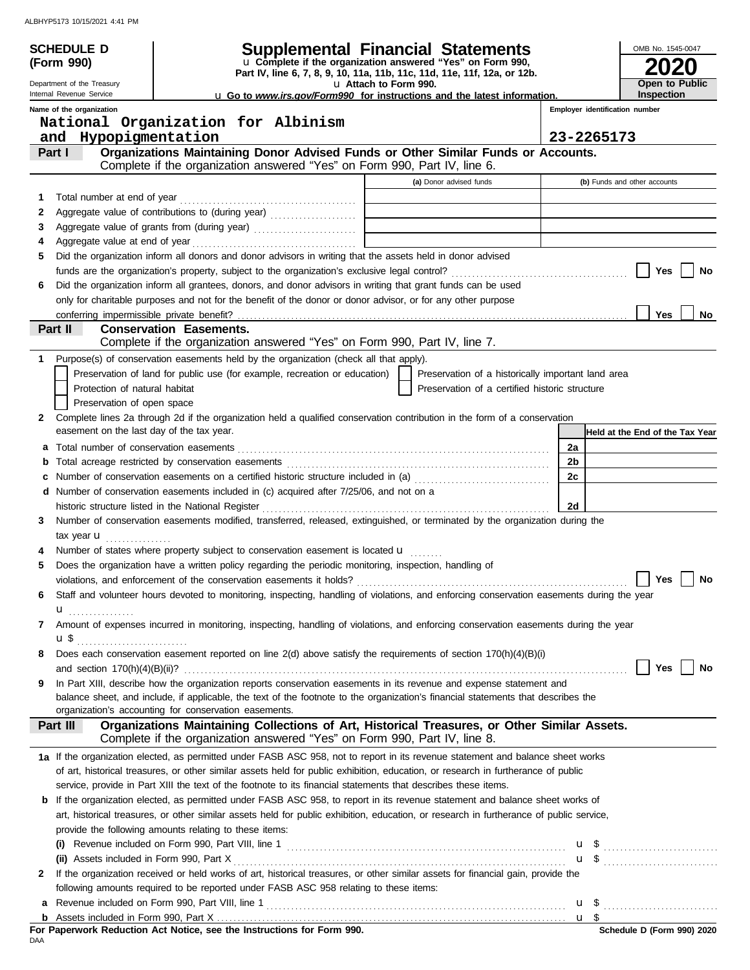|              | <b>SCHEDULE D</b>                         | <b>Supplemental Financial Statements</b>                                                                                                                                                       |                       |                                                    |                | OMB No. 1545-0047               |    |
|--------------|-------------------------------------------|------------------------------------------------------------------------------------------------------------------------------------------------------------------------------------------------|-----------------------|----------------------------------------------------|----------------|---------------------------------|----|
|              | (Form 990)                                | u Complete if the organization answered "Yes" on Form 990,<br>Part IV, line 6, 7, 8, 9, 10, 11a, 11b, 11c, 11d, 11e, 11f, 12a, or 12b.                                                         |                       |                                                    |                |                                 |    |
|              | Department of the Treasury                |                                                                                                                                                                                                | u Attach to Form 990. |                                                    |                | Open to Public                  |    |
|              | Internal Revenue Service                  | u Go to www.irs.gov/Form990 for instructions and the latest information.                                                                                                                       |                       |                                                    | Inspection     |                                 |    |
|              | Name of the organization                  | National Organization for Albinism                                                                                                                                                             |                       |                                                    |                | Employer identification number  |    |
|              | and Hypopigmentation                      |                                                                                                                                                                                                |                       |                                                    | 23-2265173     |                                 |    |
|              | Part I                                    | Organizations Maintaining Donor Advised Funds or Other Similar Funds or Accounts.                                                                                                              |                       |                                                    |                |                                 |    |
|              |                                           | Complete if the organization answered "Yes" on Form 990, Part IV, line 6.                                                                                                                      |                       |                                                    |                |                                 |    |
|              |                                           |                                                                                                                                                                                                |                       | (a) Donor advised funds                            |                | (b) Funds and other accounts    |    |
| 1            |                                           |                                                                                                                                                                                                |                       |                                                    |                |                                 |    |
| 2            |                                           |                                                                                                                                                                                                |                       |                                                    |                |                                 |    |
| 3            |                                           |                                                                                                                                                                                                |                       |                                                    |                |                                 |    |
| 4<br>5       |                                           | Did the organization inform all donors and donor advisors in writing that the assets held in donor advised                                                                                     |                       |                                                    |                |                                 |    |
|              |                                           |                                                                                                                                                                                                |                       |                                                    |                | Yes                             | No |
| 6            |                                           | Did the organization inform all grantees, donors, and donor advisors in writing that grant funds can be used                                                                                   |                       |                                                    |                |                                 |    |
|              |                                           | only for charitable purposes and not for the benefit of the donor or donor advisor, or for any other purpose                                                                                   |                       |                                                    |                |                                 |    |
|              |                                           |                                                                                                                                                                                                |                       |                                                    |                | <b>Yes</b>                      | No |
|              | Part II                                   | <b>Conservation Easements.</b>                                                                                                                                                                 |                       |                                                    |                |                                 |    |
|              |                                           | Complete if the organization answered "Yes" on Form 990, Part IV, line 7.                                                                                                                      |                       |                                                    |                |                                 |    |
| 1            |                                           | Purpose(s) of conservation easements held by the organization (check all that apply).                                                                                                          |                       |                                                    |                |                                 |    |
|              |                                           | Preservation of land for public use (for example, recreation or education)                                                                                                                     |                       | Preservation of a historically important land area |                |                                 |    |
|              | Protection of natural habitat             |                                                                                                                                                                                                |                       | Preservation of a certified historic structure     |                |                                 |    |
|              | Preservation of open space                |                                                                                                                                                                                                |                       |                                                    |                |                                 |    |
| $\mathbf{2}$ | easement on the last day of the tax year. | Complete lines 2a through 2d if the organization held a qualified conservation contribution in the form of a conservation                                                                      |                       |                                                    |                | Held at the End of the Tax Year |    |
|              |                                           |                                                                                                                                                                                                |                       |                                                    | 2a             |                                 |    |
| b            |                                           |                                                                                                                                                                                                |                       |                                                    | 2 <sub>b</sub> |                                 |    |
| С            |                                           | Number of conservation easements on a certified historic structure included in (a)                                                                                                             |                       |                                                    | 2c             |                                 |    |
|              |                                           | d Number of conservation easements included in (c) acquired after 7/25/06, and not on a                                                                                                        |                       |                                                    |                |                                 |    |
|              |                                           | historic structure listed in the National Register [11] Martin Martin Martin Martin Martin Martin Martin Marti                                                                                 |                       |                                                    | 2d             |                                 |    |
| 3            |                                           | Number of conservation easements modified, transferred, released, extinguished, or terminated by the organization during the                                                                   |                       |                                                    |                |                                 |    |
|              | tax year $\mathbf u$                      |                                                                                                                                                                                                |                       |                                                    |                |                                 |    |
| 5            |                                           | Number of states where property subject to conservation easement is located <b>u</b><br>Does the organization have a written policy regarding the periodic monitoring, inspection, handling of |                       |                                                    |                |                                 |    |
|              |                                           |                                                                                                                                                                                                |                       |                                                    |                |                                 |    |
| 6            |                                           | Staff and volunteer hours devoted to monitoring, inspecting, handling of violations, and enforcing conservation easements during the year                                                      |                       |                                                    |                |                                 |    |
|              | u <sub></sub>                             |                                                                                                                                                                                                |                       |                                                    |                |                                 |    |
| 7            |                                           | Amount of expenses incurred in monitoring, inspecting, handling of violations, and enforcing conservation easements during the year                                                            |                       |                                                    |                |                                 |    |
|              |                                           |                                                                                                                                                                                                |                       |                                                    |                |                                 |    |
| 8            |                                           | Does each conservation easement reported on line 2(d) above satisfy the requirements of section 170(h)(4)(B)(i)                                                                                |                       |                                                    |                |                                 |    |
|              |                                           |                                                                                                                                                                                                |                       |                                                    |                | Yes                             | No |
| 9            |                                           | In Part XIII, describe how the organization reports conservation easements in its revenue and expense statement and                                                                            |                       |                                                    |                |                                 |    |
|              |                                           | balance sheet, and include, if applicable, the text of the footnote to the organization's financial statements that describes the                                                              |                       |                                                    |                |                                 |    |
|              | Part III                                  | organization's accounting for conservation easements.<br>Organizations Maintaining Collections of Art, Historical Treasures, or Other Similar Assets.                                          |                       |                                                    |                |                                 |    |
|              |                                           | Complete if the organization answered "Yes" on Form 990, Part IV, line 8.                                                                                                                      |                       |                                                    |                |                                 |    |
|              |                                           | 1a If the organization elected, as permitted under FASB ASC 958, not to report in its revenue statement and balance sheet works                                                                |                       |                                                    |                |                                 |    |
|              |                                           | of art, historical treasures, or other similar assets held for public exhibition, education, or research in furtherance of public                                                              |                       |                                                    |                |                                 |    |
|              |                                           | service, provide in Part XIII the text of the footnote to its financial statements that describes these items.                                                                                 |                       |                                                    |                |                                 |    |
| b            |                                           | If the organization elected, as permitted under FASB ASC 958, to report in its revenue statement and balance sheet works of                                                                    |                       |                                                    |                |                                 |    |
|              |                                           | art, historical treasures, or other similar assets held for public exhibition, education, or research in furtherance of public service,                                                        |                       |                                                    |                |                                 |    |
|              |                                           | provide the following amounts relating to these items:                                                                                                                                         |                       |                                                    |                |                                 |    |
|              |                                           |                                                                                                                                                                                                |                       |                                                    |                |                                 |    |
|              |                                           |                                                                                                                                                                                                |                       |                                                    |                |                                 |    |
| 2            |                                           | If the organization received or held works of art, historical treasures, or other similar assets for financial gain, provide the                                                               |                       |                                                    |                |                                 |    |
|              |                                           | following amounts required to be reported under FASB ASC 958 relating to these items:                                                                                                          |                       |                                                    |                |                                 |    |
| а            |                                           |                                                                                                                                                                                                |                       |                                                    |                |                                 |    |
|              |                                           |                                                                                                                                                                                                |                       |                                                    |                |                                 |    |

|            | For Paperwork Reduction Act Notice, see the Instructions for Form 990. |  |  |  |
|------------|------------------------------------------------------------------------|--|--|--|
| <b>DAA</b> |                                                                        |  |  |  |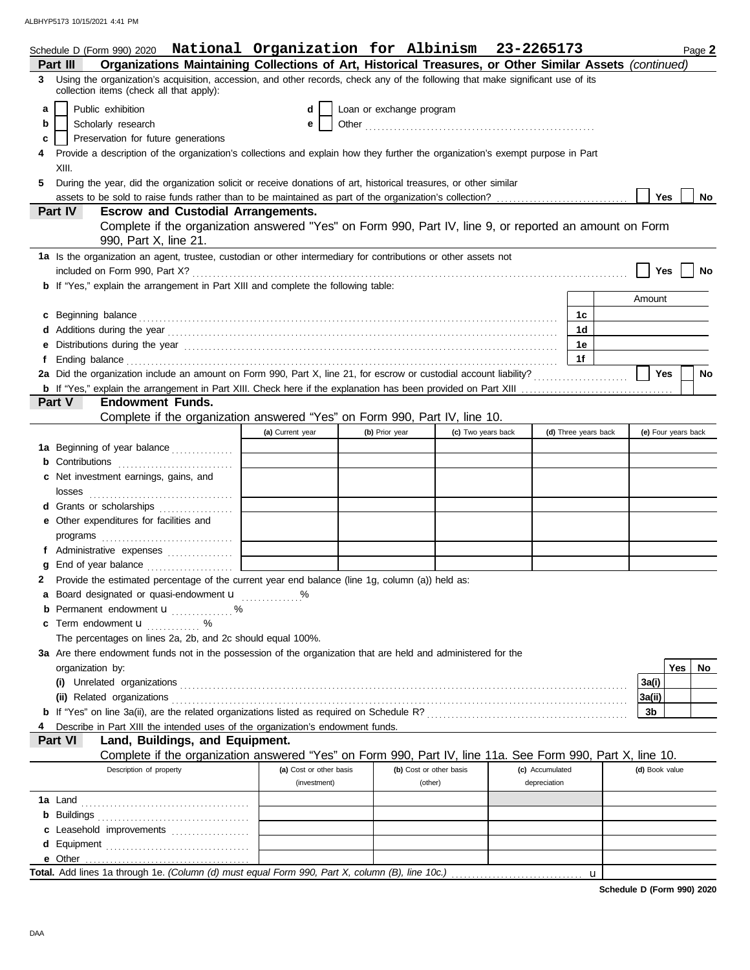|   |                  | Schedule D (Form 990) 2020 National Organization for Albinism 23-2265173                                                                                                                                                            |                                         |                          |                                    |                                 |                      |                | Page 2              |
|---|------------------|-------------------------------------------------------------------------------------------------------------------------------------------------------------------------------------------------------------------------------------|-----------------------------------------|--------------------------|------------------------------------|---------------------------------|----------------------|----------------|---------------------|
|   | Part III         | Organizations Maintaining Collections of Art, Historical Treasures, or Other Similar Assets (continued)                                                                                                                             |                                         |                          |                                    |                                 |                      |                |                     |
|   |                  | 3 Using the organization's acquisition, accession, and other records, check any of the following that make significant use of its<br>collection items (check all that apply):                                                       |                                         |                          |                                    |                                 |                      |                |                     |
| a |                  | Public exhibition                                                                                                                                                                                                                   | d                                       | Loan or exchange program |                                    |                                 |                      |                |                     |
| b |                  | Scholarly research                                                                                                                                                                                                                  | е                                       |                          |                                    |                                 |                      |                |                     |
| c |                  | Preservation for future generations                                                                                                                                                                                                 |                                         |                          |                                    |                                 |                      |                |                     |
|   |                  | Provide a description of the organization's collections and explain how they further the organization's exempt purpose in Part                                                                                                      |                                         |                          |                                    |                                 |                      |                |                     |
|   | XIII.            |                                                                                                                                                                                                                                     |                                         |                          |                                    |                                 |                      |                |                     |
| 5 |                  | During the year, did the organization solicit or receive donations of art, historical treasures, or other similar                                                                                                                   |                                         |                          |                                    |                                 |                      | <b>Yes</b>     |                     |
|   | Part IV          | assets to be sold to raise funds rather than to be maintained as part of the organization's collection?<br><b>Escrow and Custodial Arrangements.</b>                                                                                |                                         |                          |                                    |                                 |                      |                | No                  |
|   |                  | Complete if the organization answered "Yes" on Form 990, Part IV, line 9, or reported an amount on Form                                                                                                                             |                                         |                          |                                    |                                 |                      |                |                     |
|   |                  | 990, Part X, line 21.                                                                                                                                                                                                               |                                         |                          |                                    |                                 |                      |                |                     |
|   |                  | 1a Is the organization an agent, trustee, custodian or other intermediary for contributions or other assets not                                                                                                                     |                                         |                          |                                    |                                 |                      |                |                     |
|   |                  |                                                                                                                                                                                                                                     |                                         |                          |                                    |                                 |                      | Yes            | No                  |
|   |                  | <b>b</b> If "Yes," explain the arrangement in Part XIII and complete the following table:                                                                                                                                           |                                         |                          |                                    |                                 |                      |                |                     |
|   |                  |                                                                                                                                                                                                                                     |                                         |                          |                                    |                                 |                      | Amount         |                     |
| c |                  |                                                                                                                                                                                                                                     |                                         |                          |                                    |                                 | 1с                   |                |                     |
|   |                  |                                                                                                                                                                                                                                     |                                         |                          |                                    |                                 | 1d                   |                |                     |
|   |                  | Distributions during the year manufactured contains and the year manufactured with the year manufactured with the year manufactured with the year manufactured with the year manufactured with the year manufactured with the       |                                         |                          |                                    |                                 | 1е                   |                |                     |
|   |                  | Ending balance <b>construction and the construction of the construction</b> of the construction of the construction of the construction of the construction of the construction of the construction of the construction of the cons |                                         |                          |                                    |                                 | 1f                   |                |                     |
|   |                  |                                                                                                                                                                                                                                     |                                         |                          |                                    |                                 |                      | Yes            | No                  |
|   |                  |                                                                                                                                                                                                                                     |                                         |                          |                                    |                                 |                      |                |                     |
|   | <b>Part V</b>    | <b>Endowment Funds.</b>                                                                                                                                                                                                             |                                         |                          |                                    |                                 |                      |                |                     |
|   |                  | Complete if the organization answered "Yes" on Form 990, Part IV, line 10.                                                                                                                                                          |                                         |                          |                                    |                                 |                      |                |                     |
|   |                  |                                                                                                                                                                                                                                     | (a) Current year                        | (b) Prior year           |                                    | (c) Two years back              | (d) Three years back |                | (e) Four years back |
|   |                  | 1a Beginning of year balance                                                                                                                                                                                                        |                                         |                          |                                    |                                 |                      |                |                     |
|   |                  |                                                                                                                                                                                                                                     |                                         |                          |                                    |                                 |                      |                |                     |
| c |                  | Net investment earnings, gains, and                                                                                                                                                                                                 |                                         |                          |                                    |                                 |                      |                |                     |
|   | losses           |                                                                                                                                                                                                                                     |                                         |                          |                                    |                                 |                      |                |                     |
|   |                  | Grants or scholarships                                                                                                                                                                                                              |                                         |                          |                                    |                                 |                      |                |                     |
|   |                  | e Other expenditures for facilities and                                                                                                                                                                                             |                                         |                          |                                    |                                 |                      |                |                     |
|   |                  |                                                                                                                                                                                                                                     |                                         |                          |                                    |                                 |                      |                |                     |
|   |                  | Administrative expenses                                                                                                                                                                                                             |                                         |                          |                                    |                                 |                      |                |                     |
|   |                  |                                                                                                                                                                                                                                     |                                         |                          |                                    |                                 |                      |                |                     |
|   |                  | Provide the estimated percentage of the current year end balance (line 1g, column (a)) held as:                                                                                                                                     |                                         |                          |                                    |                                 |                      |                |                     |
|   |                  | a Board designated or quasi-endowment <b>u</b>                                                                                                                                                                                      |                                         |                          |                                    |                                 |                      |                |                     |
|   |                  | Permanent endowment <b>u</b> %                                                                                                                                                                                                      |                                         |                          |                                    |                                 |                      |                |                     |
| c |                  | Term endowment <b>u</b> %                                                                                                                                                                                                           |                                         |                          |                                    |                                 |                      |                |                     |
|   |                  | The percentages on lines 2a, 2b, and 2c should equal 100%.                                                                                                                                                                          |                                         |                          |                                    |                                 |                      |                |                     |
|   |                  | 3a Are there endowment funds not in the possession of the organization that are held and administered for the                                                                                                                       |                                         |                          |                                    |                                 |                      |                |                     |
|   | organization by: |                                                                                                                                                                                                                                     |                                         |                          |                                    |                                 |                      |                | <b>Yes</b><br>No    |
|   |                  |                                                                                                                                                                                                                                     |                                         |                          |                                    |                                 |                      | 3a(i)          |                     |
|   |                  | (ii) Related organizations <b>constructs</b> and construct or construct or construct or construct or construct or construction of the construction of the construction of the construction of the construction of the construction  |                                         |                          |                                    |                                 |                      | 3a(ii)         |                     |
|   |                  |                                                                                                                                                                                                                                     |                                         |                          |                                    |                                 |                      | 3b             |                     |
|   |                  | Describe in Part XIII the intended uses of the organization's endowment funds.                                                                                                                                                      |                                         |                          |                                    |                                 |                      |                |                     |
|   | Part VI          | Land, Buildings, and Equipment.                                                                                                                                                                                                     |                                         |                          |                                    |                                 |                      |                |                     |
|   |                  | Complete if the organization answered "Yes" on Form 990, Part IV, line 11a. See Form 990, Part X, line 10.                                                                                                                          |                                         |                          |                                    |                                 |                      |                |                     |
|   |                  | Description of property                                                                                                                                                                                                             | (a) Cost or other basis<br>(investment) |                          | (b) Cost or other basis<br>(other) | (c) Accumulated<br>depreciation |                      | (d) Book value |                     |
|   |                  |                                                                                                                                                                                                                                     |                                         |                          |                                    |                                 |                      |                |                     |
|   |                  |                                                                                                                                                                                                                                     |                                         |                          |                                    |                                 |                      |                |                     |
| b |                  |                                                                                                                                                                                                                                     |                                         |                          |                                    |                                 |                      |                |                     |
|   |                  | Leasehold improvements                                                                                                                                                                                                              |                                         |                          |                                    |                                 |                      |                |                     |
|   |                  |                                                                                                                                                                                                                                     |                                         |                          |                                    |                                 |                      |                |                     |
|   |                  |                                                                                                                                                                                                                                     |                                         |                          |                                    |                                 |                      |                |                     |
|   |                  |                                                                                                                                                                                                                                     |                                         |                          |                                    |                                 | $\mathbf{u}$         |                |                     |

**Schedule D (Form 990) 2020**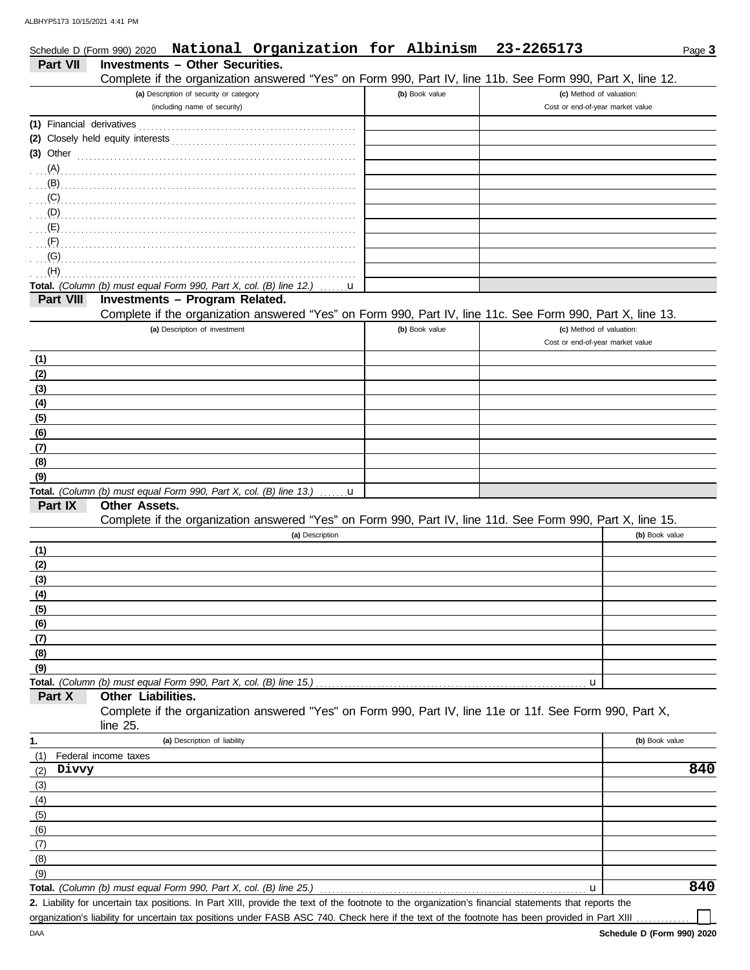| Schedule D (Form 990) 2020 | National Organization for Albinism                                                                                                                   |                | 23-2265173                                                   | Page 3         |
|----------------------------|------------------------------------------------------------------------------------------------------------------------------------------------------|----------------|--------------------------------------------------------------|----------------|
| <b>Part VII</b>            | <b>Investments - Other Securities.</b>                                                                                                               |                |                                                              |                |
|                            | Complete if the organization answered "Yes" on Form 990, Part IV, line 11b. See Form 990, Part X, line 12.                                           |                |                                                              |                |
|                            | (a) Description of security or category<br>(including name of security)                                                                              | (b) Book value | (c) Method of valuation:<br>Cost or end-of-year market value |                |
|                            |                                                                                                                                                      |                |                                                              |                |
|                            |                                                                                                                                                      |                |                                                              |                |
|                            |                                                                                                                                                      |                |                                                              |                |
|                            | (3) Other $\ldots$ and $\ldots$ and $\ldots$ and $\ldots$                                                                                            |                |                                                              |                |
|                            |                                                                                                                                                      |                |                                                              |                |
|                            |                                                                                                                                                      |                |                                                              |                |
|                            |                                                                                                                                                      |                |                                                              |                |
|                            |                                                                                                                                                      |                |                                                              |                |
|                            |                                                                                                                                                      |                |                                                              |                |
| (F)                        |                                                                                                                                                      |                |                                                              |                |
| (G)<br>(H)                 |                                                                                                                                                      |                |                                                              |                |
|                            | Total. (Column (b) must equal Form 990, Part X, col. (B) line 12.)                                                                                   |                |                                                              |                |
| Part VIII                  | <b>u</b><br>Investments - Program Related.                                                                                                           |                |                                                              |                |
|                            | Complete if the organization answered "Yes" on Form 990, Part IV, line 11c. See Form 990, Part X, line 13.                                           |                |                                                              |                |
|                            | (a) Description of investment                                                                                                                        | (b) Book value | (c) Method of valuation:                                     |                |
|                            |                                                                                                                                                      |                | Cost or end-of-year market value                             |                |
|                            |                                                                                                                                                      |                |                                                              |                |
| (1)<br>(2)                 |                                                                                                                                                      |                |                                                              |                |
| (3)                        |                                                                                                                                                      |                |                                                              |                |
| (4)                        |                                                                                                                                                      |                |                                                              |                |
| (5)                        |                                                                                                                                                      |                |                                                              |                |
| (6)                        |                                                                                                                                                      |                |                                                              |                |
| (7)                        |                                                                                                                                                      |                |                                                              |                |
| (8)                        |                                                                                                                                                      |                |                                                              |                |
| (9)                        |                                                                                                                                                      |                |                                                              |                |
|                            | <b>Total.</b> (Column (b) must equal Form 990, Part X, col. (B) line 13.) $\ldots$ <b>u</b>                                                          |                |                                                              |                |
| Part IX                    | <b>Other Assets.</b>                                                                                                                                 |                |                                                              |                |
|                            | Complete if the organization answered "Yes" on Form 990, Part IV, line 11d. See Form 990, Part X, line 15.                                           |                |                                                              |                |
|                            | (a) Description                                                                                                                                      |                |                                                              | (b) Book value |
| (1)                        |                                                                                                                                                      |                |                                                              |                |
| (2)                        |                                                                                                                                                      |                |                                                              |                |
| (3)                        |                                                                                                                                                      |                |                                                              |                |
| (4)                        |                                                                                                                                                      |                |                                                              |                |
| (5)                        |                                                                                                                                                      |                |                                                              |                |
| (6)                        |                                                                                                                                                      |                |                                                              |                |
| (7)                        |                                                                                                                                                      |                |                                                              |                |
| (8)                        |                                                                                                                                                      |                |                                                              |                |
| (9)                        |                                                                                                                                                      |                |                                                              |                |
|                            | Total. (Column (b) must equal Form 990, Part X, col. (B) line 15.).                                                                                  |                | u                                                            |                |
| Part X                     | Other Liabilities.                                                                                                                                   |                |                                                              |                |
|                            | Complete if the organization answered "Yes" on Form 990, Part IV, line 11e or 11f. See Form 990, Part X,                                             |                |                                                              |                |
|                            | line $25$ .                                                                                                                                          |                |                                                              |                |
| 1.                         | (a) Description of liability                                                                                                                         |                |                                                              | (b) Book value |
| (1)                        | Federal income taxes                                                                                                                                 |                |                                                              |                |
| Divvy<br>(2)               |                                                                                                                                                      |                |                                                              | 840            |
| (3)                        |                                                                                                                                                      |                |                                                              |                |
| (4)                        |                                                                                                                                                      |                |                                                              |                |
| (5)                        |                                                                                                                                                      |                |                                                              |                |
| (6)                        |                                                                                                                                                      |                |                                                              |                |
| (7)                        |                                                                                                                                                      |                |                                                              |                |
| (8)                        |                                                                                                                                                      |                |                                                              |                |
| (9)                        |                                                                                                                                                      |                |                                                              |                |
|                            | Total. (Column (b) must equal Form 990, Part X, col. (B) line 25.)                                                                                   |                | u                                                            | 840            |
|                            | 2. Liability for uncertain tax positions. In Part XIII, provide the text of the footnote to the organization's financial statements that reports the |                |                                                              |                |
|                            | organization's liability for uncertain tax positions under FASB ASC 740. Check here if the text of the footnote has been provided in Part XIII       |                |                                                              |                |

organization's liability for uncertain tax positions under FASB ASC 740. Check here if the text of the footnote has been provided in Part XIII . . . . . . . . . . . . .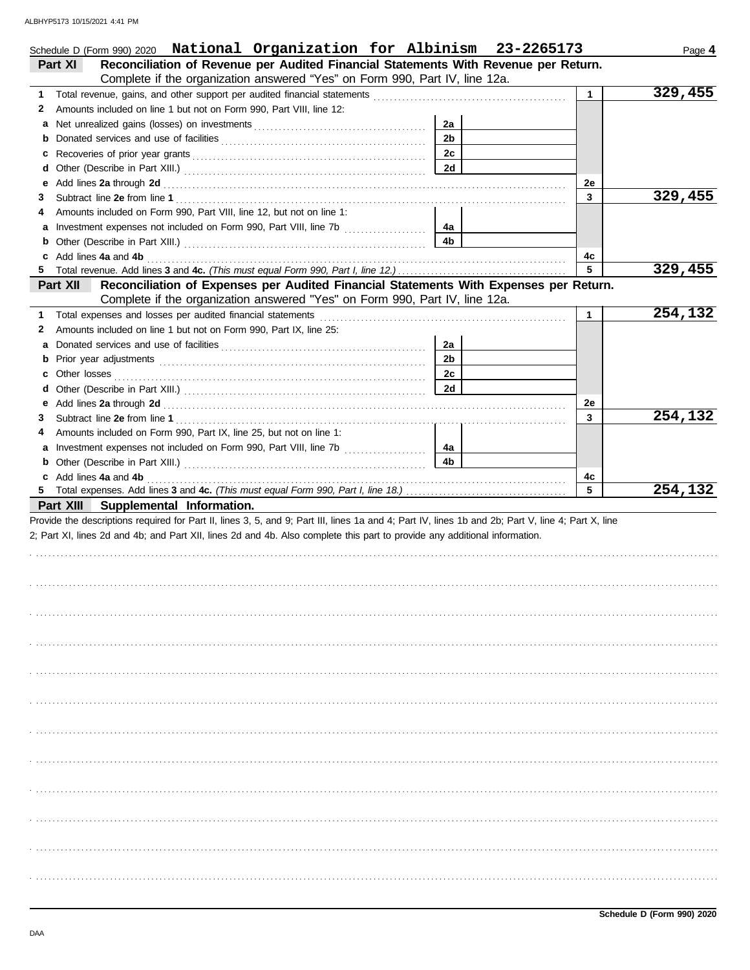| Schedule D (Form 990) 2020 National Organization for Albinism 23-2265173                                                                                                                                                           |                |              | Page 4  |
|------------------------------------------------------------------------------------------------------------------------------------------------------------------------------------------------------------------------------------|----------------|--------------|---------|
| Reconciliation of Revenue per Audited Financial Statements With Revenue per Return.<br>Part XI                                                                                                                                     |                |              |         |
| Complete if the organization answered "Yes" on Form 990, Part IV, line 12a.                                                                                                                                                        |                |              |         |
| 1                                                                                                                                                                                                                                  |                | $\mathbf{1}$ | 329,455 |
| Amounts included on line 1 but not on Form 990, Part VIII, line 12:<br>2                                                                                                                                                           |                |              |         |
|                                                                                                                                                                                                                                    | 2a             |              |         |
|                                                                                                                                                                                                                                    | 2 <sub>b</sub> |              |         |
|                                                                                                                                                                                                                                    | 2c             |              |         |
| d                                                                                                                                                                                                                                  | 2d             |              |         |
| Add lines 2a through 2d [11] And The Contract of the Contract of the Contract of the Contract of the Contract of the Contract of the Contract of the Contract of the Contract of the Contract of the Contract of the Contract<br>е |                | 2е           |         |
| 3                                                                                                                                                                                                                                  |                | $\mathbf{3}$ | 329,455 |
| Amounts included on Form 990, Part VIII, line 12, but not on line 1:<br>4                                                                                                                                                          |                |              |         |
|                                                                                                                                                                                                                                    | 4а             |              |         |
|                                                                                                                                                                                                                                    | 4b             |              |         |
| c Add lines 4a and 4b                                                                                                                                                                                                              |                | 4c           |         |
|                                                                                                                                                                                                                                    |                | 5            | 329,455 |
| Reconciliation of Expenses per Audited Financial Statements With Expenses per Return.<br>Part XII                                                                                                                                  |                |              |         |
| Complete if the organization answered "Yes" on Form 990, Part IV, line 12a.                                                                                                                                                        |                |              |         |
| 1                                                                                                                                                                                                                                  |                | 1            | 254,132 |
| Amounts included on line 1 but not on Form 990, Part IX, line 25:<br>2                                                                                                                                                             |                |              |         |
| а                                                                                                                                                                                                                                  | 2a             |              |         |
|                                                                                                                                                                                                                                    | 2 <sub>b</sub> |              |         |
|                                                                                                                                                                                                                                    | 2c             |              |         |
|                                                                                                                                                                                                                                    | 2d             |              |         |
| е                                                                                                                                                                                                                                  |                | 2е           |         |
| 3                                                                                                                                                                                                                                  |                | 3            | 254,132 |
| Amounts included on Form 990, Part IX, line 25, but not on line 1:<br>4                                                                                                                                                            |                |              |         |
| a Investment expenses not included on Form 990, Part VIII, line 7b [100] [100] [100] [100] [100] [100] [100] [100] [100] [100] [100] [100] [100] [100] [100] [100] [100] [100] [100] [100] [100] [100] [100] [100] [100] [100]     | 4a             |              |         |
|                                                                                                                                                                                                                                    | 4b             |              |         |
| c Add lines 4a and 4b                                                                                                                                                                                                              |                | 4с           |         |
|                                                                                                                                                                                                                                    |                | 5            | 254,132 |
| Part XIII Supplemental Information.                                                                                                                                                                                                |                |              |         |
| Provide the descriptions required for Part II, lines 3, 5, and 9; Part III, lines 1a and 4; Part IV, lines 1b and 2b; Part V, line 4; Part X, line                                                                                 |                |              |         |
| 2; Part XI, lines 2d and 4b; and Part XII, lines 2d and 4b. Also complete this part to provide any additional information.                                                                                                         |                |              |         |
|                                                                                                                                                                                                                                    |                |              |         |
|                                                                                                                                                                                                                                    |                |              |         |
|                                                                                                                                                                                                                                    |                |              |         |
|                                                                                                                                                                                                                                    |                |              |         |
|                                                                                                                                                                                                                                    |                |              |         |
|                                                                                                                                                                                                                                    |                |              |         |
|                                                                                                                                                                                                                                    |                |              |         |
|                                                                                                                                                                                                                                    |                |              |         |
|                                                                                                                                                                                                                                    |                |              |         |
|                                                                                                                                                                                                                                    |                |              |         |
|                                                                                                                                                                                                                                    |                |              |         |
|                                                                                                                                                                                                                                    |                |              |         |
|                                                                                                                                                                                                                                    |                |              |         |
|                                                                                                                                                                                                                                    |                |              |         |
|                                                                                                                                                                                                                                    |                |              |         |
|                                                                                                                                                                                                                                    |                |              |         |
|                                                                                                                                                                                                                                    |                |              |         |
|                                                                                                                                                                                                                                    |                |              |         |
|                                                                                                                                                                                                                                    |                |              |         |
|                                                                                                                                                                                                                                    |                |              |         |
|                                                                                                                                                                                                                                    |                |              |         |
|                                                                                                                                                                                                                                    |                |              |         |
|                                                                                                                                                                                                                                    |                |              |         |
|                                                                                                                                                                                                                                    |                |              |         |
|                                                                                                                                                                                                                                    |                |              |         |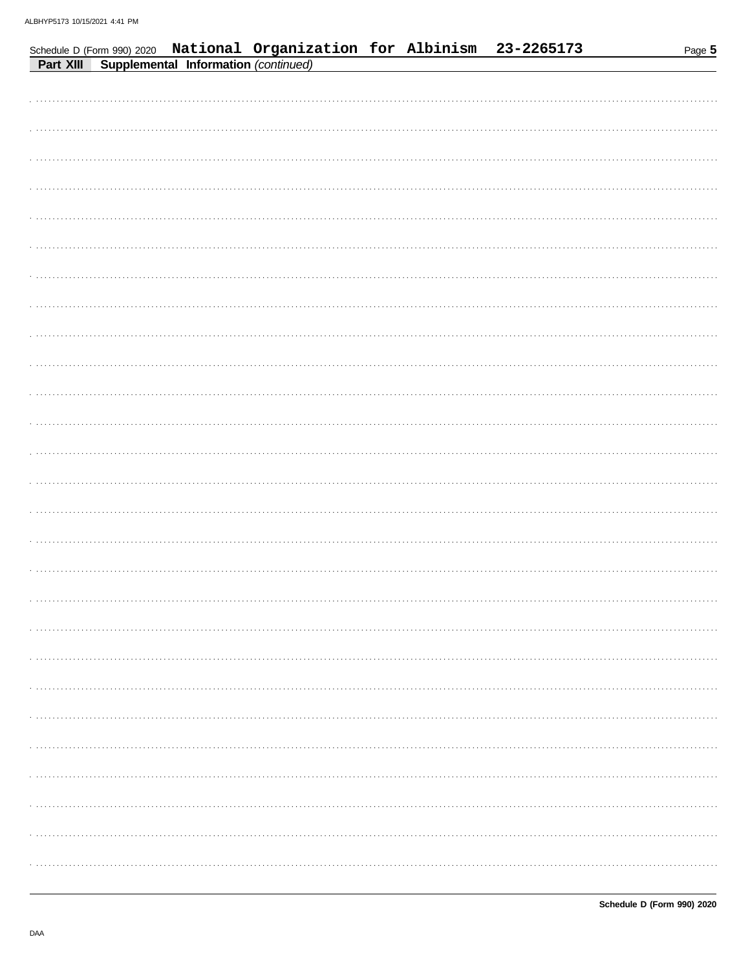|  | Schedule D (Form 990) 2020 National Organization for Albinism 23-2265173<br>Part XIII Supplemental Information (continued) |  | Page 5 |
|--|----------------------------------------------------------------------------------------------------------------------------|--|--------|
|  |                                                                                                                            |  |        |
|  |                                                                                                                            |  |        |
|  |                                                                                                                            |  |        |
|  |                                                                                                                            |  |        |
|  |                                                                                                                            |  |        |
|  |                                                                                                                            |  |        |
|  |                                                                                                                            |  |        |
|  |                                                                                                                            |  |        |
|  |                                                                                                                            |  |        |
|  |                                                                                                                            |  |        |
|  |                                                                                                                            |  |        |
|  |                                                                                                                            |  |        |
|  |                                                                                                                            |  |        |
|  |                                                                                                                            |  |        |
|  |                                                                                                                            |  |        |
|  |                                                                                                                            |  |        |
|  |                                                                                                                            |  |        |
|  |                                                                                                                            |  |        |
|  |                                                                                                                            |  |        |
|  |                                                                                                                            |  |        |
|  |                                                                                                                            |  |        |
|  |                                                                                                                            |  |        |
|  |                                                                                                                            |  |        |
|  |                                                                                                                            |  |        |
|  |                                                                                                                            |  |        |
|  |                                                                                                                            |  |        |
|  |                                                                                                                            |  |        |
|  |                                                                                                                            |  |        |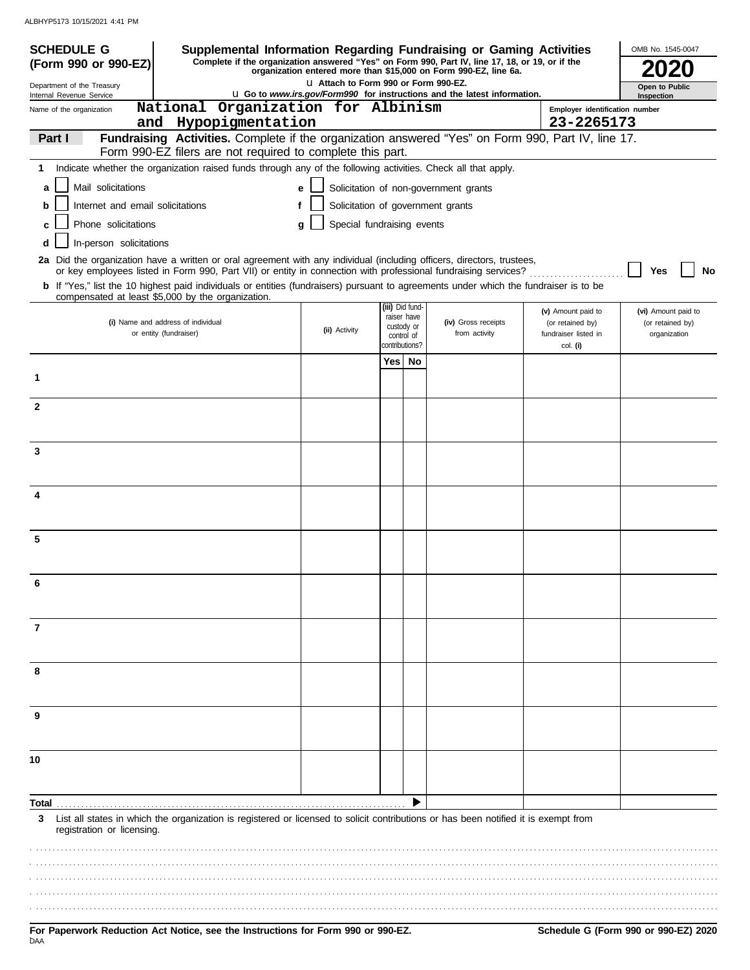| <b>SCHEDULE G</b><br>Supplemental Information Regarding Fundraising or Gaming Activities                                                                                                                                                 |                                                                                                                                                         |                                       |                                |  |                                                                  |                                          | OMB No. 1545-0047                |  |
|------------------------------------------------------------------------------------------------------------------------------------------------------------------------------------------------------------------------------------------|---------------------------------------------------------------------------------------------------------------------------------------------------------|---------------------------------------|--------------------------------|--|------------------------------------------------------------------|------------------------------------------|----------------------------------|--|
| Complete if the organization answered "Yes" on Form 990, Part IV, line 17, 18, or 19, or if the<br>(Form 990 or 990-EZ)                                                                                                                  |                                                                                                                                                         |                                       |                                |  | organization entered more than \$15,000 on Form 990-EZ, line 6a. |                                          |                                  |  |
| Department of the Treasury                                                                                                                                                                                                               |                                                                                                                                                         | LI Attach to Form 990 or Form 990-EZ. |                                |  |                                                                  |                                          | Open to Public<br>Inspection     |  |
| Internal Revenue Service<br>Name of the organization<br>and Hypopigmentation                                                                                                                                                             | <b>u</b> Go to www.irs.gov/Form990 for instructions and the latest information.<br>National Organization for Albinism<br>Emplover identification number |                                       |                                |  |                                                                  |                                          |                                  |  |
| Fundraising Activities. Complete if the organization answered "Yes" on Form 990, Part IV, line 17.<br>Part I                                                                                                                             |                                                                                                                                                         |                                       |                                |  |                                                                  | 23-2265173                               |                                  |  |
| Form 990-EZ filers are not required to complete this part.                                                                                                                                                                               |                                                                                                                                                         |                                       |                                |  |                                                                  |                                          |                                  |  |
| Indicate whether the organization raised funds through any of the following activities. Check all that apply.<br>1                                                                                                                       |                                                                                                                                                         |                                       |                                |  |                                                                  |                                          |                                  |  |
| Mail solicitations<br>a                                                                                                                                                                                                                  | e                                                                                                                                                       |                                       |                                |  | Solicitation of non-government grants                            |                                          |                                  |  |
| Internet and email solicitations<br>b                                                                                                                                                                                                    | f                                                                                                                                                       | Solicitation of government grants     |                                |  |                                                                  |                                          |                                  |  |
| Phone solicitations<br>c                                                                                                                                                                                                                 | g                                                                                                                                                       | Special fundraising events            |                                |  |                                                                  |                                          |                                  |  |
| In-person solicitations<br>d                                                                                                                                                                                                             |                                                                                                                                                         |                                       |                                |  |                                                                  |                                          |                                  |  |
| 2a Did the organization have a written or oral agreement with any individual (including officers, directors, trustees,<br>or key employees listed in Form 990, Part VII) or entity in connection with professional fundraising services? |                                                                                                                                                         |                                       |                                |  |                                                                  |                                          | Yes<br>No                        |  |
| <b>b</b> If "Yes," list the 10 highest paid individuals or entities (fundraisers) pursuant to agreements under which the fundraiser is to be<br>compensated at least \$5,000 by the organization.                                        |                                                                                                                                                         |                                       |                                |  |                                                                  |                                          |                                  |  |
|                                                                                                                                                                                                                                          |                                                                                                                                                         |                                       | (iii) Did fund-<br>raiser have |  |                                                                  | (v) Amount paid to                       | (vi) Amount paid to              |  |
| (i) Name and address of individual<br>or entity (fundraiser)                                                                                                                                                                             |                                                                                                                                                         | (ii) Activity                         | custody or<br>control of       |  | (iv) Gross receipts<br>from activity                             | (or retained by)<br>fundraiser listed in | (or retained by)<br>organization |  |
|                                                                                                                                                                                                                                          |                                                                                                                                                         |                                       | contributions?                 |  |                                                                  | col. (i)                                 |                                  |  |
|                                                                                                                                                                                                                                          |                                                                                                                                                         |                                       | Yes   No                       |  |                                                                  |                                          |                                  |  |
| 1                                                                                                                                                                                                                                        |                                                                                                                                                         |                                       |                                |  |                                                                  |                                          |                                  |  |
| $\mathbf{2}$                                                                                                                                                                                                                             |                                                                                                                                                         |                                       |                                |  |                                                                  |                                          |                                  |  |
|                                                                                                                                                                                                                                          |                                                                                                                                                         |                                       |                                |  |                                                                  |                                          |                                  |  |
| 3                                                                                                                                                                                                                                        |                                                                                                                                                         |                                       |                                |  |                                                                  |                                          |                                  |  |
|                                                                                                                                                                                                                                          |                                                                                                                                                         |                                       |                                |  |                                                                  |                                          |                                  |  |
| 4                                                                                                                                                                                                                                        |                                                                                                                                                         |                                       |                                |  |                                                                  |                                          |                                  |  |
|                                                                                                                                                                                                                                          |                                                                                                                                                         |                                       |                                |  |                                                                  |                                          |                                  |  |
| 5                                                                                                                                                                                                                                        |                                                                                                                                                         |                                       |                                |  |                                                                  |                                          |                                  |  |
|                                                                                                                                                                                                                                          |                                                                                                                                                         |                                       |                                |  |                                                                  |                                          |                                  |  |
|                                                                                                                                                                                                                                          |                                                                                                                                                         |                                       |                                |  |                                                                  |                                          |                                  |  |
|                                                                                                                                                                                                                                          |                                                                                                                                                         |                                       |                                |  |                                                                  |                                          |                                  |  |
| 7                                                                                                                                                                                                                                        |                                                                                                                                                         |                                       |                                |  |                                                                  |                                          |                                  |  |
|                                                                                                                                                                                                                                          |                                                                                                                                                         |                                       |                                |  |                                                                  |                                          |                                  |  |
| 8                                                                                                                                                                                                                                        |                                                                                                                                                         |                                       |                                |  |                                                                  |                                          |                                  |  |
|                                                                                                                                                                                                                                          |                                                                                                                                                         |                                       |                                |  |                                                                  |                                          |                                  |  |
| 9                                                                                                                                                                                                                                        |                                                                                                                                                         |                                       |                                |  |                                                                  |                                          |                                  |  |
|                                                                                                                                                                                                                                          |                                                                                                                                                         |                                       |                                |  |                                                                  |                                          |                                  |  |
| 10                                                                                                                                                                                                                                       |                                                                                                                                                         |                                       |                                |  |                                                                  |                                          |                                  |  |
|                                                                                                                                                                                                                                          |                                                                                                                                                         |                                       |                                |  |                                                                  |                                          |                                  |  |
| Total                                                                                                                                                                                                                                    |                                                                                                                                                         |                                       |                                |  |                                                                  |                                          |                                  |  |
| List all states in which the organization is registered or licensed to solicit contributions or has been notified it is exempt from<br>3<br>registration or licensing.                                                                   |                                                                                                                                                         |                                       |                                |  |                                                                  |                                          |                                  |  |
|                                                                                                                                                                                                                                          |                                                                                                                                                         |                                       |                                |  |                                                                  |                                          |                                  |  |
|                                                                                                                                                                                                                                          |                                                                                                                                                         |                                       |                                |  |                                                                  |                                          |                                  |  |
|                                                                                                                                                                                                                                          |                                                                                                                                                         |                                       |                                |  |                                                                  |                                          |                                  |  |
|                                                                                                                                                                                                                                          |                                                                                                                                                         |                                       |                                |  |                                                                  |                                          |                                  |  |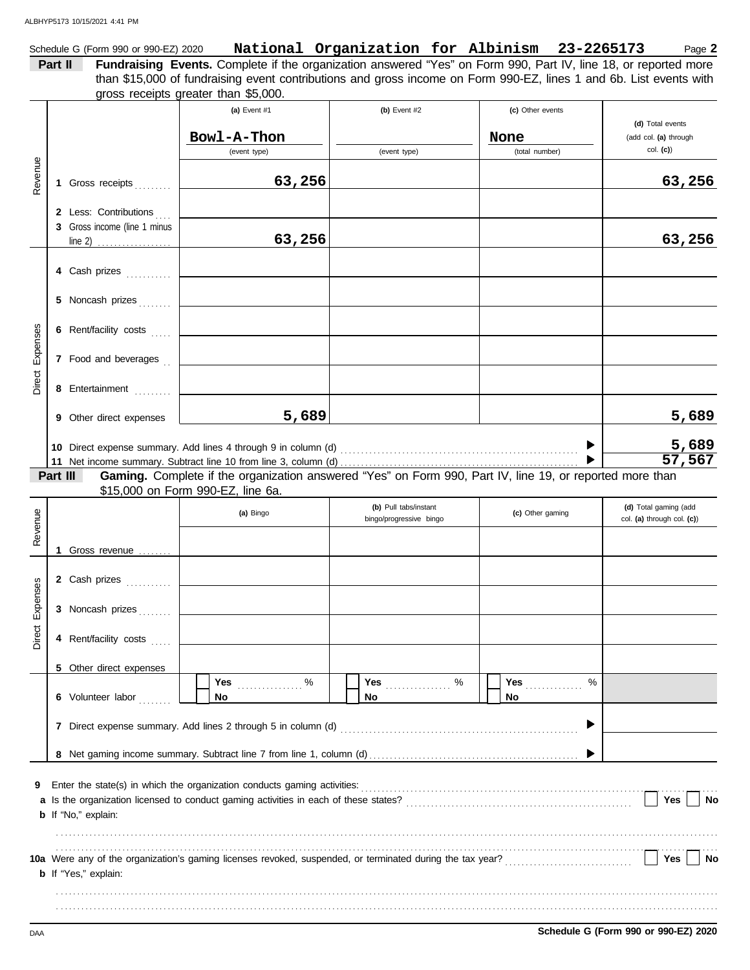|         | Schedule G (Form 990 or 990-EZ) 2020 |                                      | National Organization for Albinism 23-2265173                                                                          |  |  | Page 2 |
|---------|--------------------------------------|--------------------------------------|------------------------------------------------------------------------------------------------------------------------|--|--|--------|
| Part II |                                      |                                      | <b>Fundraising Events.</b> Complete if the organization answered "Yes" on Form 990, Part IV, line 18, or reported more |  |  |        |
|         |                                      |                                      | than \$15,000 of fundraising event contributions and gross income on Form 990-EZ, lines 1 and 6b. List events with     |  |  |        |
|         |                                      | gross receipts greater than \$5,000. |                                                                                                                        |  |  |        |
|         |                                      |                                      |                                                                                                                        |  |  |        |

|                 |          |                              | (a) Event $#1$                                                                                           | (b) Event $#2$                                   | (c) Other events |                                                     |
|-----------------|----------|------------------------------|----------------------------------------------------------------------------------------------------------|--------------------------------------------------|------------------|-----------------------------------------------------|
|                 |          |                              | Bowl-A-Thon                                                                                              |                                                  | None             | (d) Total events<br>(add col. (a) through           |
|                 |          |                              | (event type)                                                                                             | (event type)                                     | (total number)   | $col.$ (c))                                         |
|                 |          |                              |                                                                                                          |                                                  |                  |                                                     |
| Revenue         |          | 1 Gross receipts             | 63,256                                                                                                   |                                                  |                  | 63,256                                              |
|                 |          | 2 Less: Contributions        |                                                                                                          |                                                  |                  |                                                     |
|                 |          | 3 Gross income (line 1 minus |                                                                                                          |                                                  |                  |                                                     |
|                 |          | $line 2)$                    | 63,256                                                                                                   |                                                  |                  | 63,256                                              |
|                 |          | 4 Cash prizes                |                                                                                                          |                                                  |                  |                                                     |
|                 |          |                              |                                                                                                          |                                                  |                  |                                                     |
|                 |          | 5 Noncash prizes             |                                                                                                          |                                                  |                  |                                                     |
| Expenses        |          | 6 Rent/facility costs        |                                                                                                          |                                                  |                  |                                                     |
|                 |          | 7 Food and beverages         |                                                                                                          |                                                  |                  |                                                     |
| Direct          |          | 8 Entertainment              |                                                                                                          |                                                  |                  |                                                     |
|                 |          | 9 Other direct expenses      | 5,689                                                                                                    |                                                  |                  | 5,689                                               |
|                 |          |                              |                                                                                                          |                                                  |                  | 5,689                                               |
|                 |          |                              |                                                                                                          |                                                  |                  | 57,567                                              |
|                 | Part III |                              | Gaming. Complete if the organization answered "Yes" on Form 990, Part IV, line 19, or reported more than |                                                  |                  |                                                     |
|                 |          |                              | \$15,000 on Form 990-EZ, line 6a.                                                                        |                                                  |                  |                                                     |
|                 |          |                              | (a) Bingo                                                                                                | (b) Pull tabs/instant<br>bingo/progressive bingo | (c) Other gaming | (d) Total gaming (add<br>col. (a) through col. (c)) |
| Revenue         |          |                              |                                                                                                          |                                                  |                  |                                                     |
|                 |          | 1 Gross revenue              |                                                                                                          |                                                  |                  |                                                     |
|                 |          |                              |                                                                                                          |                                                  |                  |                                                     |
|                 |          | 2 Cash prizes                |                                                                                                          |                                                  |                  |                                                     |
| Direct Expenses |          | 3 Noncash prizes             |                                                                                                          |                                                  |                  |                                                     |
|                 |          | 4 Rent/facility costs        |                                                                                                          |                                                  |                  |                                                     |
|                 |          |                              |                                                                                                          |                                                  |                  |                                                     |
|                 |          | 5 Other direct expenses      |                                                                                                          | Yes  %                                           | <b>Yes</b><br>%  |                                                     |
|                 |          | 6 Volunteer labor            | No                                                                                                       | No.                                              | No               |                                                     |
|                 |          |                              |                                                                                                          |                                                  |                  |                                                     |
|                 |          |                              |                                                                                                          |                                                  |                  |                                                     |
|                 |          |                              |                                                                                                          |                                                  |                  |                                                     |
| 9               |          |                              |                                                                                                          |                                                  |                  |                                                     |
|                 |          |                              |                                                                                                          |                                                  |                  | Yes<br>No                                           |
|                 |          | b If "No," explain:          |                                                                                                          |                                                  |                  |                                                     |
|                 |          |                              |                                                                                                          |                                                  |                  |                                                     |
|                 |          |                              |                                                                                                          |                                                  |                  | Yes<br>No                                           |
|                 |          | <b>b</b> If "Yes," explain:  |                                                                                                          |                                                  |                  |                                                     |
|                 |          |                              |                                                                                                          |                                                  |                  |                                                     |
|                 |          |                              |                                                                                                          |                                                  |                  |                                                     |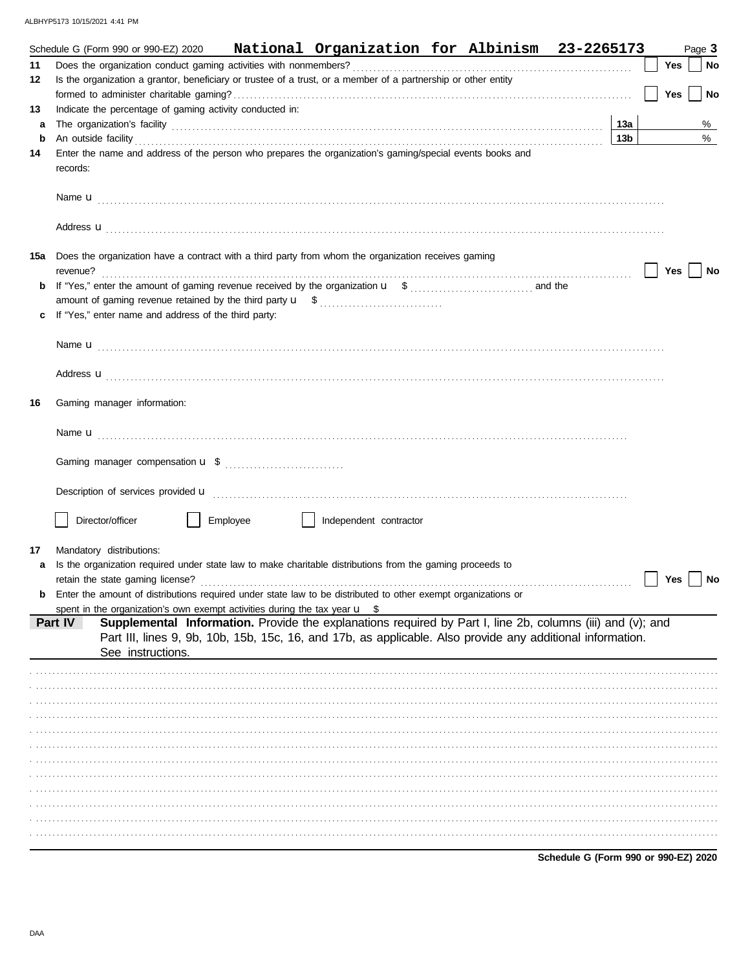|         | Schedule G (Form 990 or 990-EZ) 2020                                                                                                                                                                                                                                                                                                             |                   |          |  |                        | National Organization for Albinism 23-2265173                                                                                                                                                                            |  |     |     | Page 3    |
|---------|--------------------------------------------------------------------------------------------------------------------------------------------------------------------------------------------------------------------------------------------------------------------------------------------------------------------------------------------------|-------------------|----------|--|------------------------|--------------------------------------------------------------------------------------------------------------------------------------------------------------------------------------------------------------------------|--|-----|-----|-----------|
| 11      |                                                                                                                                                                                                                                                                                                                                                  |                   |          |  |                        |                                                                                                                                                                                                                          |  |     | Yes | ∣ No      |
| 12      | Is the organization a grantor, beneficiary or trustee of a trust, or a member of a partnership or other entity                                                                                                                                                                                                                                   |                   |          |  |                        |                                                                                                                                                                                                                          |  |     |     |           |
|         |                                                                                                                                                                                                                                                                                                                                                  |                   |          |  |                        |                                                                                                                                                                                                                          |  |     | Yes | <b>No</b> |
| 13      | Indicate the percentage of gaming activity conducted in:                                                                                                                                                                                                                                                                                         |                   |          |  |                        |                                                                                                                                                                                                                          |  |     |     |           |
| a       |                                                                                                                                                                                                                                                                                                                                                  |                   |          |  |                        |                                                                                                                                                                                                                          |  | 13а |     | %         |
| b<br>14 | An outside facility <b>contained a set of the contract of the contract of the contract of the contract of the contract of the contract of the contract of the contract of the contract of the contract of the contract of the co</b><br>Enter the name and address of the person who prepares the organization's gaming/special events books and |                   |          |  |                        |                                                                                                                                                                                                                          |  | 13b |     | %         |
|         | records:                                                                                                                                                                                                                                                                                                                                         |                   |          |  |                        |                                                                                                                                                                                                                          |  |     |     |           |
|         |                                                                                                                                                                                                                                                                                                                                                  |                   |          |  |                        |                                                                                                                                                                                                                          |  |     |     |           |
|         | Address <b>u</b>                                                                                                                                                                                                                                                                                                                                 |                   |          |  |                        |                                                                                                                                                                                                                          |  |     |     |           |
|         | 15a Does the organization have a contract with a third party from whom the organization receives gaming                                                                                                                                                                                                                                          |                   |          |  |                        |                                                                                                                                                                                                                          |  |     | Yes | No        |
| b       |                                                                                                                                                                                                                                                                                                                                                  |                   |          |  |                        |                                                                                                                                                                                                                          |  |     |     |           |
|         |                                                                                                                                                                                                                                                                                                                                                  |                   |          |  |                        |                                                                                                                                                                                                                          |  |     |     |           |
|         | If "Yes," enter name and address of the third party:                                                                                                                                                                                                                                                                                             |                   |          |  |                        |                                                                                                                                                                                                                          |  |     |     |           |
|         |                                                                                                                                                                                                                                                                                                                                                  |                   |          |  |                        |                                                                                                                                                                                                                          |  |     |     |           |
|         |                                                                                                                                                                                                                                                                                                                                                  |                   |          |  |                        |                                                                                                                                                                                                                          |  |     |     |           |
|         | Address <b>u</b>                                                                                                                                                                                                                                                                                                                                 |                   |          |  |                        |                                                                                                                                                                                                                          |  |     |     |           |
| 16      | Gaming manager information:                                                                                                                                                                                                                                                                                                                      |                   |          |  |                        |                                                                                                                                                                                                                          |  |     |     |           |
|         |                                                                                                                                                                                                                                                                                                                                                  |                   |          |  |                        |                                                                                                                                                                                                                          |  |     |     |           |
|         |                                                                                                                                                                                                                                                                                                                                                  |                   |          |  |                        |                                                                                                                                                                                                                          |  |     |     |           |
|         |                                                                                                                                                                                                                                                                                                                                                  |                   |          |  |                        |                                                                                                                                                                                                                          |  |     |     |           |
|         | Director/officer                                                                                                                                                                                                                                                                                                                                 |                   | Employee |  | Independent contractor |                                                                                                                                                                                                                          |  |     |     |           |
|         |                                                                                                                                                                                                                                                                                                                                                  |                   |          |  |                        |                                                                                                                                                                                                                          |  |     |     |           |
| 17      | Mandatory distributions:                                                                                                                                                                                                                                                                                                                         |                   |          |  |                        |                                                                                                                                                                                                                          |  |     |     |           |
|         | Is the organization required under state law to make charitable distributions from the gaming proceeds to<br>retain the state gaming license?                                                                                                                                                                                                    |                   |          |  |                        |                                                                                                                                                                                                                          |  |     | Yes | No        |
|         | Enter the amount of distributions required under state law to be distributed to other exempt organizations or                                                                                                                                                                                                                                    |                   |          |  |                        |                                                                                                                                                                                                                          |  |     |     |           |
|         | spent in the organization's own exempt activities during the tax year $\mathbf{u}$ \$                                                                                                                                                                                                                                                            |                   |          |  |                        |                                                                                                                                                                                                                          |  |     |     |           |
|         | Part IV                                                                                                                                                                                                                                                                                                                                          | See instructions. |          |  |                        | Supplemental Information. Provide the explanations required by Part I, line 2b, columns (iii) and (v); and<br>Part III, lines 9, 9b, 10b, 15b, 15c, 16, and 17b, as applicable. Also provide any additional information. |  |     |     |           |
|         |                                                                                                                                                                                                                                                                                                                                                  |                   |          |  |                        |                                                                                                                                                                                                                          |  |     |     |           |
|         |                                                                                                                                                                                                                                                                                                                                                  |                   |          |  |                        |                                                                                                                                                                                                                          |  |     |     |           |
|         |                                                                                                                                                                                                                                                                                                                                                  |                   |          |  |                        |                                                                                                                                                                                                                          |  |     |     |           |
|         |                                                                                                                                                                                                                                                                                                                                                  |                   |          |  |                        |                                                                                                                                                                                                                          |  |     |     |           |
|         |                                                                                                                                                                                                                                                                                                                                                  |                   |          |  |                        |                                                                                                                                                                                                                          |  |     |     |           |
|         |                                                                                                                                                                                                                                                                                                                                                  |                   |          |  |                        |                                                                                                                                                                                                                          |  |     |     |           |
|         |                                                                                                                                                                                                                                                                                                                                                  |                   |          |  |                        |                                                                                                                                                                                                                          |  |     |     |           |
|         |                                                                                                                                                                                                                                                                                                                                                  |                   |          |  |                        |                                                                                                                                                                                                                          |  |     |     |           |
|         |                                                                                                                                                                                                                                                                                                                                                  |                   |          |  |                        |                                                                                                                                                                                                                          |  |     |     |           |
|         |                                                                                                                                                                                                                                                                                                                                                  |                   |          |  |                        |                                                                                                                                                                                                                          |  |     |     |           |
|         |                                                                                                                                                                                                                                                                                                                                                  |                   |          |  |                        |                                                                                                                                                                                                                          |  |     |     |           |
|         |                                                                                                                                                                                                                                                                                                                                                  |                   |          |  |                        |                                                                                                                                                                                                                          |  |     |     |           |

Schedule G (Form 990 or 990-EZ) 2020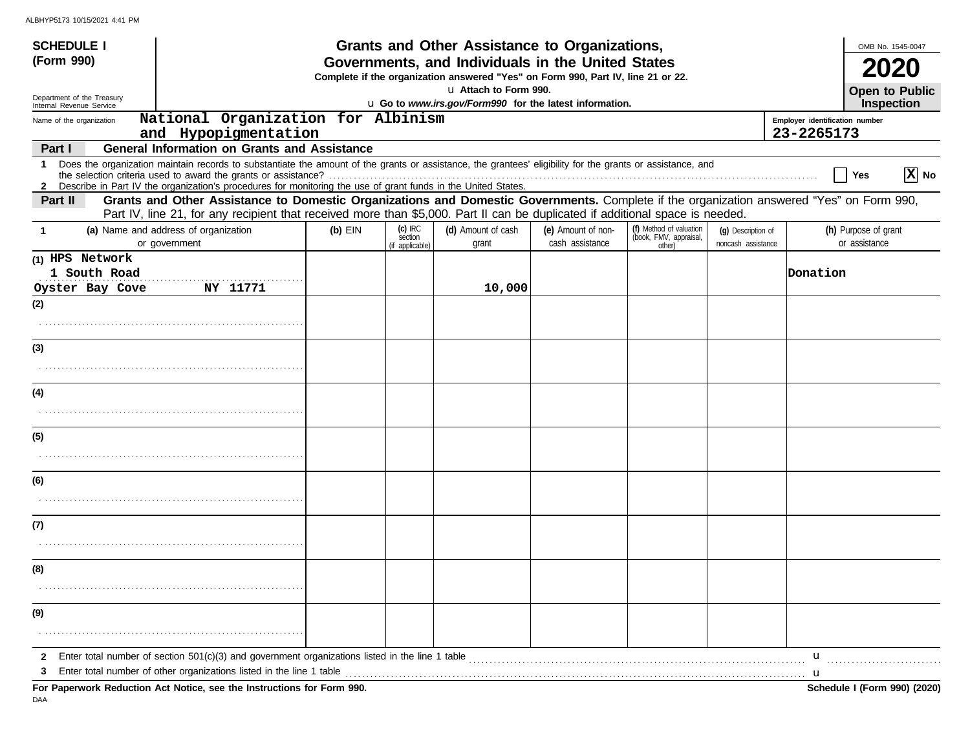| <b>SCHEDULE I</b>                                      |                                                                                                                                                                                                                                                                               |           |                                         | Grants and Other Assistance to Organizations,                                                                                         |                                       |                                                             |                                          |                                              | OMB No. 1545-0047                     |
|--------------------------------------------------------|-------------------------------------------------------------------------------------------------------------------------------------------------------------------------------------------------------------------------------------------------------------------------------|-----------|-----------------------------------------|---------------------------------------------------------------------------------------------------------------------------------------|---------------------------------------|-------------------------------------------------------------|------------------------------------------|----------------------------------------------|---------------------------------------|
| (Form 990)                                             |                                                                                                                                                                                                                                                                               |           |                                         | Governments, and Individuals in the United States<br>Complete if the organization answered "Yes" on Form 990, Part IV, line 21 or 22. |                                       |                                                             |                                          |                                              |                                       |
| Department of the Treasury<br>Internal Revenue Service |                                                                                                                                                                                                                                                                               |           |                                         | La Attach to Form 990.<br>u Go to www.irs.gov/Form990 for the latest information.                                                     |                                       |                                                             |                                          |                                              | <b>Open to Public</b><br>Inspection   |
| Name of the organization                               | National Organization for Albinism<br>and Hypopigmentation                                                                                                                                                                                                                    |           |                                         |                                                                                                                                       |                                       |                                                             |                                          | Employer identification number<br>23-2265173 |                                       |
| Part I                                                 | <b>General Information on Grants and Assistance</b>                                                                                                                                                                                                                           |           |                                         |                                                                                                                                       |                                       |                                                             |                                          |                                              |                                       |
| -1                                                     | Does the organization maintain records to substantiate the amount of the grants or assistance, the grantees' eligibility for the grants or assistance, and<br>2 Describe in Part IV the organization's procedures for monitoring the use of grant funds in the United States. |           |                                         |                                                                                                                                       |                                       |                                                             |                                          | Yes                                          | X No                                  |
| Part II                                                | Grants and Other Assistance to Domestic Organizations and Domestic Governments. Complete if the organization answered "Yes" on Form 990,<br>Part IV, line 21, for any recipient that received more than \$5,000. Part II can be duplicated if additional space is needed.     |           |                                         |                                                                                                                                       |                                       |                                                             |                                          |                                              |                                       |
| -1                                                     | (a) Name and address of organization<br>or government                                                                                                                                                                                                                         | $(b)$ EIN | $(c)$ IRC<br>section<br>(if applicable) | (d) Amount of cash<br>grant                                                                                                           | (e) Amount of non-<br>cash assistance | (f) Method of valuation<br>(book, FMV, appraisal,<br>other) | (g) Description of<br>noncash assistance |                                              | (h) Purpose of grant<br>or assistance |
| (1) HPS Network<br>1 South Road<br>Oyster Bay Cove     | NY 11771                                                                                                                                                                                                                                                                      |           |                                         | 10,000                                                                                                                                |                                       |                                                             |                                          | Donation                                     |                                       |
| (2)                                                    |                                                                                                                                                                                                                                                                               |           |                                         |                                                                                                                                       |                                       |                                                             |                                          |                                              |                                       |
|                                                        |                                                                                                                                                                                                                                                                               |           |                                         |                                                                                                                                       |                                       |                                                             |                                          |                                              |                                       |
| (3)                                                    |                                                                                                                                                                                                                                                                               |           |                                         |                                                                                                                                       |                                       |                                                             |                                          |                                              |                                       |
|                                                        |                                                                                                                                                                                                                                                                               |           |                                         |                                                                                                                                       |                                       |                                                             |                                          |                                              |                                       |
| (4)                                                    |                                                                                                                                                                                                                                                                               |           |                                         |                                                                                                                                       |                                       |                                                             |                                          |                                              |                                       |
| (5)                                                    |                                                                                                                                                                                                                                                                               |           |                                         |                                                                                                                                       |                                       |                                                             |                                          |                                              |                                       |
|                                                        |                                                                                                                                                                                                                                                                               |           |                                         |                                                                                                                                       |                                       |                                                             |                                          |                                              |                                       |
| (6)                                                    |                                                                                                                                                                                                                                                                               |           |                                         |                                                                                                                                       |                                       |                                                             |                                          |                                              |                                       |
| (7)                                                    |                                                                                                                                                                                                                                                                               |           |                                         |                                                                                                                                       |                                       |                                                             |                                          |                                              |                                       |
|                                                        |                                                                                                                                                                                                                                                                               |           |                                         |                                                                                                                                       |                                       |                                                             |                                          |                                              |                                       |
| (8)                                                    |                                                                                                                                                                                                                                                                               |           |                                         |                                                                                                                                       |                                       |                                                             |                                          |                                              |                                       |
|                                                        |                                                                                                                                                                                                                                                                               |           |                                         |                                                                                                                                       |                                       |                                                             |                                          |                                              |                                       |
| (9)                                                    |                                                                                                                                                                                                                                                                               |           |                                         |                                                                                                                                       |                                       |                                                             |                                          |                                              |                                       |
| 2                                                      | Enter total number of section 501(c)(3) and government organizations listed in the line 1 table                                                                                                                                                                               |           |                                         |                                                                                                                                       |                                       |                                                             |                                          | u                                            |                                       |
|                                                        | Enter total number of other organizations listed in the line 1 table                                                                                                                                                                                                          |           |                                         |                                                                                                                                       |                                       |                                                             |                                          | u                                            |                                       |
|                                                        | For Paperwork Reduction Act Notice, see the Instructions for Form 990.                                                                                                                                                                                                        |           |                                         |                                                                                                                                       |                                       |                                                             |                                          |                                              | Schedule I (Form 990) (2020)          |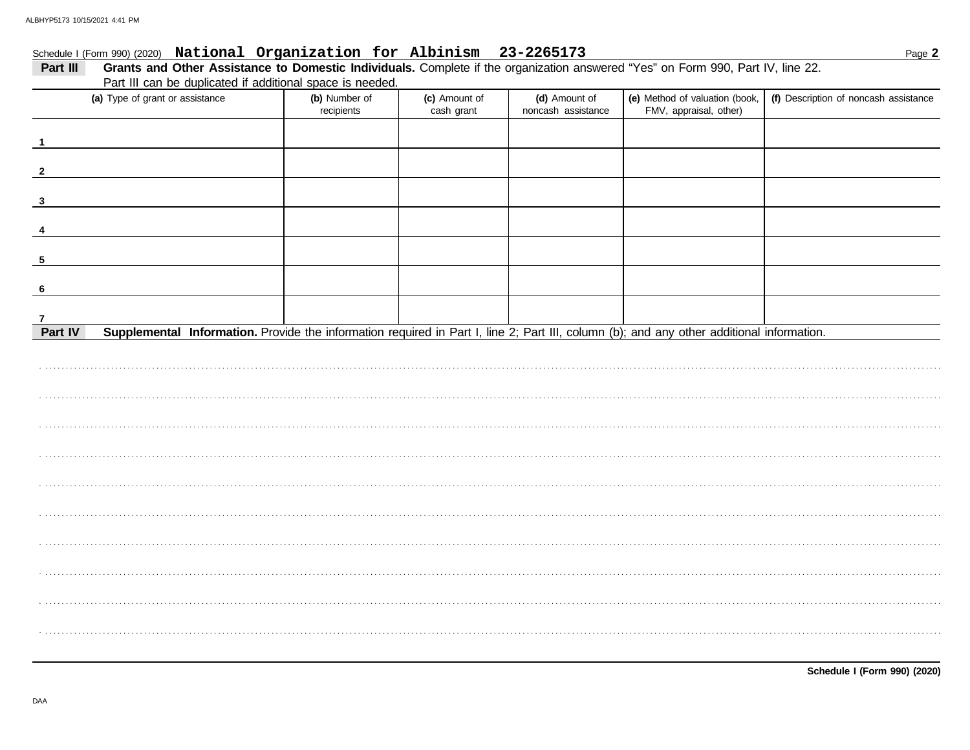# Schedule I (Form 990) (2020) National Organization for Albinism 23-2265173

| Part III can be duplicated if additional space is needed.<br>(a) Type of grant or assistance<br>(e) Method of valuation (book,<br>(f) Description of noncash assistance<br>(b) Number of<br>(c) Amount of<br>(d) Amount of<br>noncash assistance<br>FMV, appraisal, other)<br>recipients<br>cash grant<br>Part IV<br>Supplemental Information. Provide the information required in Part I, line 2; Part III, column (b); and any other additional information. | Part III                | Grants and Other Assistance to Domestic Individuals. Complete if the organization answered "Yes" on Form 990, Part IV, line 22. |  |  |  |
|----------------------------------------------------------------------------------------------------------------------------------------------------------------------------------------------------------------------------------------------------------------------------------------------------------------------------------------------------------------------------------------------------------------------------------------------------------------|-------------------------|---------------------------------------------------------------------------------------------------------------------------------|--|--|--|
|                                                                                                                                                                                                                                                                                                                                                                                                                                                                |                         |                                                                                                                                 |  |  |  |
|                                                                                                                                                                                                                                                                                                                                                                                                                                                                |                         |                                                                                                                                 |  |  |  |
|                                                                                                                                                                                                                                                                                                                                                                                                                                                                | $\overline{\mathbf{1}}$ |                                                                                                                                 |  |  |  |
|                                                                                                                                                                                                                                                                                                                                                                                                                                                                | $\overline{\mathbf{2}}$ |                                                                                                                                 |  |  |  |
|                                                                                                                                                                                                                                                                                                                                                                                                                                                                | $\mathbf{3}$            |                                                                                                                                 |  |  |  |
|                                                                                                                                                                                                                                                                                                                                                                                                                                                                | $\overline{\mathbf{4}}$ |                                                                                                                                 |  |  |  |
|                                                                                                                                                                                                                                                                                                                                                                                                                                                                | $5\phantom{.0}$         |                                                                                                                                 |  |  |  |
|                                                                                                                                                                                                                                                                                                                                                                                                                                                                | 6                       |                                                                                                                                 |  |  |  |
|                                                                                                                                                                                                                                                                                                                                                                                                                                                                | $\overline{7}$          |                                                                                                                                 |  |  |  |
|                                                                                                                                                                                                                                                                                                                                                                                                                                                                |                         |                                                                                                                                 |  |  |  |
|                                                                                                                                                                                                                                                                                                                                                                                                                                                                |                         |                                                                                                                                 |  |  |  |
|                                                                                                                                                                                                                                                                                                                                                                                                                                                                |                         |                                                                                                                                 |  |  |  |
|                                                                                                                                                                                                                                                                                                                                                                                                                                                                |                         |                                                                                                                                 |  |  |  |
|                                                                                                                                                                                                                                                                                                                                                                                                                                                                |                         |                                                                                                                                 |  |  |  |
|                                                                                                                                                                                                                                                                                                                                                                                                                                                                |                         |                                                                                                                                 |  |  |  |
|                                                                                                                                                                                                                                                                                                                                                                                                                                                                |                         |                                                                                                                                 |  |  |  |
|                                                                                                                                                                                                                                                                                                                                                                                                                                                                |                         |                                                                                                                                 |  |  |  |
|                                                                                                                                                                                                                                                                                                                                                                                                                                                                |                         |                                                                                                                                 |  |  |  |
|                                                                                                                                                                                                                                                                                                                                                                                                                                                                |                         |                                                                                                                                 |  |  |  |
|                                                                                                                                                                                                                                                                                                                                                                                                                                                                |                         |                                                                                                                                 |  |  |  |

DAA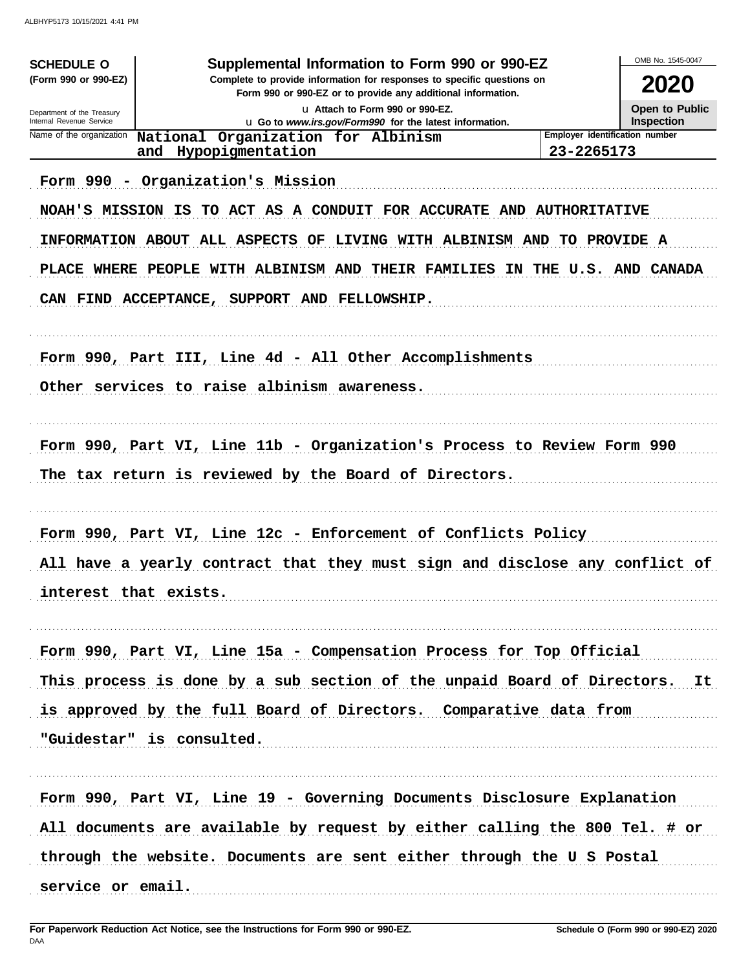| <b>SCHEDULE O</b>                                      | Supplemental Information to Form 990 or 990-EZ                                                                                         |                                | OMB No. 1545-0047                   |
|--------------------------------------------------------|----------------------------------------------------------------------------------------------------------------------------------------|--------------------------------|-------------------------------------|
| (Form 990 or 990-EZ)                                   | Complete to provide information for responses to specific questions on<br>Form 990 or 990-EZ or to provide any additional information. |                                | 2020                                |
| Department of the Treasury<br>Internal Revenue Service | La Attach to Form 990 or 990-EZ.                                                                                                       |                                | <b>Open to Public</b><br>Inspection |
| Name of the organization                               | u Go to www.irs.gov/Form990 for the latest information.<br>National Organization for Albinism                                          | Employer identification number |                                     |
|                                                        | Hypopigmentation<br>and                                                                                                                | 23-2265173                     |                                     |
|                                                        | Form 990 - Organization's Mission                                                                                                      |                                |                                     |
|                                                        | NOAH'S MISSION IS TO ACT AS A CONDUIT FOR ACCURATE AND AUTHORITATIVE                                                                   |                                |                                     |
|                                                        | INFORMATION ABOUT ALL ASPECTS OF LIVING WITH ALBINISM AND TO PROVIDE A                                                                 |                                |                                     |
|                                                        | PLACE WHERE PEOPLE WITH ALBINISM AND THEIR FAMILIES IN THE U.S. AND CANADA                                                             |                                |                                     |
|                                                        | CAN FIND ACCEPTANCE, SUPPORT AND FELLOWSHIP.                                                                                           |                                |                                     |
|                                                        |                                                                                                                                        |                                |                                     |
|                                                        | Form 990, Part III, Line 4d - All Other Accomplishments                                                                                |                                |                                     |
|                                                        | Other services to raise albinism awareness.                                                                                            |                                |                                     |
|                                                        |                                                                                                                                        |                                |                                     |
|                                                        | Form 990, Part VI, Line 11b - Organization's Process to Review Form 990                                                                |                                |                                     |
|                                                        | The tax return is reviewed by the Board of Directors.                                                                                  |                                |                                     |
|                                                        |                                                                                                                                        |                                |                                     |
|                                                        | Form 990, Part VI, Line 12c - Enforcement of Conflicts Policy                                                                          |                                |                                     |
|                                                        | All have a yearly contract that they must sign and disclose any conflict of                                                            |                                |                                     |
|                                                        |                                                                                                                                        |                                |                                     |
|                                                        | interest that exists.                                                                                                                  |                                |                                     |
|                                                        | Form 990, Part VI, Line 15a - Compensation Process for Top Official                                                                    |                                |                                     |
|                                                        | This process is done by a sub section of the unpaid Board of Directors. It                                                             |                                |                                     |
|                                                        | is approved by the full Board of Directors. Comparative data from                                                                      |                                |                                     |
|                                                        | "Guidestar" is consulted.                                                                                                              |                                |                                     |
|                                                        |                                                                                                                                        |                                |                                     |
|                                                        | Form 990, Part VI, Line 19 - Governing Documents Disclosure Explanation                                                                |                                |                                     |
|                                                        | All documents are available by request by either calling the 800 Tel. # or                                                             |                                |                                     |
|                                                        | through the website. Documents are sent either through the U S Postal                                                                  |                                |                                     |
| service or email.                                      |                                                                                                                                        |                                |                                     |
|                                                        |                                                                                                                                        |                                |                                     |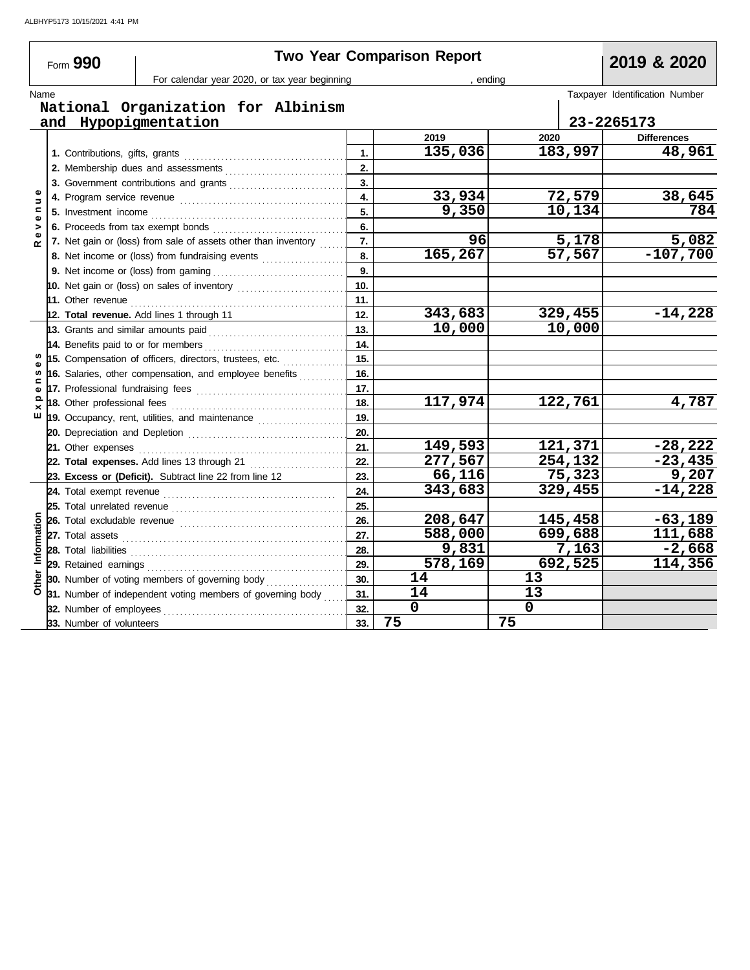|               | Form 990                 |                                                                                                                                                              |                | <b>Two Year Comparison Report</b> |             | 2019 & 2020                    |
|---------------|--------------------------|--------------------------------------------------------------------------------------------------------------------------------------------------------------|----------------|-----------------------------------|-------------|--------------------------------|
|               |                          | For calendar year 2020, or tax year beginning                                                                                                                |                |                                   | ending      |                                |
| Name          |                          |                                                                                                                                                              |                |                                   |             | Taxpayer Identification Number |
|               |                          | National Organization for Albinism                                                                                                                           |                |                                   |             |                                |
|               |                          | and Hypopigmentation                                                                                                                                         |                |                                   |             | 23-2265173                     |
|               |                          |                                                                                                                                                              |                | 2019                              | 2020        | <b>Differences</b>             |
|               |                          |                                                                                                                                                              | $\mathbf{1}$ . | 135,036                           | 183,997     | 48,961                         |
|               |                          |                                                                                                                                                              | 2.             |                                   |             |                                |
|               |                          | 3. Government contributions and grants                                                                                                                       | 3.             |                                   |             |                                |
| Ξ             |                          |                                                                                                                                                              | 4.             | 33,934                            | 72,579      | 38,645                         |
| ۵<br>e        |                          |                                                                                                                                                              | 5.             | $\overline{9,350}$                | 10,134      | 784                            |
| $\frac{1}{2}$ |                          |                                                                                                                                                              | 6.             | 96                                | 5,178       | 5,082                          |
|               |                          | 7. Net gain or (loss) from sale of assets other than inventory                                                                                               | 7.             | 165,267                           |             |                                |
|               |                          | 8. Net income or (loss) from fundraising events <i>minimum</i>                                                                                               | 8.             |                                   | 57,567      | $-107,700$                     |
|               |                          |                                                                                                                                                              | 9.             |                                   |             |                                |
|               |                          |                                                                                                                                                              | 10.            |                                   |             |                                |
|               |                          |                                                                                                                                                              | 11.            | 343,683                           | 329,455     | $-14,228$                      |
|               |                          | 12. Total revenue. Add lines 1 through 11                                                                                                                    | 12.<br>13.     | 10,000                            | 10,000      |                                |
|               |                          | 13. Grants and similar amounts paid                                                                                                                          | 14.            |                                   |             |                                |
|               |                          |                                                                                                                                                              | 15.            |                                   |             |                                |
| w             |                          | 15. Compensation of officers, directors, trustees, etc.                                                                                                      | 16.            |                                   |             |                                |
| 2             |                          | 16. Salaries, other compensation, and employee benefits                                                                                                      | 17.            |                                   |             |                                |
| ¢<br>Q        |                          |                                                                                                                                                              | 18.            | 117,974                           | 122,761     | 4,787                          |
| ×<br>ш        |                          | 18. Other professional fees <b>constants</b> of the professional fees<br>19. Occupancy, rent, utilities, and maintenance <i>[[[[[[[[[[[[[[[[[[[[[[[]]]]]</i> | 19.            |                                   |             |                                |
|               |                          |                                                                                                                                                              | 20.            |                                   |             |                                |
|               |                          |                                                                                                                                                              | 21.            | 149,593                           | 121,371     | $-28,222$                      |
|               |                          | 22. Total expenses. Add lines 13 through 21                                                                                                                  | 22.            | 277,567                           | 254,132     | $-23,435$                      |
|               |                          | 23. Excess or (Deficit). Subtract line 22 from line 12                                                                                                       | 23.            | 66,116                            | 75,323      | 9,207                          |
|               |                          |                                                                                                                                                              | 24.            | 343,683                           | 329,455     | $-14,228$                      |
|               |                          |                                                                                                                                                              | 25.            |                                   |             |                                |
|               |                          |                                                                                                                                                              | 26.            | 208,647                           | 145,458     | $-63,189$                      |
|               |                          |                                                                                                                                                              | 27.            | 588,000                           | 699,688     | 111,688                        |
| Information   |                          |                                                                                                                                                              | 28.            | 9,831                             | 7,163       | $-2,668$                       |
|               |                          |                                                                                                                                                              | 29.            | 578,169                           | 692,525     | 114,356                        |
| Other         |                          | 30. Number of voting members of governing body                                                                                                               | 30.            | 14                                | 13          |                                |
|               |                          | 31. Number of independent voting members of governing body                                                                                                   | 31.            | 14                                | 13          |                                |
|               |                          | <b>32.</b> Number of employees                                                                                                                               | 32.            | $\mathbf 0$                       | $\mathbf 0$ |                                |
|               | 33. Number of volunteers |                                                                                                                                                              | 33.            | 75                                | 75          |                                |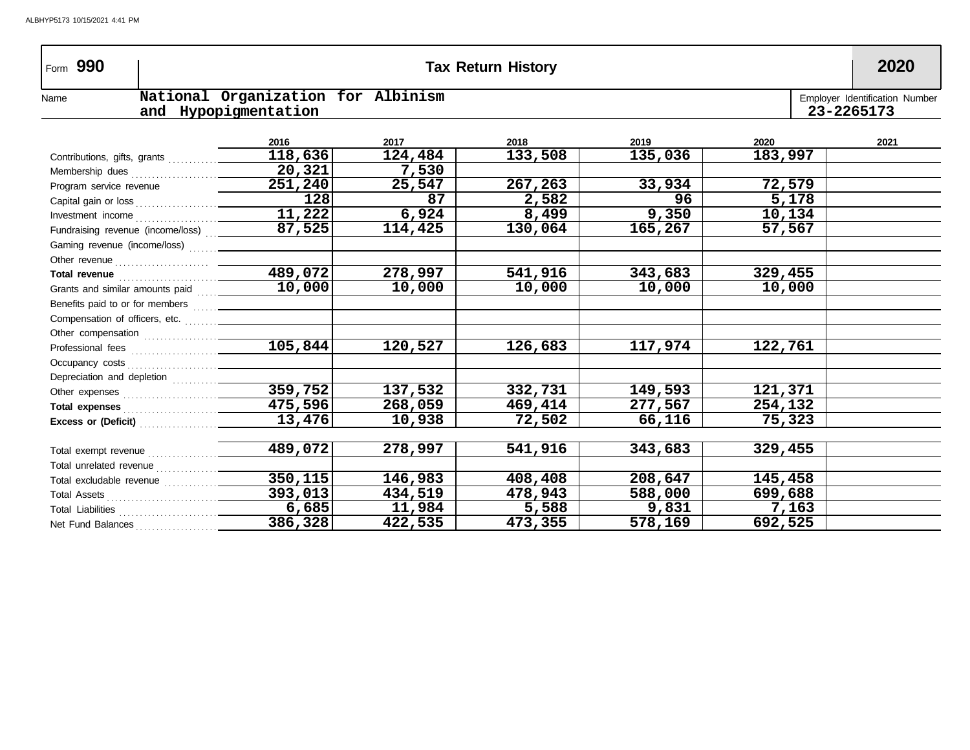| Form 990                                                                                                                                                                                                                             |                                                            |         | <b>Tax Return History</b> |         |         | 2020                                         |
|--------------------------------------------------------------------------------------------------------------------------------------------------------------------------------------------------------------------------------------|------------------------------------------------------------|---------|---------------------------|---------|---------|----------------------------------------------|
| Name                                                                                                                                                                                                                                 | National Organization for Albinism<br>and Hypopigmentation |         |                           |         |         | Employer Identification Number<br>23-2265173 |
|                                                                                                                                                                                                                                      |                                                            |         |                           |         |         |                                              |
|                                                                                                                                                                                                                                      | 2016                                                       | 2017    | 2018                      | 2019    | 2020    | 2021                                         |
|                                                                                                                                                                                                                                      | 118,636                                                    | 124,484 | 133,508                   | 135,036 | 183,997 |                                              |
|                                                                                                                                                                                                                                      | 20,321                                                     | 7,530   |                           |         |         |                                              |
| Program service revenue                                                                                                                                                                                                              | 251,240                                                    | 25,547  | 267,263                   | 33,934  | 72,579  |                                              |
|                                                                                                                                                                                                                                      | 128                                                        | 87      | 2,582                     | 96      | 5,178   |                                              |
|                                                                                                                                                                                                                                      | 11,222                                                     | 6,924   | 8,499                     | 9,350   | 10,134  |                                              |
| Fundraising revenue (income/loss)  _____                                                                                                                                                                                             | 87,525                                                     | 114,425 | 130,064                   | 165,267 | 57,567  |                                              |
|                                                                                                                                                                                                                                      |                                                            |         |                           |         |         |                                              |
|                                                                                                                                                                                                                                      |                                                            |         |                           |         |         |                                              |
| Total revenue <b>contract and the contract of the contract of the contract of the contract of the contract of the contract of the contract of the contract of the contract of the contract of the contract of the contract of th</b> | 489,072                                                    | 278,997 | 541,916                   | 343,683 | 329,455 |                                              |
| Grants and similar amounts paid                                                                                                                                                                                                      | 10,000                                                     | 10,000  | 10,000                    | 10,000  | 10,000  |                                              |
|                                                                                                                                                                                                                                      |                                                            |         |                           |         |         |                                              |
|                                                                                                                                                                                                                                      |                                                            |         |                           |         |         |                                              |
|                                                                                                                                                                                                                                      |                                                            |         |                           |         |         |                                              |
|                                                                                                                                                                                                                                      | 105,844                                                    | 120,527 | 126,683                   | 117,974 | 122,761 |                                              |
|                                                                                                                                                                                                                                      |                                                            |         |                           |         |         |                                              |
| Depreciation and depletion <i>[[[[[[[[[[[[[[[[[[[[[[[[[[[[[[]]]]</i>                                                                                                                                                                 |                                                            |         |                           |         |         |                                              |
|                                                                                                                                                                                                                                      | 359,752                                                    | 137,532 | 332,731                   | 149,593 | 121,371 |                                              |
|                                                                                                                                                                                                                                      | 475,596                                                    | 268,059 | 469,414                   | 277,567 | 254,132 |                                              |
|                                                                                                                                                                                                                                      | $\overline{13,476}$                                        | 10,938  | 72,502                    | 66,116  | 75,323  |                                              |
|                                                                                                                                                                                                                                      |                                                            |         |                           |         |         |                                              |
|                                                                                                                                                                                                                                      | 489,072                                                    | 278,997 | 541,916                   | 343,683 | 329,455 |                                              |
|                                                                                                                                                                                                                                      |                                                            |         |                           |         |         |                                              |
|                                                                                                                                                                                                                                      | $\overline{350, 115}$                                      | 146,983 | 408,408                   | 208,647 | 145,458 |                                              |
|                                                                                                                                                                                                                                      | 393,013                                                    | 434,519 | 478,943                   | 588,000 | 699,688 |                                              |
|                                                                                                                                                                                                                                      | 6,685                                                      | 11,984  | 5,588                     | 9,831   | 7,163   |                                              |
| Net Fund Balances                                                                                                                                                                                                                    | 386,328                                                    | 422,535 | 473,355                   | 578,169 | 692,525 |                                              |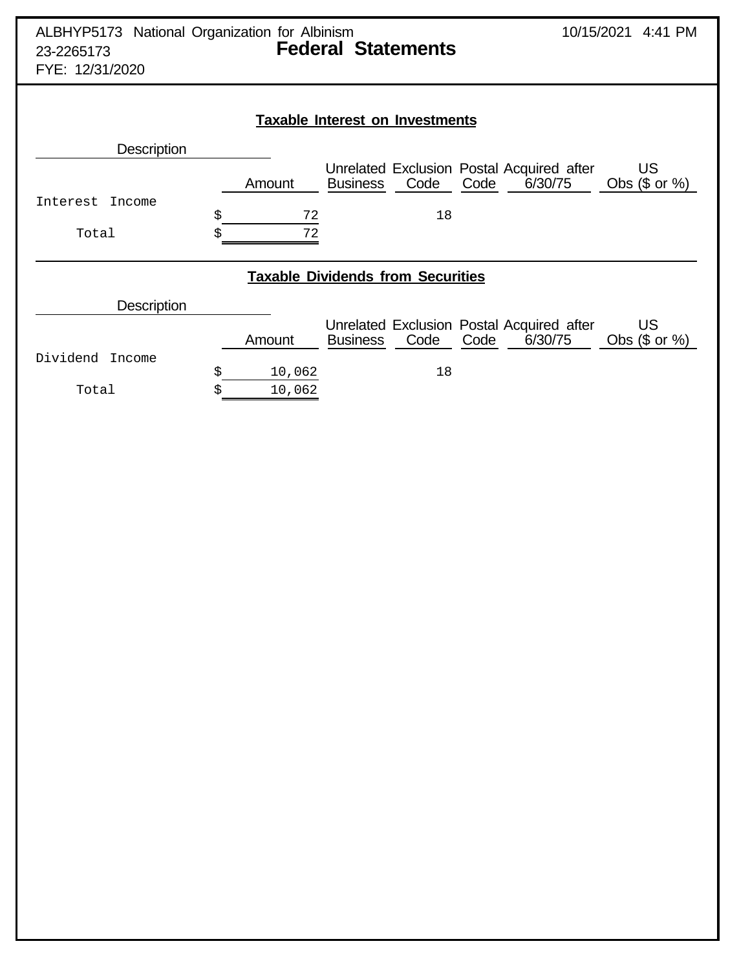| ALBHYP5173 National Organization for Albinism<br>23-2265173<br>FYE: 12/31/2020 |              | <b>Federal Statements</b>                |                                                              | 10/15/2021 4:41 PM             |
|--------------------------------------------------------------------------------|--------------|------------------------------------------|--------------------------------------------------------------|--------------------------------|
|                                                                                |              | <b>Taxable Interest on Investments</b>   |                                                              |                                |
| <b>Description</b>                                                             |              |                                          |                                                              |                                |
|                                                                                | Amount       | Code<br><b>Business</b>                  | Unrelated Exclusion Postal Acquired after<br>Code<br>6/30/75 | <b>US</b><br>Obs $($$ or $%$   |
| Interest<br>Income                                                             | \$<br>72     | 18                                       |                                                              |                                |
| Total                                                                          | \$<br>72     |                                          |                                                              |                                |
|                                                                                |              | <b>Taxable Dividends from Securities</b> |                                                              |                                |
| <b>Description</b>                                                             |              |                                          |                                                              |                                |
|                                                                                | Amount       | Code<br><b>Business</b>                  | Unrelated Exclusion Postal Acquired after<br>6/30/75<br>Code | <b>US</b><br>Obs $($$ or $\%)$ |
| Dividend<br>Income                                                             | \$<br>10,062 | 18                                       |                                                              |                                |
| Total                                                                          | 10,062<br>Ś  |                                          |                                                              |                                |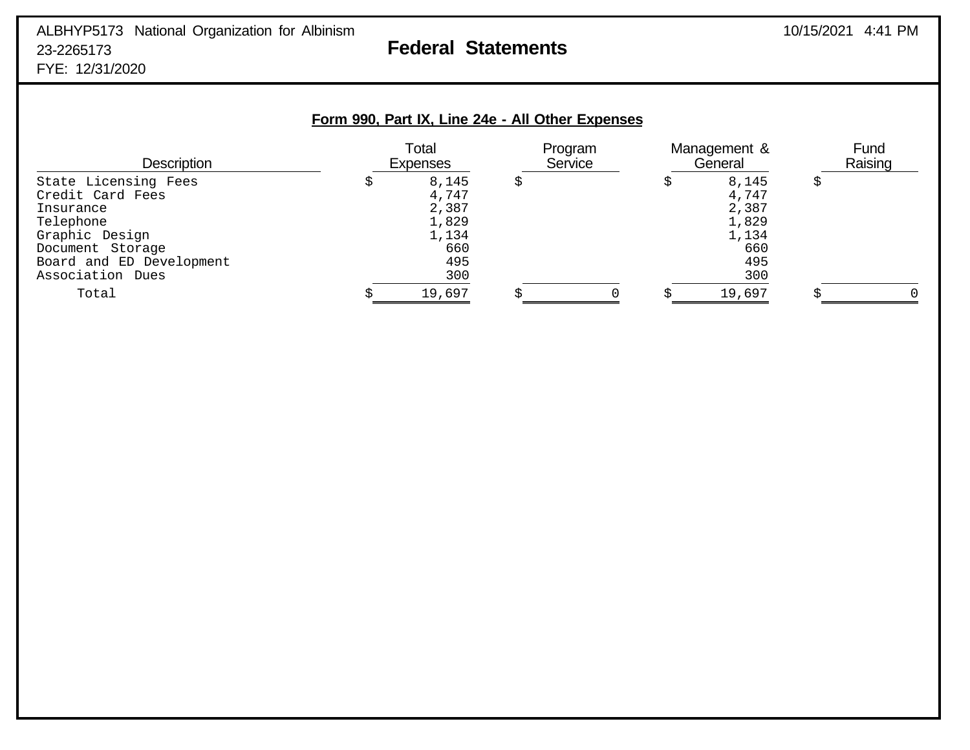# ALBHYP5173 National Organization for Albinism 2001 10/15/2021 4:41 PM 23-2265173 **Federal Statements** FYE: 12/31/2020

# **Form 990, Part IX, Line 24e - All Other Expenses**

| <b>Description</b>            | Total<br>Expenses | Program<br>Service | Management &<br>General | Fund<br>Raising |
|-------------------------------|-------------------|--------------------|-------------------------|-----------------|
| State Licensing Fees          | 8,145             |                    | 8,145                   |                 |
| Credit Card Fees<br>Insurance | 4,747<br>2,387    |                    | 4,747<br>2,387          |                 |
| Telephone                     | 1,829             |                    | 1,829                   |                 |
| Graphic Design                | 1,134             |                    | 1,134                   |                 |
| Document Storage              | 660               |                    | 660                     |                 |
| Board and ED Development      | 495               |                    | 495                     |                 |
| Association Dues              | 300               |                    | 300                     |                 |
| Total                         | 19,697            |                    | 19,697                  |                 |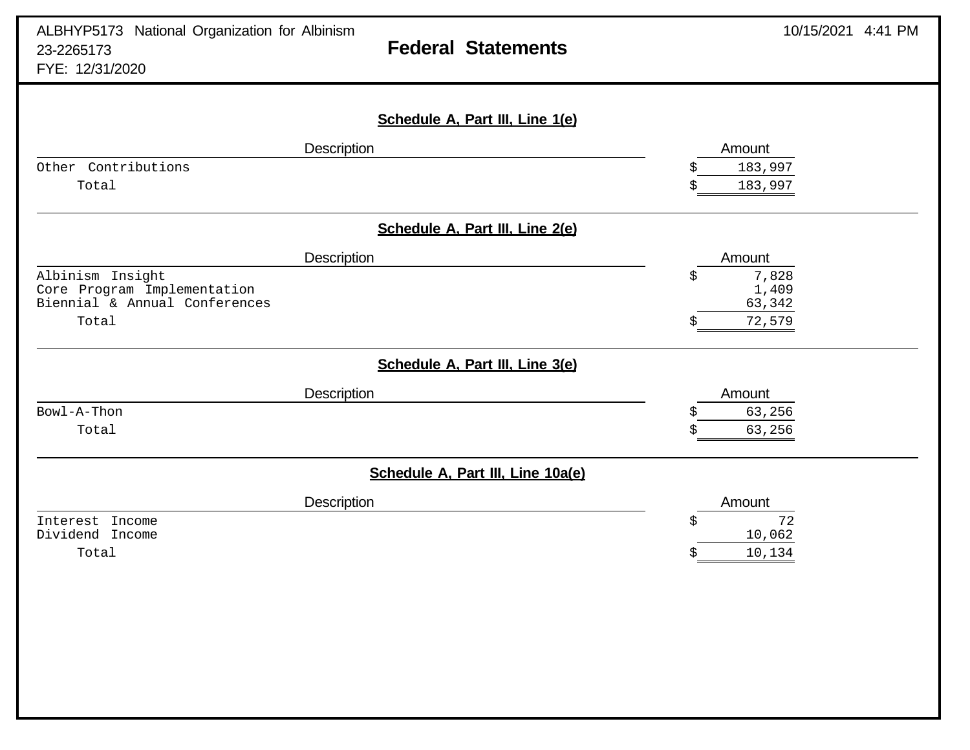| ALBHYP5173 National Organization for Albinism<br>23-2265173<br>FYE: 12/31/2020 | <b>Federal Statements</b>         | 10/15/2021 4:41 PM |
|--------------------------------------------------------------------------------|-----------------------------------|--------------------|
|                                                                                | Schedule A, Part III, Line 1(e)   |                    |
| Description                                                                    |                                   | Amount             |
| Other Contributions                                                            |                                   | 183,997            |
| Total                                                                          |                                   | 183,997<br>Ś       |
|                                                                                | Schedule A, Part III, Line 2(e)   |                    |
| Description                                                                    |                                   | Amount             |
| Albinism Insight                                                               |                                   | 7,828<br>\$        |
| Core Program Implementation<br>Biennial & Annual Conferences                   |                                   | 1,409<br>63,342    |
| Total                                                                          |                                   | 72,579             |
|                                                                                | Schedule A, Part III, Line 3(e)   |                    |
| <b>Description</b>                                                             |                                   | Amount             |
| Bowl-A-Thon                                                                    |                                   | 63,256<br>Ŝ        |
| Total                                                                          |                                   | 63,256<br>\$       |
|                                                                                | Schedule A, Part III, Line 10a(e) |                    |
| Description                                                                    |                                   | Amount             |
| Interest Income                                                                |                                   | 72<br>\$           |
| Dividend Income                                                                |                                   | 10,062             |
| Total                                                                          |                                   | 10,134             |
|                                                                                |                                   |                    |
|                                                                                |                                   |                    |
|                                                                                |                                   |                    |